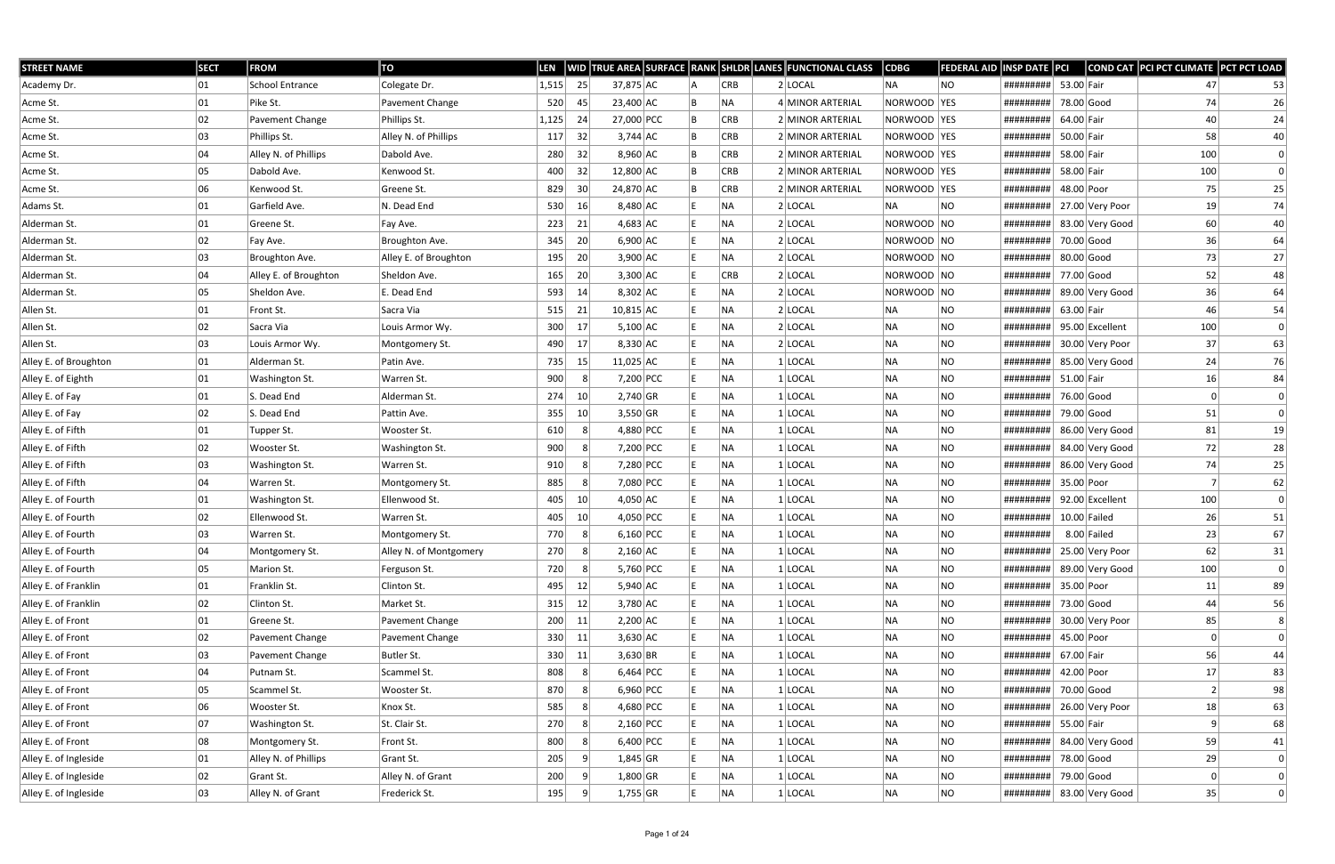| <b>STREET NAME</b>    | <b>SECT</b> | <b>FROM</b>           | TO                     | LEN   |                 |             |  |            | WID TRUE AREA SURFACE RANK SHLDR LANES FUNCTIONAL CLASS | $\vert$ CDBG | <b>FEDERAL AID</b> | <b>INSP DATE PCI</b>      |              |                 | COND CAT PCI PCT CLIMATE PCT PCT LOAD |                |
|-----------------------|-------------|-----------------------|------------------------|-------|-----------------|-------------|--|------------|---------------------------------------------------------|--------------|--------------------|---------------------------|--------------|-----------------|---------------------------------------|----------------|
| Academy Dr.           | 01          | School Entrance       | Colegate Dr.           | 1,515 | 25              | 37,875 AC   |  | <b>CRB</b> | $2$ LOCAL                                               | NA           | NO.                | #########                 | 53.00 Fair   |                 | 47                                    | 53             |
| Acme St.              | 01          | Pike St.              | Pavement Change        | 520   | 45              | 23,400 AC   |  | NA         | 4 MINOR ARTERIAL                                        | NORWOOD YES  |                    | #########                 | 78.00 Good   |                 | 74                                    | 26             |
| Acme St.              | 02          | Pavement Change       | Phillips St.           | 1,125 | 24              | 27,000 PCC  |  | <b>CRB</b> | 2 MINOR ARTERIAL                                        | NORWOOD YES  |                    | #########                 | 64.00 Fair   |                 | 40                                    | 24             |
| Acme St.              | 03          | Phillips St.          | Alley N. of Phillips   | 117   | 32              | $3,744$ AC  |  | <b>CRB</b> | 2 MINOR ARTERIAL                                        | NORWOOD YES  |                    | #########                 | 50.00 Fair   |                 | 58                                    | 40             |
| Acme St.              | 04          | Alley N. of Phillips  | Dabold Ave.            | 280   | 32              | $8,960$ AC  |  | <b>CRB</b> | 2 MINOR ARTERIAL                                        | NORWOOD YES  |                    | #########                 | 58.00 Fair   |                 | 100                                   | $\Omega$       |
| Acme St.              | 05          | Dabold Ave.           | Kenwood St.            | 400   | 32              | 12,800 AC   |  | <b>CRB</b> | 2 MINOR ARTERIAL                                        | NORWOOD YES  |                    | #########                 | 58.00 Fair   |                 | 100                                   | $\Omega$       |
| Acme St.              | 06          | Kenwood St.           | Greene St.             | 829   | 30              | 24,870 AC   |  | <b>CRB</b> | 2 MINOR ARTERIAL                                        | NORWOOD YES  |                    | #########                 | 48.00 Poor   |                 | 75                                    | 25             |
| Adams St.             | 01          | Garfield Ave.         | N. Dead End            | 530   | 16              | $8,480$ AC  |  | NA.        | $2$ LOCAL                                               | NA)          | NO.                | #########                 |              | 27.00 Very Poor | 19                                    | 74             |
| Alderman St.          | 01          | Greene St.            | Fay Ave.               | 223   | 21              | $4,683$ AC  |  | NA         | $2$ LOCAL                                               | NORWOOD NO   |                    | #########                 |              | 83.00 Very Good | 60                                    | 40             |
| Alderman St.          | 02          | Fay Ave.              | Broughton Ave.         | 345   | 20              | $6,900$ AC  |  | <b>NA</b>  | 2 LOCAL                                                 | NORWOOD NO   |                    | #########                 | 70.00 Good   |                 | 36                                    | 64             |
| Alderman St.          | 03          | Broughton Ave.        | Alley E. of Broughton  | 195   | 20              | $3,900$ AC  |  | NA.        | $2$ LOCAL                                               | NORWOOD NO   |                    | #########                 | $80.00$ Good |                 | 73                                    | 27             |
| Alderman St.          | 04          | Alley E. of Broughton | Sheldon Ave.           | 165   | 20 <sup>1</sup> | $3,300$ AC  |  | <b>CRB</b> | $2$ LOCAL                                               | NORWOOD NO   |                    | #########                 | 77.00 Good   |                 | 52                                    | 48             |
| Alderman St.          | 05          | Sheldon Ave.          | E. Dead End            | 593   | 14              | $8,302$ AC  |  | NA         | 2 LOCAL                                                 | NORWOOD NO   |                    | #########                 |              | 89.00 Very Good | 36                                    | 64             |
| Allen St.             | 01          | Front St.             | Sacra Via              | 515   | 21              | $10,815$ AC |  | NA         | $2$ LOCAL                                               | NA           | NO                 | #########                 | 63.00 Fair   |                 | 46                                    | 54             |
| Allen St.             | 02          | Sacra Via             | Louis Armor Wy.        | 300   | -17             | $5,100$ AC  |  | NA         | $2$ LOCAL                                               | NA           | NO.                | #########                 |              | 95.00 Excellent | 100                                   | $\Omega$       |
| Allen St.             | 03          | Louis Armor Wy.       | Montgomery St.         | 490   | 17              | $8,330$ AC  |  | NA         | 2 LOCAL                                                 | NA           | NO.                | #########                 |              | 30.00 Very Poor | 37                                    | 63             |
| Alley E. of Broughton | 01          | Alderman St.          | Patin Ave.             | 735   | 15              | $11,025$ AC |  | NA.        | $1 $ LOCAL                                              | NA           | NO.                | #########                 |              | 85.00 Very Good | 24                                    | 76             |
| Alley E. of Eighth    | 01          | Washington St.        | Warren St.             | 900   |                 | 7,200 PCC   |  | NA         | $1 $ LOCAL                                              | NA           | NO                 | #########                 | 51.00 Fair   |                 | 16                                    | 84             |
| Alley E. of Fay       | 01          | S. Dead End           | Alderman St.           | 274   | 10 <sup>1</sup> | $2,740$ GR  |  | NA         | $1$ LOCAL                                               | NA           | NO.                | #########                 | 76.00 Good   |                 | $\Omega$                              | $\Omega$       |
| Alley E. of Fay       | 02          | S. Dead End           | Pattin Ave.            | 355   | 10              | $3,550$ GR  |  | NA         | $1$ LOCAL                                               | NA           | NO                 | #########                 | 79.00 Good   |                 | 51                                    | $\Omega$       |
| Alley E. of Fifth     | 01          | Tupper St.            | Wooster St.            | 610   |                 | 4,880 PCC   |  | NA         | 1 LOCAL                                                 | NA           | NO.                | #########                 |              | 86.00 Very Good | 81                                    | 19             |
| Alley E. of Fifth     | 02          | Wooster St.           | Washington St.         | 900   |                 | 7,200 PCC   |  | NA         | $1$ LOCAL                                               | NA           | NO.                | #########                 |              | 84.00 Very Good | 72                                    | 28             |
| Alley E. of Fifth     | 03          | Washington St.        | Warren St.             | 910   |                 | 7,280 PCC   |  | NA         | $1$ LOCAL                                               | NA           | <b>NO</b>          | #########                 |              | 86.00 Very Good | 74                                    | 25             |
| Alley E. of Fifth     | 04          | Warren St.            | Montgomery St.         | 885   |                 | 7,080 PCC   |  | NA         | $1 $ LOCAL                                              | NA           | <b>NO</b>          | #########                 | 35.00 Poor   |                 |                                       | 62             |
| Alley E. of Fourth    | 01          | Washington St.        | Ellenwood St.          | 405   | 10              | $4,050$ AC  |  | NA         | $1 $ LOCAL                                              | NA           | NO.                | #########                 |              | 92.00 Excellent | 100                                   | $\Omega$       |
| Alley E. of Fourth    | 02          | Ellenwood St.         | Warren St.             | 405   | 10 <sup>1</sup> | 4,050 PCC   |  | NA.        | $1$ LOCAL                                               | NA           | NO                 | #########                 |              | $10.00$ Failed  | 26                                    | 51             |
| Alley E. of Fourth    | 03          | Warren St.            | Montgomery St.         | 770   |                 | $6,160$ PCC |  | NA         | $1$ LOCAL                                               | NA           | <b>NO</b>          | #########                 |              | 8.00 Failed     | 23                                    | 67             |
| Alley E. of Fourth    | 04          | Montgomery St.        | Alley N. of Montgomery | 270   | -81             | $2,160$ AC  |  | NA         | $1$  LOCAL                                              | NA           | NO.                | ######### 25.00 Very Poor |              |                 | 62                                    | 31             |
| Alley E. of Fourth    | 05          | Marion St.            | Ferguson St.           | 720   |                 | 5,760 PCC   |  | NA.        | $1$ LOCAL                                               | NA           | NO                 | #########                 |              | 89.00 Very Good | 100                                   | $\Omega$       |
| Alley E. of Franklin  | 01          | Franklin St.          | Clinton St.            | 495   | 12              | $5,940$ AC  |  | NA         | $1$ LOCAL                                               | NA           | <b>NO</b>          | #########                 | 35.00 Poor   |                 | 11                                    | 89             |
| Alley E. of Franklin  | 02          | Clinton St.           | Market St.             | 315   | 12              | $3,780$ AC  |  | NA         | $1 $ LOCAL                                              | NA           | NO.                | #########                 | 73.00 Good   |                 | 44                                    | 56             |
| Alley E. of Front     | 01          | Greene St.            | Pavement Change        | 200   | 11              | $2,200$ AC  |  | NA         | $1$ LOCAL                                               | NA           | NO                 | #########                 |              | 30.00 Very Poor | 85                                    | 8              |
| Alley E. of Front     | 02          | Pavement Change       | Pavement Change        | 330   | 11              | $3,630$ AC  |  | NA         | $1$ LOCAL                                               | NA           | NO.                | #########                 | 45.00 Poor   |                 |                                       | $\Omega$       |
| Alley E. of Front     | 03          | Pavement Change       | Butler St.             | 330   | 11              | $3,630$ BR  |  | NA         | $1$ LOCAL                                               | NA           | <b>NO</b>          | #########                 | 67.00 Fair   |                 | 56                                    | 44             |
| Alley E. of Front     | 04          | Putnam St.            | Scammel St.            | 808   |                 | $6,464$ PCC |  | NA         | $1$ LOCAL                                               | NA           | <b>NO</b>          | #########                 | 42.00 Poor   |                 | 17                                    | 83             |
| Alley E. of Front     | 05          | Scammel St.           | Wooster St.            | 870   |                 | $6,960$ PCC |  | NA         | $1$ LOCAL                                               | NA           | <b>NO</b>          | #########                 | 70.00 Good   |                 | $\overline{2}$                        | 98             |
| Alley E. of Front     | 06          | Wooster St.           | Knox St.               | 585   |                 | 4,680 PCC   |  | NA         | $1$ LOCAL                                               | NA           | <b>NO</b>          | #########                 |              | 26.00 Very Poor | 18                                    | 63             |
| Alley E. of Front     | 07          | Washington St.        | St. Clair St.          | 270   |                 | $2,160$ PCC |  | NA         | $1$ LOCAL                                               | NA           | NO                 | #########                 | 55.00 Fair   |                 | 9                                     | 68             |
| Alley E. of Front     | 08          | Montgomery St.        | Front St.              | 800   |                 | $6,400$ PCC |  | NA         | $1$ LOCAL                                               | NA           | NO.                | #########                 |              | 84.00 Very Good | 59                                    | 41             |
| Alley E. of Ingleside | 01          | Alley N. of Phillips  | Grant St.              | 205   |                 | $1,845$ GR  |  | NA         | $1 $ LOCAL                                              | NA           | NO                 | #########                 | 78.00 Good   |                 | 29                                    | $\Omega$       |
| Alley E. of Ingleside | 02          | Grant St.             | Alley N. of Grant      | 200   |                 | $1,800$ GR  |  | NA         | $1$ LOCAL                                               | NA           | <b>NO</b>          | #########                 | 79.00 Good   |                 |                                       |                |
| Alley E. of Ingleside | 03          | Alley N. of Grant     | Frederick St.          | 195   | -9              | $1,755$ GR  |  | NA         | $1$ LOCAL                                               | NA           | NO                 | #########                 |              | 83.00 Very Good | 35                                    | $\overline{0}$ |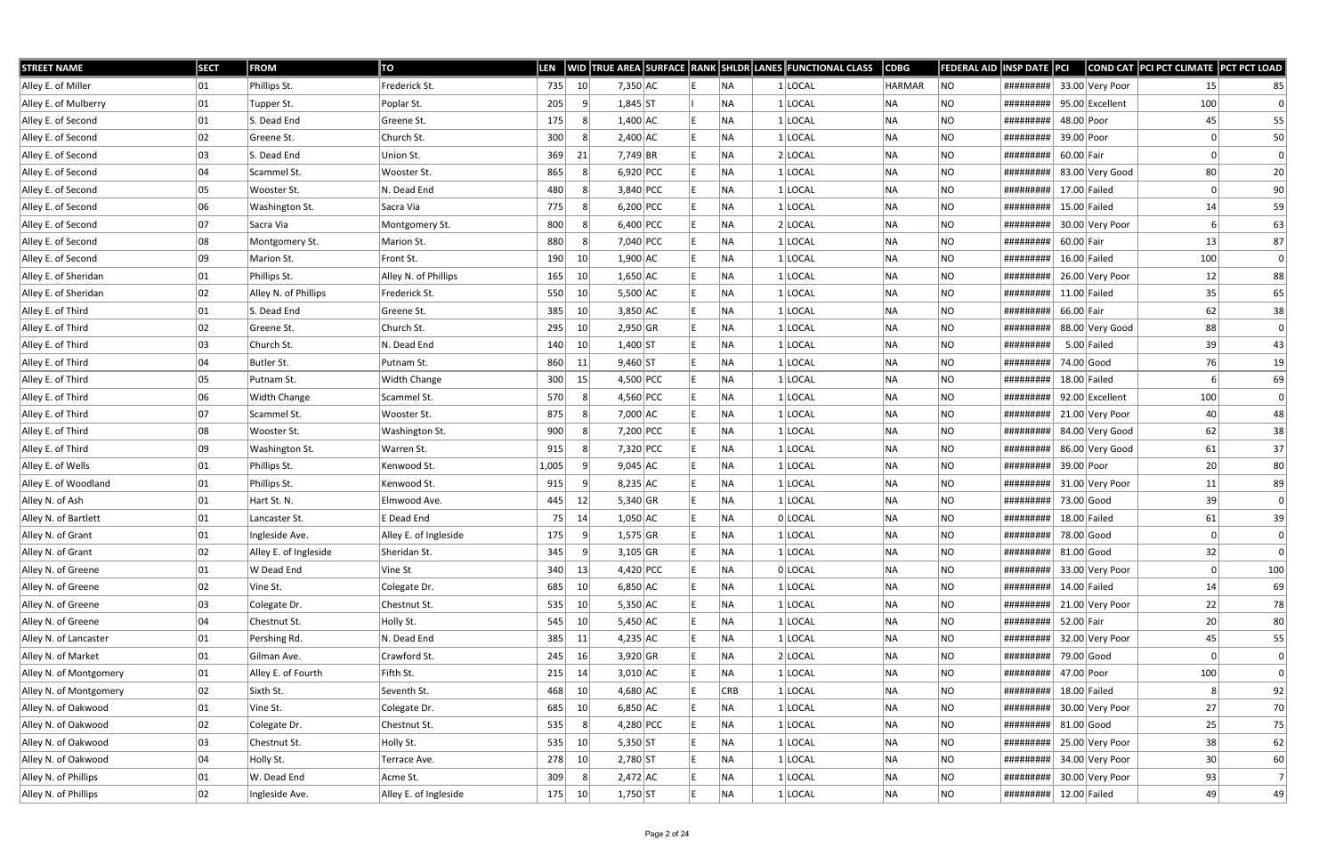| <b>STREET NAME</b>     | <b>SECT</b> | <b>FROM</b>           | TO                    | LEN   |                 |             |  |            | WID TRUE AREA SURFACE RANK SHLDR LANES FUNCTIONAL CLASS | CDBG      | FEDERAL AID | <b>INSP DATE PCI</b> |              |                 | COND CAT PCI PCT CLIMATE PCT PCT LOAD |     |
|------------------------|-------------|-----------------------|-----------------------|-------|-----------------|-------------|--|------------|---------------------------------------------------------|-----------|-------------|----------------------|--------------|-----------------|---------------------------------------|-----|
| Alley E. of Miller     | 01          | Phillips St.          | Frederick St.         | 735   | 10              | $7,350$ AC  |  | NA)        | $1$ LOCAL                                               | HARMAR    | NO          | #########            |              | 33.00 Very Poor | 15                                    | 85  |
| Alley E. of Mulberry   | 01          | Tupper St.            | Poplar St.            | 205   |                 | $1,845$ ST  |  | NA         | 1 LOCAL                                                 | NA        | <b>NO</b>   | #########            |              | 95.00 Excellent | 100                                   |     |
| Alley E. of Second     | 01          | S. Dead End           | Greene St.            | 175   |                 | $1,400$ AC  |  | NA         | $1$ LOCAL                                               | NA        | <b>NO</b>   | #########            | 48.00 Poor   |                 | 45                                    | 55  |
| Alley E. of Second     | 02          | Greene St.            | Church St.            | 300   |                 | $2,400$ AC  |  | INA.       | 1 LOCAL                                                 | NA        | NO.         | #########            | 39.00 Poor   |                 |                                       | 50  |
| Alley E. of Second     | 03          | S. Dead End           | Union St.             | 369   | 21              | $7,749$ BR  |  | NA)        | $2$ LOCAL                                               | NA        | <b>NO</b>   | #########            | 60.00 Fair   |                 |                                       | 0   |
| Alley E. of Second     | 04          | Scammel St.           | Wooster St.           | 865   |                 | $6,920$ PCC |  | <b>NA</b>  | $1 $ LOCAL                                              | NA        | NO.         | #########            |              | 83.00 Very Good | 80                                    | 20  |
| Alley E. of Second     | 05          | Wooster St.           | N. Dead End           | 480   |                 | 3,840 PCC   |  | NA)        | $1$ LOCAL                                               | NA        | NO.         | #########            |              | $17.00$ Failed  |                                       | 90  |
| Alley E. of Second     | 06          | Washington St.        | Sacra Via             | 775   |                 | 6,200 PCC   |  | NA)        | $1$ LOCAL                                               | NA        | NO          | #########            |              | $15.00$ Failed  | 14                                    | 59  |
| Alley E. of Second     | 07          | Sacra Via             | Montgomery St.        | 800   |                 | $6,400$ PCC |  | NA         | $2$ LOCAL                                               | NA        | NO.         | #########            |              | 30.00 Very Poor |                                       | 63  |
| Alley E. of Second     | 08          | Montgomery St.        | Marion St.            | 880   |                 | 7,040 PCC   |  | <b>NA</b>  | $1$ LOCAL                                               | NA        | NO          | #########            | 60.00 Fair   |                 | 13                                    | 87  |
| Alley E. of Second     | 09          | Marion St.            | Front St.             | 190   | 10              | $1,900$ AC  |  | NA         | $1$ LOCAL                                               | NA        | NO.         | #########            |              | $16.00$ Failed  | 100                                   | 0   |
| Alley E. of Sheridan   | 01          | Phillips St.          | Alley N. of Phillips  | 165   | 10              | $1,650$ AC  |  | <b>NA</b>  | 1 LOCAL                                                 | NA        | NO.         | #########            |              | 26.00 Very Poor | 12                                    | 88  |
| Alley E. of Sheridan   | 02          | Alley N. of Phillips  | Frederick St.         | 550   | 10              | $5,500$ AC  |  | <b>NA</b>  | $1 $ LOCAL                                              | NA        | NO          | #########            |              | $11.00$ Failed  | 35                                    | 65  |
| Alley E. of Third      | 01          | S. Dead End           | Greene St.            | 385   | 10              | $3,850$ AC  |  | NA         | $1$ LOCAL                                               | NA        | <b>NO</b>   | #########            | 66.00 Fair   |                 | 62                                    | 38  |
| Alley E. of Third      | 02          | Greene St.            | Church St.            | 295   | 10 <sup>1</sup> | $2,950$ GR  |  | NA.        | $1 $ LOCAL                                              | NA        | NO.         | #########            |              | 88.00 Very Good | 88                                    | 0   |
| Alley E. of Third      | 03          | Church St.            | N. Dead End           | 140   | 10              | $1,400$ ST  |  | NA)        | $1$ LOCAL                                               | NA        | <b>NO</b>   | #########            |              | $5.00$ Failed   | 39                                    | 43  |
| Alley E. of Third      | 04          | Butler St.            | Putnam St.            | 860   | 11              | $9,460$ ST  |  | NA         | $1 $ LOCAL                                              | NA        | <b>NO</b>   | #########            |              | 74.00 Good      | 76                                    | 19  |
| Alley E. of Third      | 05          | Putnam St.            | <b>Width Change</b>   | 300   | 15              | 4,500 PCC   |  | NA.        | 1 LOCAL                                                 | NA        | NO          | #########            |              | $18.00$ Failed  |                                       | 69  |
| Alley E. of Third      | 06          | <b>Width Change</b>   | Scammel St.           | 570   |                 | 4,560 PCC   |  | NA)        | $1$ LOCAL                                               | NA        | <b>NO</b>   | #########            |              | 92.00 Excellent | 100                                   | 0   |
| Alley E. of Third      | 07          | Scammel St.           | Wooster St.           | 875   |                 | 7,000 AC    |  | NА         | 1 LOCAL                                                 | NA        | NO.         | #########            |              | 21.00 Very Poor | 40                                    | 48  |
| Alley E. of Third      | 08          | Wooster St.           | Washington St.        | 900   |                 | 7,200 PCC   |  | NA         | 1 LOCAL                                                 | NA        | NO          | #########            |              | 84.00 Very Good | 62                                    | 38  |
| Alley E. of Third      | 09          | Washington St.        | Warren St.            | 915   | 8               | 7,320 PCC   |  | NA)        | $1$ LOCAL                                               | NA        | <b>NO</b>   | #########            |              | 86.00 Very Good | 61                                    | 37  |
| Alley E. of Wells      | 01          | Phillips St.          | Kenwood St.           | 1,005 |                 | $9,045$ AC  |  | NA         | $1$ LOCAL                                               | NA        | NO          | #########            | 39.00 Poor   |                 | 20                                    | 80  |
| Alley E. of Woodland   | 01          | Phillips St.          | Kenwood St.           | 915   |                 | $8,235$ AC  |  | NA         | 1 LOCAL                                                 | <b>NA</b> | NO          | #########            |              | 31.00 Very Poor | 11                                    | 89  |
| Alley N. of Ash        | 01          | Hart St. N.           | Elmwood Ave.          | 445   | 12              | 5,340 GR    |  | NA)        | $1$ LOCAL                                               | NA        | <b>NO</b>   | #########            | 73.00 Good   |                 | 39                                    |     |
| Alley N. of Bartlett   | 01          | Lancaster St.         | E Dead End            | 75    | 14              | $1,050$ AC  |  | NA         | 0 LOCAL                                                 | NA        | NO          | #########            |              | $18.00$ Failed  | 61                                    | 39  |
| Alley N. of Grant      | 01          | Ingleside Ave.        | Alley E. of Ingleside | 175   |                 | $1,575$ GR  |  | NA         | $1$ LOCAL                                               | <b>NA</b> | NO.         | #########            | 78.00 Good   |                 |                                       |     |
| Alley N. of Grant      | 02          | Alley E. of Ingleside | Sheridan St.          | 345   | 9               | $3,105$ GR  |  | NA         | $1$ LOCAL                                               | NA        | <b>NO</b>   | ######### 81.00 Good |              |                 | 32                                    | 0   |
| Alley N. of Greene     | 01          | W Dead End            | Vine St               | 340   | 13              | 4,420 PCC   |  | NA)        | 0 LOCAL                                                 | NA        | NO          | #########            |              | 33.00 Very Poor | $\Omega$                              | 100 |
| Alley N. of Greene     | 02          | Vine St.              | Colegate Dr.          | 685   | 10              | $6,850$ AC  |  | NA         | $1$ LOCAL                                               | NA        | <b>NO</b>   | #########            |              | $14.00$ Failed  | 14                                    | 69  |
| Alley N. of Greene     | 03          | Colegate Dr.          | Chestnut St.          | 535   | 10              | $5,350$ AC  |  | NA         | $1$ LOCAL                                               | NA        | <b>NO</b>   | #########            |              | 21.00 Very Poor | 22                                    | 78  |
| Alley N. of Greene     | 04          | Chestnut St.          | Holly St.             | 545   | 10              | $5,450$ AC  |  | NA)        | $1$ LOCAL                                               | NA        | <b>NO</b>   | #########            | 52.00 Fair   |                 | 20                                    | 80  |
| Alley N. of Lancaster  | 01          | Pershing Rd.          | N. Dead End           | 385   | 11              | $4,235$ AC  |  | NA)        | $1$ LOCAL                                               | NA        | <b>NO</b>   | #########            |              | 32.00 Very Poor | 45                                    | 55  |
| Alley N. of Market     | 01          | Gilman Ave.           | Crawford St.          | 245   | 16              | $3,920$ GR  |  | NA         | 2 LOCAL                                                 | NA        | NO.         | #########            | 79.00 Good   |                 |                                       | 0   |
| Alley N. of Montgomery | 01          | Alley E. of Fourth    | Fifth St.             | 215   | 14              | $3,010$ AC  |  | NA)        | $1$ LOCAL                                               | NA        | NO          | #########            | 47.00 Poor   |                 | 100                                   | 0   |
| Alley N. of Montgomery | 02          | Sixth St.             | Seventh St.           | 468   | 10              | $4,680$ AC  |  | <b>CRB</b> | $1$ LOCAL                                               | NA        | NO.         | #########            |              | $18.00$ Failed  | 8                                     | 92  |
| Alley N. of Oakwood    | 01          | Vine St.              | Colegate Dr.          | 685   | 10              | $6,850$ AC  |  | NA         | $1$ LOCAL                                               | NA        | <b>NO</b>   | #########            |              | 30.00 Very Poor | 27                                    | 70  |
| Alley N. of Oakwood    | 02          | Colegate Dr.          | Chestnut St.          | 535   | -8              | 4,280 PCC   |  | <b>NA</b>  | $1$ LOCAL                                               | NA        | NO          | #########            | $81.00$ Good |                 | 25                                    | 75  |
| Alley N. of Oakwood    | 03          | Chestnut St.          | Holly St.             | 535   | 10              | $5,350$ ST  |  | NA)        | $1$ LOCAL                                               | NA        | <b>NO</b>   | #########            |              | 25.00 Very Poor | 38                                    | 62  |
| Alley N. of Oakwood    | 04          | Holly St.             | Terrace Ave.          | 278   | 10              | $2,780$ ST  |  | NA)        | $1$ LOCAL                                               | NA        | NO          | #########            |              | 34.00 Very Poor | 30                                    | 60  |
| Alley N. of Phillips   | 01          | W. Dead End           | Acme St.              | 309   | -8              | $2,472$ AC  |  | NA)        | $1$ LOCAL                                               | NA        | NO          | #########            |              | 30.00 Very Poor | 93                                    | 7   |
| Alley N. of Phillips   | 02          | Ingleside Ave.        | Alley E. of Ingleside | 175   | 10              | $1,750$ ST  |  | NA         | $1$ LOCAL                                               | NA        | NO          | #########            |              | $12.00$ Failed  | 49                                    | 49  |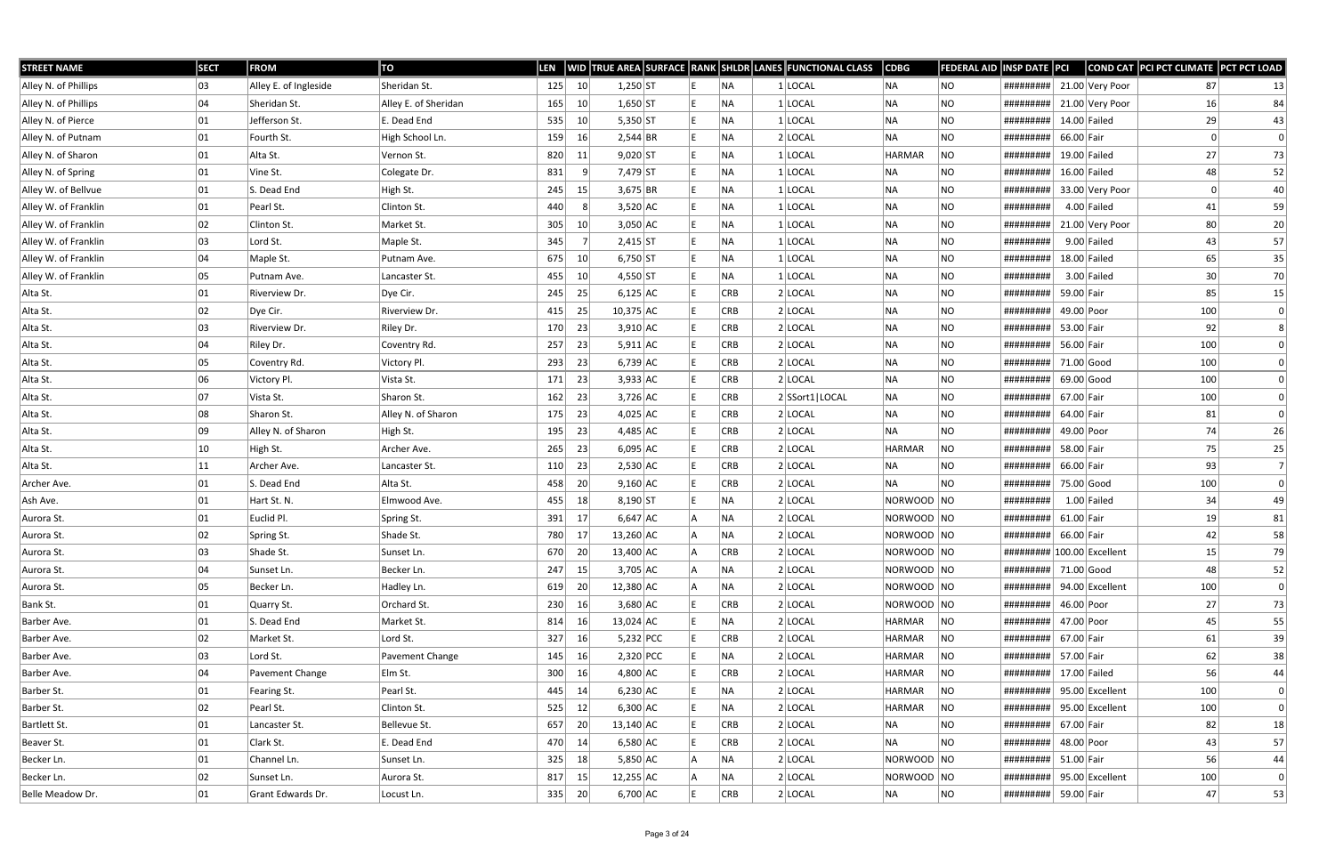| <b>STREET NAME</b>   | <b>SECT</b> | <b>FROM</b>           | TO                   | <b>LEN</b> |                 |             |  |            | WID TRUE AREA SURFACE RANK SHLDR LANES FUNCTIONAL CLASS | $\overline{\textsf{CDBG}}$ | <b>FEDERAL AID INSP DATE PCI</b> |                            |              |                 | COND CAT PCI PCT CLIMATE PCT PCT LOAD |                |
|----------------------|-------------|-----------------------|----------------------|------------|-----------------|-------------|--|------------|---------------------------------------------------------|----------------------------|----------------------------------|----------------------------|--------------|-----------------|---------------------------------------|----------------|
| Alley N. of Phillips | 03          | Alley E. of Ingleside | Sheridan St.         | 125        | 10 <sup>°</sup> | $1,250$ ST  |  | NA.        | 1 LOCAL                                                 | NA                         | NO                               | #########                  |              | 21.00 Very Poor | 87                                    | 13             |
| Alley N. of Phillips | 04          | Sheridan St.          | Alley E. of Sheridan | 165        | 10              | $1,650$ ST  |  | NA         | 1 LOCAL                                                 | NA                         | NO                               | #########                  |              | 21.00 Very Poor | 16                                    | 84             |
| Alley N. of Pierce   | 01          | Jefferson St.         | E. Dead End          | 535        | 10 <sup>°</sup> | $5,350$ ST  |  | NA         | 1 LOCAL                                                 | NA                         | <b>NO</b>                        | #########                  |              | $14.00$ Failed  | 29                                    | 43             |
| Alley N. of Putnam   | 01          | Fourth St.            | High School Ln.      | 159        | 16              | 2,544 BR    |  | NA.        | $2$ LOCAL                                               | NA                         | NO                               | #########                  | 66.00 Fair   |                 | 0                                     | 0              |
| Alley N. of Sharon   | 01          | Alta St.              | Vernon St.           | 820        | 11              | $9,020$ ST  |  | NA         | $1$ LOCAL                                               | <b>HARMAR</b>              | <b>NO</b>                        | #########                  |              | $19.00$ Failed  | 27                                    | 73             |
| Alley N. of Spring   | 01          | Vine St.              | Colegate Dr.         | 831        | - 9             | 7,479 ST    |  | NA         | $1$ LOCAL                                               | NA                         | <b>NO</b>                        | #########                  |              | $16.00$ Failed  | 48                                    | 52             |
| Alley W. of Bellvue  | 01          | S. Dead End           | High St.             | 245        | 15              | $3,675$ BR  |  | NA         | $1$ LOCAL                                               | NA                         | NO.                              | #########                  |              | 33.00 Very Poor | 0                                     | 40             |
| Alley W. of Franklin | 01          | Pearl St.             | Clinton St.          | 440        | -8              | $3,520$ AC  |  | NA         | $1$ LOCAL                                               | NA                         | NO                               | #########                  |              | $4.00$ Failed   | 41                                    | 59             |
| Alley W. of Franklin | 02          | Clinton St.           | Market St.           | 305        | 10              | $3,050$ AC  |  | NA         | $1 $ LOCAL                                              | NA                         | NO.                              | #########                  |              | 21.00 Very Poor | 80                                    | 20             |
| Alley W. of Franklin | 03          | Lord St.              | Maple St.            | 345        |                 | $2,415$ ST  |  | NA         | $1$ LOCAL                                               | NA                         | NO                               | #########                  |              | $9.00$ Failed   | 43                                    | 57             |
| Alley W. of Franklin | 04          | Maple St.             | Putnam Ave.          | 675        | 10 <sup>1</sup> | $6,750$ ST  |  | NA.        | $1$ LOCAL                                               | NA                         | NO.                              | #########                  |              | 18.00 Failed    | 65                                    | 35             |
| Alley W. of Franklin | 05          | Putnam Ave.           | Lancaster St.        | 455        | 10              | $4,550$ ST  |  | NA         | $1$ LOCAL                                               | NA                         | NO.                              | #########                  |              | $3.00$ Failed   | 30                                    | 70             |
| Alta St.             | 01          | Riverview Dr.         | Dye Cir.             | 245        | 25              | $6,125$ AC  |  | <b>CRB</b> | $2$ LOCAL                                               | NA                         | <b>NO</b>                        | #########                  | 59.00 Fair   |                 | 85                                    | 15             |
| Alta St.             | 02          | Dye Cir.              | Riverview Dr.        | 415        | 25              | $10,375$ AC |  | <b>CRB</b> | $2$ LOCAL                                               | NA                         | <b>NO</b>                        | #########                  | 49.00 Poor   |                 | 100                                   | 0              |
| Alta St.             | 03          | Riverview Dr.         | Riley Dr.            | 170        | 23              | $3,910$ AC  |  | <b>CRB</b> | $2$ LOCAL                                               | NA                         | NO.                              | #########                  | 53.00 Fair   |                 | 92                                    |                |
| Alta St.             | 04          | Riley Dr.             | Coventry Rd.         | 257        | 23              | $5,911$ AC  |  | <b>CRB</b> | $2$ LOCAL                                               | NA                         | <b>NO</b>                        | #########                  | 56.00 Fair   |                 | 100                                   |                |
| Alta St.             | 05          | Coventry Rd.          | Victory Pl.          | 293        | 23              | $6,739$ AC  |  | <b>CRB</b> | $2$ LOCAL                                               | NA                         | NO.                              | #########                  | 71.00 Good   |                 | 100                                   |                |
| Alta St.             | 06          | Victory Pl.           | Vista St.            | 171        | 23              | $3,933$ AC  |  | <b>CRB</b> | 2 LOCAL                                                 | NA                         | NO                               | #########                  | 69.00 Good   |                 | 100                                   |                |
| Alta St.             | 07          | Vista St.             | Sharon St.           | 162        | 23              | $3,726$ AC  |  | <b>CRB</b> | 2 SSort1   LOCAL                                        | NA                         | <b>NO</b>                        | #########                  | 67.00 Fair   |                 | 100                                   |                |
| Alta St.             | 08          | Sharon St.            | Alley N. of Sharon   | 175        | 23              | $4,025$ AC  |  | <b>CRB</b> | $2$ LOCAL                                               | NA                         | NO.                              | #########                  | 64.00 Fair   |                 | 81                                    | $\Omega$       |
| Alta St.             | 09          | Alley N. of Sharon    | High St.             | 195        | 23              | $4,485$ AC  |  | <b>CRB</b> | $2$ LOCAL                                               | NA                         | NO.                              | #########                  | 49.00 Poor   |                 | 74                                    | 26             |
| Alta St.             | 10          | High St.              | Archer Ave.          | 265        | 23              | $6,095$ AC  |  | <b>CRB</b> | $2$ LOCAL                                               | <b>HARMAR</b>              | NO                               | #########                  | 58.00 Fair   |                 | 75                                    | 25             |
| Alta St.             | 11          | Archer Ave.           | Lancaster St.        | 110        | 23              | $2,530$ AC  |  | <b>CRB</b> | $2$ LOCAL                                               | NA                         | NO                               | #########                  | 66.00 Fair   |                 | 93                                    | $\overline{7}$ |
| Archer Ave.          | 01          | S. Dead End           | Alta St.             | 458        | 20              | $9,160$ AC  |  | <b>CRB</b> | $2$ LOCAL                                               | NA                         | <b>NO</b>                        | #########                  |              | 75.00 Good      | 100                                   | 0              |
| Ash Ave.             | 01          | Hart St. N.           | Elmwood Ave.         | 455        | 18              | $8,190$ ST  |  | NA         | $2$ LOCAL                                               | NORWOOD NO                 |                                  | #########                  |              | $1.00$ Failed   | 34                                    | 49             |
| Aurora St.           | 01          | Euclid Pl.            | Spring St.           | 391        | 17              | $6,647$ AC  |  | NA.        | $2$ LOCAL                                               | NORWOOD NO                 |                                  | #########                  | $61.00$ Fair |                 | 19                                    | 81             |
| Aurora St.           | 02          | Spring St.            | Shade St.            | 780        | 17              | $13,260$ AC |  | NA         | $2$ LOCAL                                               | NORWOOD NO                 |                                  | #########                  | 66.00 Fair   |                 | 42                                    | 58             |
| Aurora St.           | 03          | Shade St.             | Sunset Ln.           | 670        | 20              | 13,400 AC   |  | CRB        | 2 LOCAL                                                 | NORWOOD NO                 |                                  | ######### 100.00 Excellent |              |                 | 15                                    | 79             |
| Aurora St.           | 04          | Sunset Ln.            | Becker Ln.           | 247        | 15              | $3,705$ AC  |  | NA         | $2$ LOCAL                                               | NORWOOD NO                 |                                  | ######### 71.00 Good       |              |                 | 48                                    | 52             |
| Aurora St.           | 05          | Becker Ln.            | Hadley Ln.           | 619        | 20              | $12,380$ AC |  | NA         | $2$ LOCAL                                               | NORWOOD NO                 |                                  | #########                  |              | 94.00 Excellent | 100                                   | 0              |
| Bank St.             | 01          | Quarry St.            | Orchard St.          | 230        | 16              | 3,680 AC    |  | <b>CRB</b> | $2$ LOCAL                                               | NORWOOD NO                 |                                  | #########                  | 46.00 Poor   |                 | 27                                    | 73             |
| Barber Ave.          | 01          | S. Dead End           | Market St.           | 814        | 16              | $13,024$ AC |  | NA         | $2$ LOCAL                                               | HARMAR                     | NO                               | #########                  | 47.00 Poor   |                 | 45                                    | 55             |
| Barber Ave.          | 02          | Market St.            | Lord St.             | 327        | 16              | $5,232$ PCC |  | <b>CRB</b> | $2$ LOCAL                                               | HARMAR                     | NO                               | #########                  | 67.00 Fair   |                 | 61                                    | 39             |
| Barber Ave.          | 03          | Lord St.              | Pavement Change      | 145        | 16              | $2,320$ PCC |  | NA.        | 2 LOCAL                                                 | HARMAR                     | NO                               | #########                  | 57.00 Fair   |                 | 62                                    | 38             |
| Barber Ave.          | 04          | Pavement Change       | Elm St.              | 300        | 16              | $4,800$ AC  |  | <b>CRB</b> | $2$ LOCAL                                               | HARMAR                     | NO                               | #########                  |              | $17.00$ Failed  | 56                                    | 44             |
| Barber St.           | 01          | Fearing St.           | Pearl St.            | 445        | 14              | $6,230$ AC  |  | NA         | $2$ LOCAL                                               | HARMAR                     | NO                               | #########                  |              | 95.00 Excellent | 100                                   | 0              |
| Barber St.           | 02          | Pearl St.             | Clinton St.          | 525        | 12              | $6,300$ AC  |  | NA         | $2$ LOCAL                                               | HARMAR                     | NO                               | #########                  |              | 95.00 Excellent | 100                                   | 0              |
| Bartlett St.         | 01          | Lancaster St.         | Bellevue St.         | 657        | 20              | $13,140$ AC |  | <b>CRB</b> | $2$ LOCAL                                               | NA                         | NO                               | #########                  | 67.00 Fair   |                 | 82                                    | 18             |
| Beaver St.           | 01          | Clark St.             | E. Dead End          | 470        | 14              | $6,580$ AC  |  | <b>CRB</b> | $2$ LOCAL                                               | NA                         | <b>NO</b>                        | #########                  | 48.00 Poor   |                 | 43                                    | 57             |
| Becker Ln.           | 01          | Channel Ln.           | Sunset Ln.           | 325        | 18              | $5,850$ AC  |  | NA         | $2$ LOCAL                                               | NORWOOD NO                 |                                  | #########                  | 51.00 Fair   |                 | 56                                    | 44             |
| Becker Ln.           | 02          | Sunset Ln.            | Aurora St.           | 817        | 15              | $12,255$ AC |  | NA         | $2$ LOCAL                                               | NORWOOD NO                 |                                  | #########                  |              | 95.00 Excellent | 100                                   | 0              |
| Belle Meadow Dr.     | 01          | Grant Edwards Dr.     | Locust Ln.           | 335        | 20              | $6,700$ AC  |  | CRB        | $2$ LOCAL                                               | NA                         | NO                               | ######### 59.00 Fair       |              |                 | 47                                    | 53             |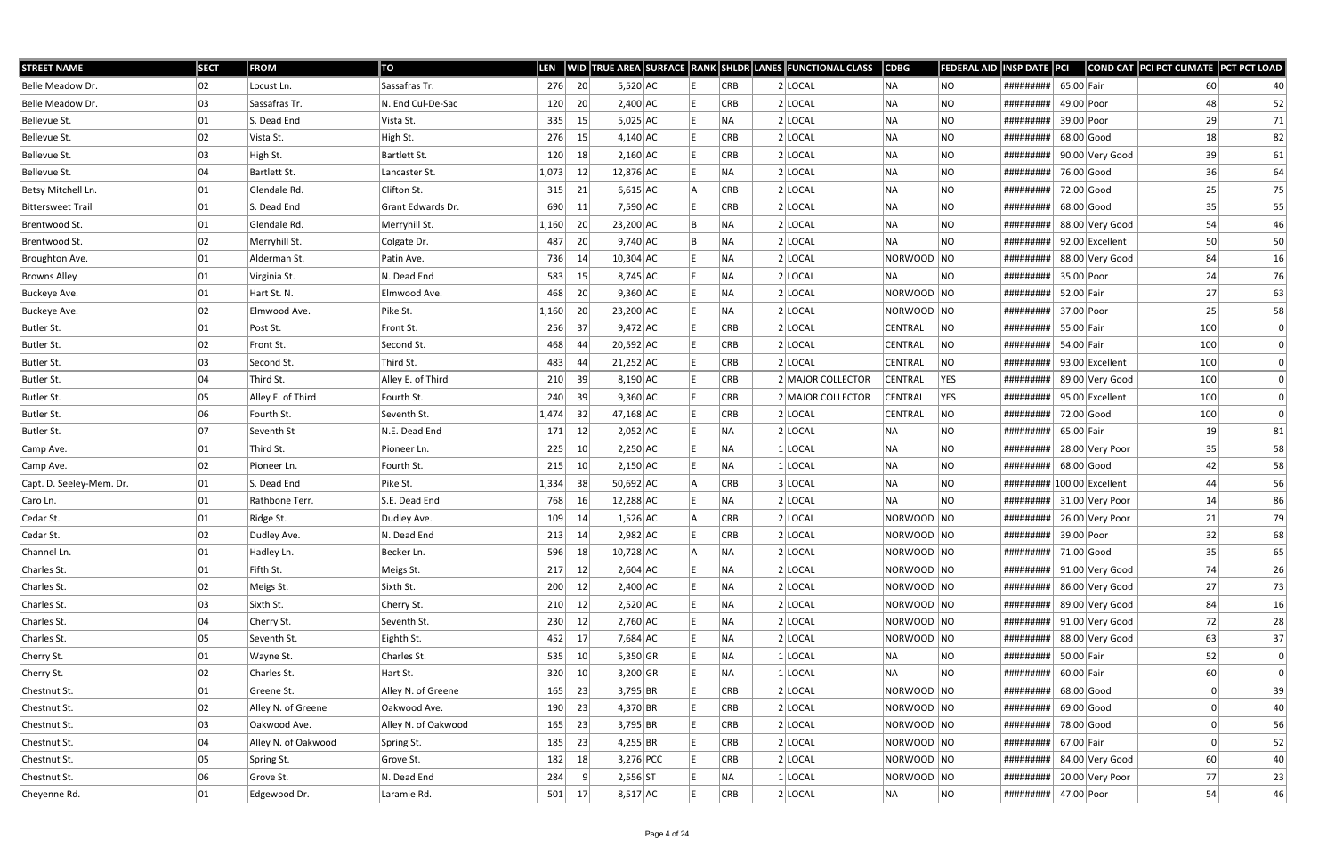| <b>STREET NAME</b>       | <b>SECT</b> | <b>FROM</b>         | ΤO                  | LEN   |            |             |  |            | WID TRUE AREA SURFACE RANK SHLDR LANES FUNCTIONAL CLASS | <b>CDBG</b>    | FEDERAL AID | <b>INSP DATE PCI</b>       |              |                 | COND CAT PCI PCT CLIMATE PCT PCT LOAD |          |
|--------------------------|-------------|---------------------|---------------------|-------|------------|-------------|--|------------|---------------------------------------------------------|----------------|-------------|----------------------------|--------------|-----------------|---------------------------------------|----------|
| Belle Meadow Dr.         | 02          | Locust Ln.          | Sassafras Tr.       | 276   | 20         | $5,520$ AC  |  | <b>CRB</b> | $2$ LOCAL                                               | NA             | NO          | #########                  | 65.00 Fair   |                 | 60                                    | 40       |
| Belle Meadow Dr.         | 03          | Sassafras Tr.       | N. End Cul-De-Sac   | 120   | 20         | $2,400$ AC  |  | <b>CRB</b> | 2 LOCAL                                                 | NA             | NO          | #########                  | 49.00 Poor   |                 | 48                                    | 52       |
| Bellevue St.             | 01          | S. Dead End         | Vista St.           | 335   | 15         | $5,025$ AC  |  | NA)        | $2$ LOCAL                                               | NA             | <b>NO</b>   | #########                  | 39.00 Poor   |                 | 29                                    | 71       |
| Bellevue St.             | 02          | Vista St.           | High St.            | 276   | 15         | $4,140$ AC  |  | <b>CRB</b> | $2$ LOCAL                                               | NA             | NO          | #########                  | $68.00$ Good |                 | 18                                    | 82       |
| Bellevue St.             | 03          | High St.            | Bartlett St.        | 120   | 18         | $2,160$ AC  |  | <b>CRB</b> | $2$ LOCAL                                               | NA             | <b>NO</b>   | #########                  |              | 90.00 Very Good | 39                                    | 61       |
| Bellevue St.             | 04          | Bartlett St.        | Lancaster St.       | 1,073 | 12         | 12,876 AC   |  | NA         | $2$ LOCAL                                               | NA             | NO.         | #########                  | 76.00 Good   |                 | 36                                    | 64       |
| Betsy Mitchell Ln.       | 01          | Glendale Rd.        | Clifton St.         | 315   | 21         | $6,615$ AC  |  | <b>CRB</b> | $2$ LOCAL                                               | NA             | <b>NO</b>   | #########                  | 72.00 Good   |                 | 25                                    | 75       |
| <b>Bittersweet Trail</b> | 01          | S. Dead End         | Grant Edwards Dr.   | 690   | 11         | 7,590 AC    |  | <b>CRB</b> | $2$ LOCAL                                               | NA             | <b>NO</b>   | #########                  | 68.00 Good   |                 | 35                                    | 55       |
| Brentwood St.            | 01          | Glendale Rd.        | Merryhill St.       | 1,160 | 20         | 23,200 AC   |  | <b>NA</b>  | 2 LOCAL                                                 | NA             | <b>NO</b>   | #########                  |              | 88.00 Very Good | 54                                    | 46       |
| Brentwood St.            | 02          | Merryhill St.       | Colgate Dr.         | 487   | 20         | $9,740$ AC  |  | <b>NA</b>  | $2$ LOCAL                                               | NA             | NO.         | #########                  |              | 92.00 Excellent | 50                                    | 50       |
| Broughton Ave.           | 01          | Alderman St.        | Patin Ave.          | 736   | 14         | $10,304$ AC |  | NA)        | $2$ LOCAL                                               | NORWOOD NO     |             | #########                  |              | 88.00 Very Good | 84                                    | 16       |
| <b>Browns Alley</b>      | 01          | Virginia St.        | N. Dead End         | 583   | 15         | 8,745 AC    |  | <b>NA</b>  | 2 LOCAL                                                 | INA.           | NO.         | #########                  | 35.00 Poor   |                 | 24                                    | 76       |
| Buckeye Ave.             | 01          | Hart St. N.         | Elmwood Ave.        | 468   | 20         | $9,360$ AC  |  | <b>NA</b>  | $2$ LOCAL                                               | NORWOOD NO     |             | #########                  | 52.00 Fair   |                 | 27                                    | 63       |
| Buckeye Ave.             | 02          | Elmwood Ave.        | Pike St.            | 1,160 | 20         | 23,200 AC   |  | NA)        | $2$ LOCAL                                               | NORWOOD NO     |             | #########                  | 37.00 Poor   |                 | 25                                    | 58       |
| Butler St.               | 01          | Post St.            | Front St.           | 256   | 37         | $9,472$ AC  |  | <b>CRB</b> | $2$ LOCAL                                               | CENTRAL        | NO          | #########                  | 55.00 Fair   |                 | 100                                   | 0        |
| Butler St.               | 02          | Front St.           | Second St.          | 468   | 44         | $20,592$ AC |  | <b>CRB</b> | $2$ LOCAL                                               | CENTRAL        | NO          | #########                  | 54.00 Fair   |                 | 100                                   |          |
| Butler St.               | 03          | Second St.          | Third St.           | 483   | 44         | $21,252$ AC |  | <b>CRB</b> | 2 LOCAL                                                 | CENTRAL        | NO          | #########                  |              | 93.00 Excellent | 100                                   |          |
| Butler St.               | 04          | Third St.           | Alley E. of Third   | 210   | 39         | $8,190$ AC  |  | <b>CRB</b> | 2 MAJOR COLLECTOR                                       | CENTRAL        | YES         | #########                  |              | 89.00 Very Good | 100                                   |          |
| Butler St.               | 05          | Alley E. of Third   | Fourth St.          | 240   | 39         | $9,360$ AC  |  | <b>CRB</b> | 2 MAJOR COLLECTOR                                       | <b>CENTRAL</b> | <b>YES</b>  | #########                  |              | 95.00 Excellent | 100                                   |          |
| Butler St.               | 06          | Fourth St.          | Seventh St.         | 1,474 | 32         | 47,168 AC   |  | <b>CRB</b> | $2$ LOCAL                                               | CENTRAL        | NO          | #########                  | 72.00 Good   |                 | 100                                   | $\Omega$ |
| Butler St.               | 07          | Seventh St          | N.E. Dead End       | 171   | 12         | $2,052$ AC  |  | NA.        | $2$ LOCAL                                               | NA             | NO          | #########                  | 65.00 Fair   |                 | 19                                    | 81       |
| Camp Ave.                | 01          | Third St.           | Pioneer Ln.         | 225   | $10 \vert$ | $2,250$ AC  |  | NA)        | $1$ LOCAL                                               | NA             | <b>NO</b>   | #########                  |              | 28.00 Very Poor | 35                                    | 58       |
| Camp Ave.                | 02          | Pioneer Ln.         | Fourth St.          | 215   | 10         | $2,150$ AC  |  | INA.       | $1 $ LOCAL                                              | NA             | NO          | #########                  | $68.00$ Good |                 | 42                                    | 58       |
| Capt. D. Seeley-Mem. Dr. | 01          | S. Dead End         | Pike St.            | 1,334 | 38         | $50,692$ AC |  | <b>CRB</b> | 3 LOCAL                                                 | NA             | NO          | ######### 100.00 Excellent |              |                 | 44                                    | 56       |
| Caro Ln.                 | 01          | Rathbone Terr.      | S.E. Dead End       | 768   | 16         | 12,288 AC   |  | NA.        | $2$ LOCAL                                               | <b>NA</b>      | <b>NO</b>   | #########                  |              | 31.00 Very Poor | 14                                    | 86       |
| Cedar St.                | 01          | Ridge St.           | Dudley Ave.         | 109   | 14         | $1,526$ AC  |  | <b>CRB</b> | $2$ LOCAL                                               | NORWOOD NO     |             | #########                  |              | 26.00 Very Poor | 21                                    | 79       |
| Cedar St.                | 02          | Dudley Ave.         | N. Dead End         | 213   | 14         | $2,982$ AC  |  | <b>CRB</b> | $2$ LOCAL                                               | NORWOOD NO     |             | #########                  | 39.00 Poor   |                 | 32                                    | 68       |
| Channel Ln.              | 01          | Hadley Ln.          | Becker Ln.          | 596   | 18         | $10,728$ AC |  | NA         | 2 LOCAL                                                 | NORWOOD NO     |             | ######### 71.00 Good       |              |                 | 35                                    | 65       |
| Charles St.              | 01          | Fifth St.           | Meigs St.           | 217   | 12         | $2,604$ AC  |  | NA)        | $2$ LOCAL                                               | NORWOOD NO     |             | #########                  |              | 91.00 Very Good | 74                                    | 26       |
| Charles St.              | 02          | Meigs St.           | Sixth St.           | 200   | 12         | $2,400$ AC  |  | NA)        | $2$ LOCAL                                               | NORWOOD NO     |             | #########                  |              | 86.00 Very Good | 27                                    | 73       |
| Charles St.              | 03          | Sixth St.           | Cherry St.          | 210   | 12         | $2,520$ AC  |  | NA)        | $2$ LOCAL                                               | NORWOOD NO     |             | #########                  |              | 89.00 Very Good | 84                                    | 16       |
| Charles St.              | 04          | Cherry St.          | Seventh St.         | 230   | 12         | $2,760$ AC  |  | NA)        | $2$ LOCAL                                               | NORWOOD NO     |             | #########                  |              | 91.00 Very Good | 72                                    | 28       |
| Charles St.              | 05          | Seventh St.         | Eighth St.          | 452   | 17         | 7,684 AC    |  | NA)        | $2$ LOCAL                                               | NORWOOD NO     |             | #########                  |              | 88.00 Very Good | 63                                    | 37       |
| Cherry St.               | 01          | Wayne St.           | Charles St.         | 535   | 10         | $5,350$ GR  |  | NA         | $1 $ LOCAL                                              | NA             | NO.         | #########                  | 50.00 Fair   |                 | 52                                    | 0        |
| Cherry St.               | 02          | Charles St.         | Hart St.            | 320   | 10         | $3,200$ GR  |  | NA)        | $1 $ LOCAL                                              | NA             | <b>NO</b>   | #########                  | $60.00$ Fair |                 | 60                                    | 0        |
| Chestnut St.             | 01          | Greene St.          | Alley N. of Greene  | 165   | 23         | 3,795 BR    |  | <b>CRB</b> | $2$ LOCAL                                               | NORWOOD NO     |             | #########                  | $68.00$ Good |                 |                                       | 39       |
| Chestnut St.             | 02          | Alley N. of Greene  | Oakwood Ave.        | 190   | 23         | $4,370$ BR  |  | <b>CRB</b> | $2$ LOCAL                                               | NORWOOD NO     |             | #########                  | $69.00$ Good |                 |                                       | 40       |
| Chestnut St.             | 03          | Oakwood Ave.        | Alley N. of Oakwood | 165   | 23         | 3,795 BR    |  | <b>CRB</b> | 2 LOCAL                                                 | NORWOOD NO     |             | #########                  | 78.00 Good   |                 |                                       | 56       |
| Chestnut St.             | 04          | Alley N. of Oakwood | Spring St.          | 185   | 23         | 4,255 BR    |  | <b>CRB</b> | $2$ LOCAL                                               | NORWOOD NO     |             | #########                  | 67.00 Fair   |                 |                                       | 52       |
| Chestnut St.             | 05          | Spring St.          | Grove St.           | 182   | 18         | 3,276 PCC   |  | <b>CRB</b> | $2$ LOCAL                                               | NORWOOD NO     |             | #########                  |              | 84.00 Very Good | 60                                    | 40       |
| Chestnut St.             | 06          | Grove St.           | N. Dead End         | 284   | -9         | 2,556 ST    |  | NA)        | $1$ LOCAL                                               | NORWOOD NO     |             | #########                  |              | 20.00 Very Poor | 77                                    | 23       |
| Cheyenne Rd.             | 01          | Edgewood Dr.        | Laramie Rd.         | 501   | 17         | $8,517$ AC  |  | CRB        | $2$ LOCAL                                               | NA             | NO          | #########                  | 47.00 Poor   |                 | 54                                    | 46       |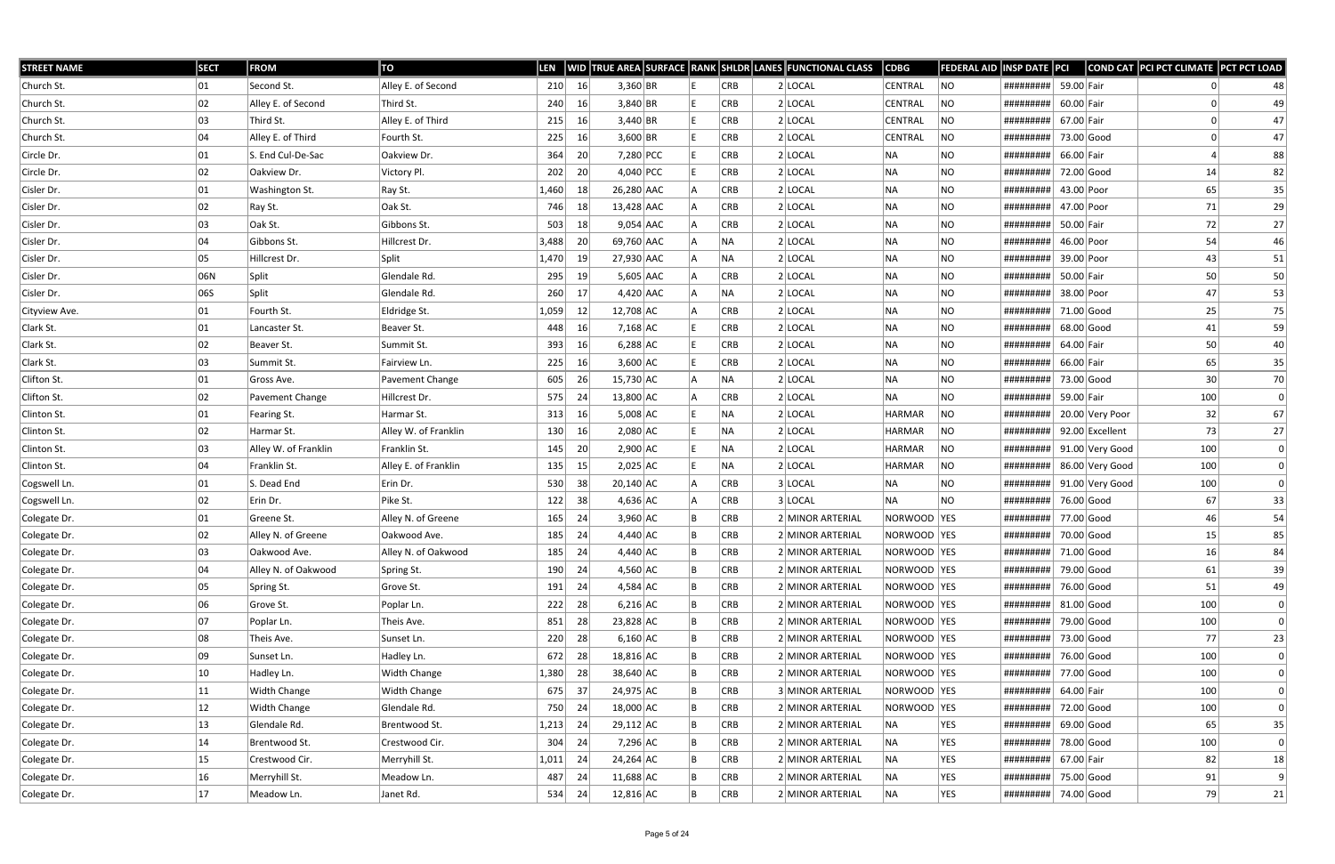| <b>STREET NAME</b> | <b>SECT</b>  | <b>FROM</b>          | TO                   | <b>LEN</b> |    |             |    |            | WID TRUE AREA SURFACE RANK SHLDR LANES FUNCTIONAL CLASS | <b>CDBG</b>    | <b>FEDERAL AID</b> | INSP DATE PCI                                                                                                                                                                                                                                                                                                                                                                                |              |                 | COND CAT PCI PCT CLIMATE PCT PCT LOAD |    |
|--------------------|--------------|----------------------|----------------------|------------|----|-------------|----|------------|---------------------------------------------------------|----------------|--------------------|----------------------------------------------------------------------------------------------------------------------------------------------------------------------------------------------------------------------------------------------------------------------------------------------------------------------------------------------------------------------------------------------|--------------|-----------------|---------------------------------------|----|
| Church St.         | 01           | Second St.           | Alley E. of Second   | 210        | 16 | $3,360$ BR  |    | <b>CRB</b> | $2$ LOCAL                                               | <b>CENTRAL</b> | NO                 | #########                                                                                                                                                                                                                                                                                                                                                                                    | 59.00 Fair   |                 |                                       | 48 |
| Church St.         | 02           | Alley E. of Second   | Third St.            | 240        | 16 | $3,840$ BR  |    | <b>CRB</b> | 2 LOCAL                                                 | CENTRAL        | NO                 | #########                                                                                                                                                                                                                                                                                                                                                                                    | $60.00$ Fair |                 |                                       | 49 |
| Church St.         | 03           | Third St.            | Alley E. of Third    | 215        | 16 | 3,440 BR    |    | CRB        | $2$ LOCAL                                               | CENTRAL        | <b>NO</b>          | #########                                                                                                                                                                                                                                                                                                                                                                                    | 67.00 Fair   |                 |                                       | 47 |
| Church St.         | 04           | Alley E. of Third    | Fourth St.           | 225        | 16 | $3,600$ BR  |    | <b>CRB</b> | 2 LOCAL                                                 | <b>CENTRAL</b> | NO                 | #########                                                                                                                                                                                                                                                                                                                                                                                    | 73.00 Good   |                 |                                       | 47 |
| Circle Dr.         | 01           | S. End Cul-De-Sac    | Oakview Dr.          | 364        | 20 | 7,280 PCC   |    | <b>CRB</b> | $2$ LOCAL                                               | NA             | NO                 | #########                                                                                                                                                                                                                                                                                                                                                                                    | 66.00 Fair   |                 |                                       | 88 |
| Circle Dr.         | 02           | Oakview Dr.          | Victory Pl.          | 202        | 20 | 4,040 PCC   |    | CRB        | $2$ LOCAL                                               | NA             | <b>NO</b>          | #########                                                                                                                                                                                                                                                                                                                                                                                    | 72.00 Good   |                 | 14                                    | 82 |
| Cisler Dr.         | 01           | Washington St.       | Ray St.              | 1,460      | 18 | 26,280 AAC  |    | <b>CRB</b> | 2 LOCAL                                                 | NA             | NO.                | #########                                                                                                                                                                                                                                                                                                                                                                                    | 43.00 Poor   |                 | 65                                    | 35 |
| Cisler Dr.         | 02           | Ray St.              | Oak St.              | 746        | 18 | 13,428 AAC  |    | <b>CRB</b> | 2 LOCAL                                                 | NA             | <b>NO</b>          | #########                                                                                                                                                                                                                                                                                                                                                                                    | 47.00 Poor   |                 | 71                                    | 29 |
| Cisler Dr.         | 03           | Oak St.              | Gibbons St.          | 503        | 18 | $9,054$ AAC |    | <b>CRB</b> | 2 LOCAL                                                 | NA             | NO.                | #########                                                                                                                                                                                                                                                                                                                                                                                    | 50.00 Fair   |                 | 72                                    | 27 |
| Cisler Dr.         | 04           | Gibbons St.          | Hillcrest Dr.        | 3,488      | 20 | 69,760 AAC  |    | NA.        | $2$ LOCAL                                               | NA             | NO.                | #########                                                                                                                                                                                                                                                                                                                                                                                    | 46.00 Poor   |                 | 54                                    | 46 |
| Cisler Dr.         | 05           | Hillcrest Dr.        | Split                | 1,470      | 19 | 27,930 AAC  |    | NA.        | $2$ LOCAL                                               | NA             | NO                 | #########                                                                                                                                                                                                                                                                                                                                                                                    | 39.00 Poor   |                 | 43                                    | 51 |
| Cisler Dr.         | 06N          | Split                | Glendale Rd.         | 295        | 19 | $5,605$ AAC |    | <b>CRB</b> | $2$ LOCAL                                               | NA             | NO.                | #########                                                                                                                                                                                                                                                                                                                                                                                    | 50.00 Fair   |                 | 50                                    | 50 |
| Cisler Dr.         | 065          | Split                | Glendale Rd.         | 260        | 17 | $4,420$ AAC |    | NA         | $2$ LOCAL                                               | NA             | <b>NO</b>          | #########                                                                                                                                                                                                                                                                                                                                                                                    | 38.00 Poor   |                 | 47                                    | 53 |
| Cityview Ave.      | 01           | Fourth St.           | Eldridge St.         | 1,059      | 12 | 12,708 AC   |    | CRB        | $2$ LOCAL                                               | NA             | NO.                | #########                                                                                                                                                                                                                                                                                                                                                                                    | 71.00 Good   |                 | 25                                    | 75 |
| Clark St.          | 01           | Lancaster St.        | Beaver St.           | 448        | 16 | $7,168$ AC  |    | <b>CRB</b> | 2 LOCAL                                                 | NA             | <b>NO</b>          | #########                                                                                                                                                                                                                                                                                                                                                                                    | 68.00 Good   |                 | 41                                    | 59 |
| Clark St.          | 02           | Beaver St.           | Summit St.           | 393        | 16 | $6,288$ AC  |    | CRB        | 2 LOCAL                                                 | NA             | <b>NO</b>          | #########                                                                                                                                                                                                                                                                                                                                                                                    | 64.00 Fair   |                 | 50                                    | 40 |
| Clark St.          | 03           | Summit St.           | Fairview Ln.         | 225        | 16 | $3,600$ AC  |    | <b>CRB</b> | $2$ LOCAL                                               | NA             | NO.                | #########                                                                                                                                                                                                                                                                                                                                                                                    | 66.00 Fair   |                 | 65                                    | 35 |
| Clifton St.        | 01           | Gross Ave.           | Pavement Change      | 605        | 26 | 15,730 AC   |    | NA         | 2 LOCAL                                                 | NA             | NO.                | #########                                                                                                                                                                                                                                                                                                                                                                                    | 73.00 Good   |                 | 30                                    | 70 |
| Clifton St.        | 02           | Pavement Change      | Hillcrest Dr.        | 575        | 24 | 13,800 AC   |    | <b>CRB</b> | 2 LOCAL                                                 | NA             | <b>NO</b>          | #########                                                                                                                                                                                                                                                                                                                                                                                    | 59.00 Fair   |                 | 100                                   | 0  |
| Clinton St.        | 01           | Fearing St.          | Harmar St.           | 313        | 16 | $5,008$ AC  |    | NA         | $2$ LOCAL                                               | <b>HARMAR</b>  | NO                 | #########                                                                                                                                                                                                                                                                                                                                                                                    |              | 20.00 Very Poor | 32                                    | 67 |
| Clinton St.        | 02           | Harmar St.           | Alley W. of Franklin | 130        | 16 | $2,080$ AC  |    | NA         | 2 LOCAL                                                 | HARMAR         | NO.                | #########                                                                                                                                                                                                                                                                                                                                                                                    |              | 92.00 Excellent | 73                                    | 27 |
| Clinton St.        | 03           | Alley W. of Franklin | Franklin St.         | 145        | 20 | $2,900$ AC  |    | NA         | $2$ LOCAL                                               | <b>HARMAR</b>  | NO.                | #########                                                                                                                                                                                                                                                                                                                                                                                    |              | 91.00 Very Good | 100                                   | 0  |
| Clinton St.        | 04           | Franklin St.         | Alley E. of Franklin | 135        | 15 | $2,025$ AC  |    | NA         | 2 LOCAL                                                 | HARMAR         | NO                 | #########                                                                                                                                                                                                                                                                                                                                                                                    |              | 86.00 Very Good | 100                                   | 0  |
| Cogswell Ln.       | 01           | S. Dead End          | Erin Dr.             | 530        | 38 | $20,140$ AC |    | <b>CRB</b> | 3 LOCAL                                                 | NA             | NO.                | #########                                                                                                                                                                                                                                                                                                                                                                                    |              | 91.00 Very Good | 100                                   |    |
| Cogswell Ln.       | 02           | Erin Dr.             | Pike St.             | 122        | 38 | $4,636$ AC  |    | CRB        | 3 LOCAL                                                 | NA             | NO.                | #########                                                                                                                                                                                                                                                                                                                                                                                    | 76.00 Good   |                 | 67                                    | 33 |
| Colegate Dr.       | 01           | Greene St.           | Alley N. of Greene   | 165        | 24 | $3,960$ AC  |    | <b>CRB</b> | 2 MINOR ARTERIAL                                        | NORWOOD YES    |                    | #########                                                                                                                                                                                                                                                                                                                                                                                    | 77.00 Good   |                 | 46                                    | 54 |
| Colegate Dr.       | 02           | Alley N. of Greene   | Oakwood Ave.         | 185        | 24 | $4,440$ AC  |    | <b>CRB</b> | 2 MINOR ARTERIAL                                        | NORWOOD YES    |                    | #########                                                                                                                                                                                                                                                                                                                                                                                    | 70.00 Good   |                 | 15                                    | 85 |
| Colegate Dr.       | 03           | Oakwood Ave.         | Alley N. of Oakwood  | 185        | 24 | $4,440$ AC  | ΙB | <b>CRB</b> | 2 MINOR ARTERIAL                                        | NORWOOD YES    |                    | ######### 71.00 Good                                                                                                                                                                                                                                                                                                                                                                         |              |                 | 16                                    | 84 |
| Colegate Dr.       | 04           | Alley N. of Oakwood  | Spring St.           | 190        | 24 | $4,560$ AC  |    | <b>CRB</b> | 2 MINOR ARTERIAL                                        | NORWOOD YES    |                    | #########                                                                                                                                                                                                                                                                                                                                                                                    | 79.00 Good   |                 | 61                                    | 39 |
| Colegate Dr.       | 05           | Spring St.           | Grove St.            | 191        | 24 | $4,584$ AC  |    | <b>CRB</b> | 2 MINOR ARTERIAL                                        | NORWOOD YES    |                    | #########                                                                                                                                                                                                                                                                                                                                                                                    | 76.00 Good   |                 | 51                                    | 49 |
| Colegate Dr.       | 06           | Grove St.            | Poplar Ln.           | 222        | 28 | $6,216$ AC  |    | <b>CRB</b> | 2 MINOR ARTERIAL                                        | NORWOOD YES    |                    | #########                                                                                                                                                                                                                                                                                                                                                                                    | $81.00$ Good |                 | 100                                   | 0  |
| Colegate Dr.       | 07           | Poplar Ln.           | Theis Ave.           | 851        | 28 | 23,828 AC   |    | <b>CRB</b> | 2 MINOR ARTERIAL                                        | NORWOOD YES    |                    | #########                                                                                                                                                                                                                                                                                                                                                                                    | 79.00 Good   |                 | 100                                   | 0  |
| Colegate Dr.       | 08           | Theis Ave.           | Sunset Ln.           | 220        | 28 | $6,160$ AC  |    | <b>CRB</b> | 2 MINOR ARTERIAL                                        | NORWOOD YES    |                    | #########                                                                                                                                                                                                                                                                                                                                                                                    | 73.00 Good   |                 | 77                                    | 23 |
| Colegate Dr.       | 09           | Sunset Ln.           | Hadley Ln.           | 672        | 28 | 18,816 AC   |    | <b>CRB</b> | 2 MINOR ARTERIAL                                        | NORWOOD YES    |                    | #########                                                                                                                                                                                                                                                                                                                                                                                    | 76.00 Good   |                 | 100                                   | 0  |
| Colegate Dr.       | $ 10\rangle$ | Hadley Ln.           | <b>Width Change</b>  | 1,380      | 28 | 38,640 AC   |    | CRB        | 2 MINOR ARTERIAL                                        | NORWOOD YES    |                    | #########                                                                                                                                                                                                                                                                                                                                                                                    | 77.00 Good   |                 | 100                                   |    |
| Colegate Dr.       | $ 11\rangle$ | Width Change         | Width Change         | 675        | 37 | 24,975 AC   |    | <b>CRB</b> | 3 MINOR ARTERIAL                                        | NORWOOD YES    |                    | #########                                                                                                                                                                                                                                                                                                                                                                                    | 64.00 Fair   |                 | 100                                   |    |
| Colegate Dr.       | $ 12\rangle$ | <b>Width Change</b>  | Glendale Rd.         | 750        | 24 | 18,000 AC   |    | <b>CRB</b> | 2 MINOR ARTERIAL                                        | NORWOOD YES    |                    | #########                                                                                                                                                                                                                                                                                                                                                                                    | 72.00 Good   |                 | 100                                   |    |
| Colegate Dr.       | 13           | Glendale Rd.         | Brentwood St.        | 1,213      | 24 | 29,112 AC   |    | <b>CRB</b> | 2 MINOR ARTERIAL                                        | NA             | YES                | #########                                                                                                                                                                                                                                                                                                                                                                                    | $69.00$ Good |                 | 65                                    | 35 |
| Colegate Dr.       | 14           | Brentwood St.        | Crestwood Cir.       | 304        | 24 | 7,296 AC    |    | <b>CRB</b> | 2 MINOR ARTERIAL                                        | NA             | YES                | #########                                                                                                                                                                                                                                                                                                                                                                                    | 78.00 Good   |                 | 100                                   | 0  |
| Colegate Dr.       | $ 15\rangle$ | Crestwood Cir.       | Merryhill St.        | 1,011      | 24 | 24,264 AC   |    | <b>CRB</b> | 2 MINOR ARTERIAL                                        | NA             | <b>YES</b>         | #########                                                                                                                                                                                                                                                                                                                                                                                    | 67.00 Fair   |                 | 82                                    | 18 |
| Colegate Dr.       | 16           | Merryhill St.        | Meadow Ln.           | 487        | 24 | $11,688$ AC |    | <b>CRB</b> | 2 MINOR ARTERIAL                                        | NA             | YES                | #########                                                                                                                                                                                                                                                                                                                                                                                    | 75.00 Good   |                 | 91                                    | 9  |
| Colegate Dr.       | 17           | Meadow Ln.           | Janet Rd.            | 534        | 24 | $12,816$ AC |    | CRB        | 2 MINOR ARTERIAL                                        | NA             | <b>YES</b>         | $\left  \frac{1}{4} \frac{1}{4} \frac{1}{4} \frac{1}{4} \frac{1}{4} \frac{1}{4} \frac{1}{4} \frac{1}{4} \frac{1}{4} \frac{1}{4} \frac{1}{4} \frac{1}{4} \frac{1}{4} \frac{1}{4} \frac{1}{4} \frac{1}{4} \frac{1}{4} \frac{1}{4} \frac{1}{4} \frac{1}{4} \frac{1}{4} \frac{1}{4} \frac{1}{4} \frac{1}{4} \frac{1}{4} \frac{1}{4} \frac{1}{4} \frac{1}{4} \frac{1}{4} \frac{1}{4} \frac{1}{4}$ |              |                 | 79                                    | 21 |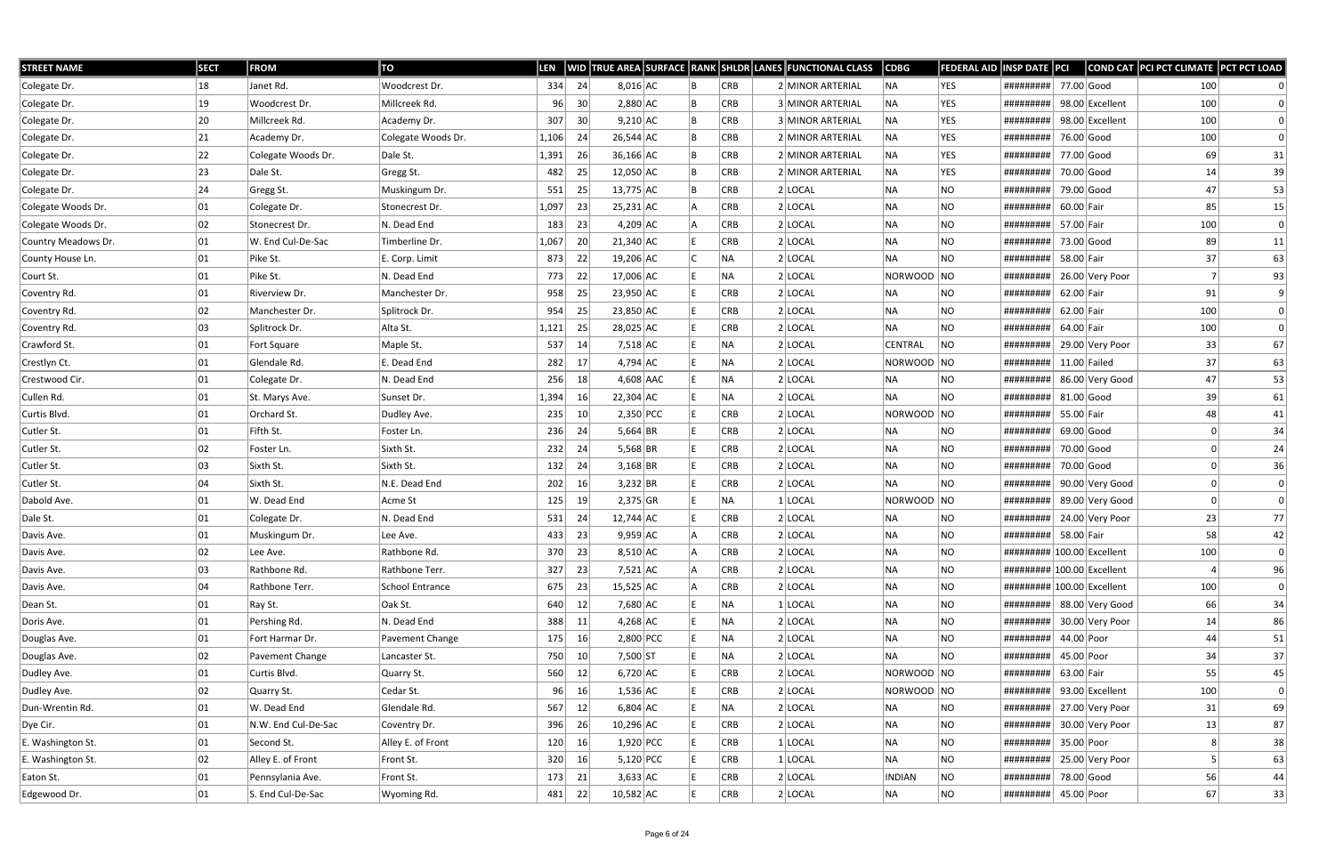| <b>STREET NAME</b>  | <b>SECT</b>  | <b>FROM</b>         | TO                 | <b>LEN</b> |     |             |  |            | WID TRUE AREA SURFACE RANK SHLDR LANES FUNCTIONAL CLASS | $\overline{\textsf{CDBG}}$ | <b>FEDERAL AID</b> | <b>INSP DATE PCI</b>       |                |                 | COND CAT PCI PCT CLIMATE PCT PCT LOAD |              |
|---------------------|--------------|---------------------|--------------------|------------|-----|-------------|--|------------|---------------------------------------------------------|----------------------------|--------------------|----------------------------|----------------|-----------------|---------------------------------------|--------------|
| Colegate Dr.        | 18           | Janet Rd.           | Woodcrest Dr.      | 334        | 24  | $8,016$ AC  |  | <b>CRB</b> | 2 MINOR ARTERIAL                                        | NA                         | <b>YES</b>         | #########                  | 77.00 Good     |                 | 100                                   |              |
| Colegate Dr.        | $ 19\rangle$ | Woodcrest Dr.       | Millcreek Rd.      | 96         | 30  | $2,880$ AC  |  | CRB        | 3 MINOR ARTERIAL                                        | NA                         | <b>YES</b>         | #########                  |                | 98.00 Excellent | 100                                   |              |
| Colegate Dr.        | 20           | Millcreek Rd.       | Academy Dr.        | 307        | 30  | $9,210$ AC  |  | <b>CRB</b> | 3 MINOR ARTERIAL                                        | NA                         | <b>YES</b>         | #########                  |                | 98.00 Excellent | 100                                   |              |
| Colegate Dr.        | 21           | Academy Dr.         | Colegate Woods Dr. | 1,106      | -24 | $26,544$ AC |  | <b>CRB</b> | 2 MINOR ARTERIAL                                        | NA                         | YES                | #########                  | 76.00 Good     |                 | 100                                   | $\mathbf{0}$ |
| Colegate Dr.        | 22           | Colegate Woods Dr.  | Dale St.           | 1,391      | 26  | $36,166$ AC |  | <b>CRB</b> | 2 MINOR ARTERIAL                                        | NA                         | <b>YES</b>         | #########                  | 77.00 Good     |                 | 69                                    | 31           |
| Colegate Dr.        | 23           | Dale St.            | Gregg St.          | 482        | 25  | $12,050$ AC |  | <b>CRB</b> | 2 MINOR ARTERIAL                                        | NA                         | <b>YES</b>         | #########                  | 70.00 Good     |                 | 14                                    | 39           |
| Colegate Dr.        | 24           | Gregg St.           | Muskingum Dr.      | 551        | 25  | $13,775$ AC |  | <b>CRB</b> | 2 LOCAL                                                 | NA                         | <b>NO</b>          | #########                  | 79.00 Good     |                 | 47                                    | 53           |
| Colegate Woods Dr.  | 01           | Colegate Dr.        | Stonecrest Dr.     | 1,097      | 23  | $25,231$ AC |  | <b>CRB</b> | 2 LOCAL                                                 | NA                         | <b>NO</b>          | #########                  | 60.00 Fair     |                 | 85                                    | 15           |
| Colegate Woods Dr.  | 02           | Stonecrest Dr.      | N. Dead End        | 183        | 23  | $4,209$ AC  |  | <b>CRB</b> | $2$ LOCAL                                               | NA                         | <b>NO</b>          | #########                  | 57.00 Fair     |                 | 100                                   | $\Omega$     |
| Country Meadows Dr. | 01           | W. End Cul-De-Sac   | Timberline Dr.     | 1,067      | 20  | $21,340$ AC |  | CRB        | $2$ LOCAL                                               | NA                         | NO                 | #########                  | 73.00 Good     |                 | 89                                    | 11           |
| County House Ln.    | 01           | Pike St.            | E. Corp. Limit     | 873        | 22  | 19,206 AC   |  | NA.        | $2$ LOCAL                                               | NA                         | <b>NO</b>          | #########                  | 58.00 Fair     |                 | 37                                    | 63           |
| Court St.           | 01           | Pike St.            | N. Dead End        | 773        | 22  | 17,006 AC   |  | NA.        | 2 LOCAL                                                 | NORWOOD NO                 |                    | #########                  |                | 26.00 Very Poor |                                       | 93           |
| Coventry Rd.        | 01           | Riverview Dr.       | Manchester Dr.     | 958        | 25  | $23,950$ AC |  | <b>CRB</b> | $2$ LOCAL                                               | NA                         | NO                 | #########                  | 62.00 Fair     |                 | 91                                    | 9            |
| Coventry Rd.        | 02           | Manchester Dr.      | Splitrock Dr.      | 954        | 25  | 23,850 AC   |  | <b>CRB</b> | $2$ LOCAL                                               | NA                         | <b>NO</b>          | #########                  | 62.00 Fair     |                 | 100                                   | $\mathbf{0}$ |
| Coventry Rd.        | 03           | Splitrock Dr.       | Alta St.           | 1,121      | 25  | $28,025$ AC |  | <b>CRB</b> | 2 LOCAL                                                 | NA                         | NO                 | #########                  | 64.00 Fair     |                 | 100                                   | $\mathbf{0}$ |
| Crawford St.        | 01           | Fort Square         | Maple St.          | 537        | 14  | $7,518$ AC  |  | NA         | $2$ LOCAL                                               | CENTRAL                    | <b>NO</b>          | #########                  |                | 29.00 Very Poor | 33                                    | 67           |
| Crestlyn Ct.        | 01           | Glendale Rd.        | E. Dead End        | 282        | 17  | $4,794$ AC  |  | NA         | $2$ LOCAL                                               | NORWOOD NO                 |                    | #########                  | $11.00$ Failed |                 | 37                                    | 63           |
| Crestwood Cir.      | 01           | Colegate Dr.        | N. Dead End        | 256        | 18  | 4,608 AAC   |  | NA         | $2$ LOCAL                                               | NA                         | NO                 | #########                  |                | 86.00 Very Good | 47                                    | 53           |
| Cullen Rd.          | 01           | St. Marys Ave.      | Sunset Dr.         | 1,394      | 16  | $22,304$ AC |  | NA         | $2$ LOCAL                                               | NA                         | <b>NO</b>          | #########                  | $81.00$ Good   |                 | 39                                    | 61           |
| Curtis Blvd.        | 01           | Orchard St.         | Dudley Ave.        | 235        | 10  | $2,350$ PCC |  | <b>CRB</b> | $2$ LOCAL                                               | NORWOOD NO                 |                    | #########                  | 55.00 Fair     |                 | 48                                    | 41           |
| Cutler St.          | 01           | Fifth St.           | Foster Ln.         | 236        | 24  | 5,664 BR    |  | <b>CRB</b> | $2$ LOCAL                                               | NA                         | NO                 | #########                  | $69.00$ Good   |                 |                                       | 34           |
| Cutler St.          | 02           | Foster Ln.          | Sixth St.          | 232        | 24  | $5,568$ BR  |  | <b>CRB</b> | $2$ LOCAL                                               | NA                         | <b>NO</b>          | #########                  | 70.00 Good     |                 |                                       | 24           |
| Cutler St.          | 03           | Sixth St.           | Sixth St.          | 132        | 24  | $3,168$ BR  |  | <b>CRB</b> | $2$ LOCAL                                               | NA                         | NO                 | #########                  | 70.00 Good     |                 |                                       | 36           |
| Cutler St.          | 04           | Sixth St.           | N.E. Dead End      | 202        | 16  | $3,232$ BR  |  | <b>CRB</b> | $2$ LOCAL                                               | NA                         | <b>NO</b>          | #########                  |                | 90.00 Very Good |                                       |              |
| Dabold Ave.         | 01           | W. Dead End         | Acme St            | 125        | 19  | $2,375$ GR  |  | NA         | $1$ LOCAL                                               | NORWOOD NO                 |                    | #########                  |                | 89.00 Very Good |                                       |              |
| Dale St.            | 01           | Colegate Dr.        | N. Dead End        | 531        | 24  | $12,744$ AC |  | <b>CRB</b> | $2$ LOCAL                                               | NA                         | NO                 | #########                  |                | 24.00 Very Poor | 23                                    | 77           |
| Davis Ave.          | 01           | Muskingum Dr.       | Lee Ave.           | 433        | 23  | $9,959$ AC  |  | <b>CRB</b> | $2$ LOCAL                                               | NA                         | <b>NO</b>          | #########                  | 58.00 Fair     |                 | 58                                    | 42           |
| Davis Ave.          | 02           | Lee Ave.            | Rathbone Rd.       | 370        | 23  | $8,510$ AC  |  | <b>CRB</b> | $2$ LOCAL                                               | NA                         | <b>NO</b>          | ######### 100.00 Excellent |                |                 | 100                                   | 0            |
| Davis Ave.          | 03           | Rathbone Rd.        | Rathbone Terr.     | 327        | 23  | $7,521$ AC  |  | <b>CRB</b> | $2$ LOCAL                                               | NA                         | NO                 | ######### 100.00 Excellent |                |                 |                                       | 96           |
| Davis Ave.          | 04           | Rathbone Terr.      | School Entrance    | 675        | 23  | $15,525$ AC |  | <b>CRB</b> | $2$ LOCAL                                               | NA                         | <b>NO</b>          | ######### 100.00 Excellent |                |                 | 100                                   | 0            |
| Dean St.            | 01           | Ray St.             | Oak St.            | 640        | 12  | 7,680 AC    |  | NA.        | $1 $ LOCAL                                              | NA                         | <b>NO</b>          | #########                  |                | 88.00 Very Good | 66                                    | 34           |
| Doris Ave.          | 01           | Pershing Rd.        | N. Dead End        | 388        | 11  | $4,268$ AC  |  | NA.        | $2$ LOCAL                                               | NA                         | NO                 | #########                  |                | 30.00 Very Poor | 14                                    | 86           |
| Douglas Ave.        | 01           | Fort Harmar Dr.     | Pavement Change    | 175        | 16  | $2,800$ PCC |  | NA         | $2$ LOCAL                                               | NA                         | <b>NO</b>          | #########                  | 44.00 Poor     |                 | 44                                    | 51           |
| Douglas Ave.        | 02           | Pavement Change     | Lancaster St.      | 750        | 10  | 7,500 ST    |  | NA.        | $2$ LOCAL                                               | NA                         | NO                 | #########                  | 45.00 Poor     |                 | 34                                    | 37           |
| Dudley Ave.         | 01           | Curtis Blvd.        | Quarry St.         | 560        | 12  | $6,720$ AC  |  | <b>CRB</b> | $2$ LOCAL                                               | NORWOOD NO                 |                    | #########                  | 63.00 Fair     |                 | 55                                    | 45           |
| Dudley Ave.         | 02           | Quarry St.          | Cedar St.          | 96         | 16  | $1,536$ AC  |  | <b>CRB</b> | $2$ LOCAL                                               | NORWOOD NO                 |                    | #########                  |                | 93.00 Excellent | 100                                   | 0            |
| Dun-Wrentin Rd.     | 01           | W. Dead End         | Glendale Rd.       | 567        | 12  | $6,804$ AC  |  | NA         | $2$ LOCAL                                               | NA                         | NO                 | #########                  |                | 27.00 Very Poor | 31                                    | 69           |
| Dye Cir.            | 01           | N.W. End Cul-De-Sac | Coventry Dr.       | 396        | 26  | $10,296$ AC |  | <b>CRB</b> | $2$ LOCAL                                               | NA                         | NO                 | #########                  |                | 30.00 Very Poor | 13                                    | 87           |
| E. Washington St.   | 01           | Second St.          | Alley E. of Front  | 120        | 16  | $1,920$ PCC |  | <b>CRB</b> | $1$ LOCAL                                               | NA                         | <b>NO</b>          | #########                  | 35.00 Poor     |                 | 8                                     | 38           |
| E. Washington St.   | 02           | Alley E. of Front   | Front St.          | 320        | 16  | $5,120$ PCC |  | <b>CRB</b> | $1$ LOCAL                                               | NA                         | NO                 | #########                  |                | 25.00 Very Poor |                                       | 63           |
| Eaton St.           | 01           | Pennsylania Ave.    | Front St.          | 173        | 21  | $3,633$ AC  |  | <b>CRB</b> | $2$ LOCAL                                               | <b>INDIAN</b>              | <b>NO</b>          | #########                  | 78.00 Good     |                 | 56                                    | 44           |
| Edgewood Dr.        | 01           | S. End Cul-De-Sac   | Wyoming Rd.        | 481        | 22  | $10,582$ AC |  | CRB        | 2 LOCAL                                                 | NA                         | <b>NO</b>          | #########                  | 45.00 Poor     |                 | 67                                    | 33           |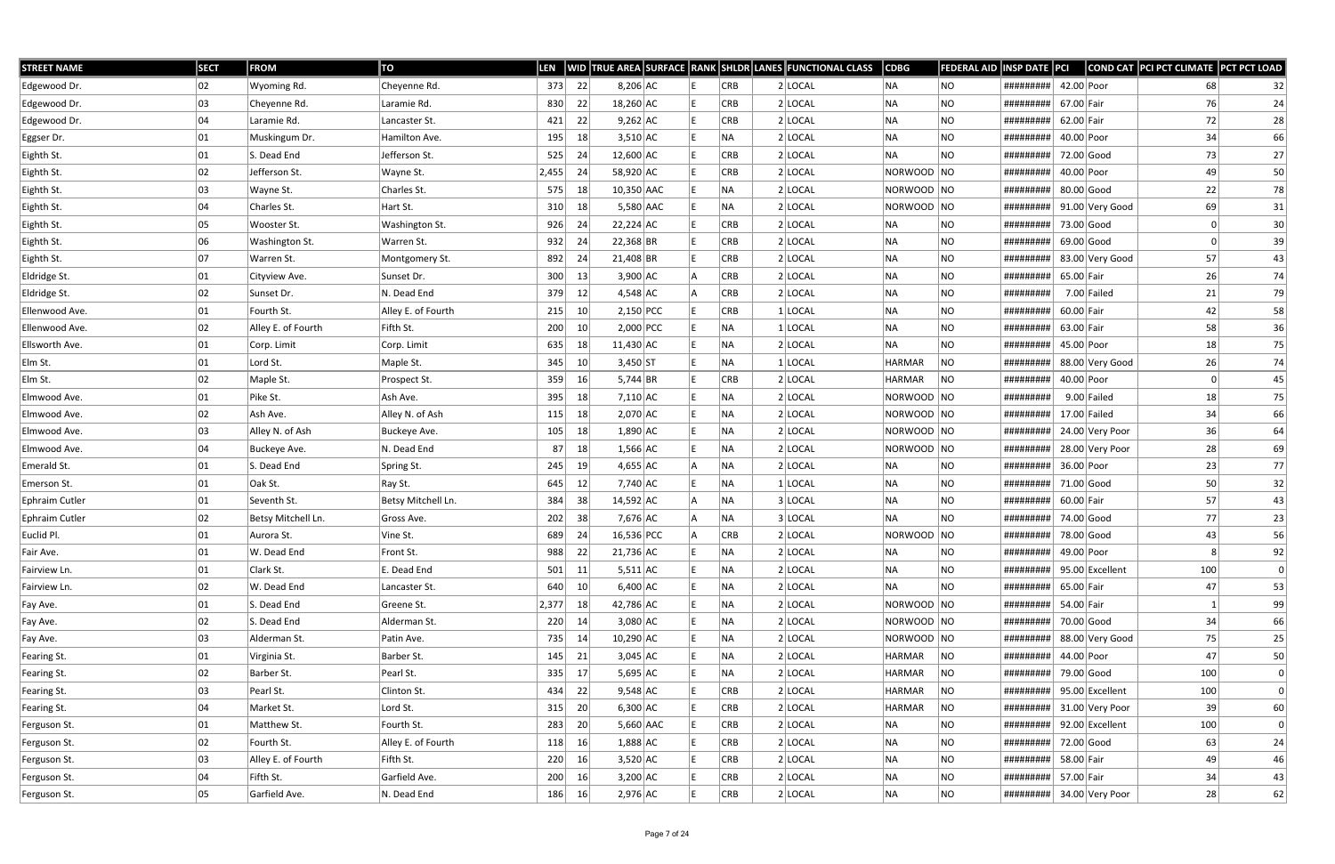| <b>STREET NAME</b> | <b>SECT</b> | <b>FROM</b>           | TO                 | LEN      |                 |             |  |            | WID TRUE AREA SURFACE RANK SHLDR LANES FUNCTIONAL CLASS | CDBG          | <b>FEDERAL AID</b> | <b>INSP DATE PCI</b>       |            |                 | COND CAT PCI PCT CLIMATE PCT PCT LOAD |    |
|--------------------|-------------|-----------------------|--------------------|----------|-----------------|-------------|--|------------|---------------------------------------------------------|---------------|--------------------|----------------------------|------------|-----------------|---------------------------------------|----|
| Edgewood Dr.       | 02          | Wyoming Rd.           | Cheyenne Rd.       | 373      | 22              | $8,206$ AC  |  | CRB        | $2$ LOCAL                                               | NA            | NO.                | #########                  | 42.00 Poor |                 | 68                                    | 32 |
| Edgewood Dr.       | 03          | Cheyenne Rd.          | Laramie Rd.        | 830      | 22              | $18,260$ AC |  | <b>CRB</b> | $2$ LOCAL                                               | NA            | <b>NO</b>          | #########                  | 67.00 Fair |                 | 76                                    | 24 |
| Edgewood Dr.       | 04          | Laramie Rd.           | Lancaster St.      | 421      | 22              | $9,262$ AC  |  | <b>CRB</b> | $2$ LOCAL                                               | ∣NA           | <b>NO</b>          | #########                  | 62.00 Fair |                 | 72                                    | 28 |
| Eggser Dr.         | 01          | Muskingum Dr.         | Hamilton Ave.      | 195      | 18              | $3,510$ AC  |  | NA         | $2$ LOCAL                                               | NA            | <b>NO</b>          | #########                  | 40.00 Poor |                 | 34                                    | 66 |
| Eighth St.         | 01          | S. Dead End           | Jefferson St.      | 525      | 24              | 12,600 AC   |  | <b>CRB</b> | $2$ LOCAL                                               | NA            | <b>NO</b>          | #########                  |            | 72.00 Good      | 73                                    | 27 |
| Eighth St.         | 02          | Jefferson St.         | Wayne St.          | 2,455    | 24              | 58,920 AC   |  | <b>CRB</b> | $2$ LOCAL                                               | NORWOOD NO    |                    | #########                  | 40.00 Poor |                 | 49                                    | 50 |
| Eighth St.         | 03          | Wayne St.             | Charles St.        | 575      | 18              | 10,350 AAC  |  | NA.        | $2$ LOCAL                                               | NORWOOD  NO   |                    | #########                  |            | $80.00$ Good    | 22                                    | 78 |
| Eighth St.         | 04          | Charles St.           | Hart St.           | 310      | 18              | 5,580 AAC   |  | NA         | $2$ LOCAL                                               | NORWOOD NO    |                    | #########                  |            | 91.00 Very Good | 69                                    | 31 |
| Eighth St.         | 05          | Wooster St.           | Washington St.     | 926      | 24              | $22,224$ AC |  | <b>CRB</b> | $2$ LOCAL                                               | NA            | NO.                | #########                  |            | 73.00 Good      |                                       | 30 |
| Eighth St.         | 06          | <b>Washington St.</b> | Warren St.         | 932      | 24              | $22,368$ BR |  | <b>CRB</b> | $2$ LOCAL                                               | NA            | <b>NO</b>          | #########                  |            | 69.00 Good      | 0                                     | 39 |
| Eighth St.         | 07          | Warren St.            | Montgomery St.     | 892      | 24              | $21,408$ BR |  | <b>CRB</b> | $2$ LOCAL                                               | NA            | NO                 | #########                  |            | 83.00 Very Good | 57                                    | 43 |
| Eldridge St.       | 01          | Cityview Ave.         | Sunset Dr.         | 300      | 13              | $3,900$ AC  |  | CRB        | $2$ LOCAL                                               | NA            | NO.                | #########                  | 65.00 Fair |                 | 26                                    | 74 |
| Eldridge St.       | 02          | Sunset Dr.            | N. Dead End        | 379      | 12              | $4,548$ AC  |  | CRB        | $2$ LOCAL                                               | NA            | <b>NO</b>          | #########                  |            | $7.00$ Failed   | 21                                    | 79 |
| Ellenwood Ave.     | 01          | Fourth St.            | Alley E. of Fourth | 215      | 10 <sup>°</sup> | $2,150$ PCC |  | <b>CRB</b> | $1$ LOCAL                                               | NA            | <b>NO</b>          | #########                  | 60.00 Fair |                 | 42                                    | 58 |
| Ellenwood Ave.     | 02          | Alley E. of Fourth    | Fifth St.          | 200      | 10              | $2,000$ PCC |  | NA         | $1 $ LOCAL                                              | ∣NA           | <b>NO</b>          | #########                  | 63.00 Fair |                 | 58                                    | 36 |
| Ellsworth Ave.     | 01          | Corp. Limit           | Corp. Limit        | 635      | 18              | $11,430$ AC |  | NA         | $2$ LOCAL                                               | NA            | <b>NO</b>          | #########                  | 45.00 Poor |                 | 18                                    | 75 |
| Elm St.            | 01          | Lord St.              | Maple St.          | 345      | 10              | $3,450$ ST  |  | NA         | $1$ LOCAL                                               | <b>HARMAR</b> | <b>NO</b>          | #########                  |            | 88.00 Very Good | 26                                    | 74 |
| Elm St.            | 02          | Maple St.             | Prospect St.       | 359      | 16              | 5,744 BR    |  | CRB        | $2$ LOCAL                                               | HARMAR        | NO                 | #########                  | 40.00 Poor |                 |                                       | 45 |
| Elmwood Ave.       | 01          | Pike St.              | Ash Ave.           | 395      | 18              | $7,110$ AC  |  | NA)        | $2$ LOCAL                                               | NORWOOD NO    |                    | #########                  |            | $9.00$ Failed   | 18                                    | 75 |
| Elmwood Ave.       | 02          | Ash Ave.              | Alley N. of Ash    | 115      | 18              | $2,070$ AC  |  | NA         | $2$ LOCAL                                               | NORWOOD NO    |                    | #########                  |            | $17.00$ Failed  | 34                                    | 66 |
| Elmwood Ave.       | 03          | Alley N. of Ash       | Buckeye Ave.       | 105      | 18              | $1,890$ AC  |  | NA         | $2$ LOCAL                                               | NORWOOD NO    |                    | #########                  |            | 24.00 Very Poor | 36                                    | 64 |
| Elmwood Ave.       | 04          | Buckeye Ave.          | N. Dead End        | 87       | 18              | $1,566$ AC  |  | NA         | $2$ LOCAL                                               | NORWOOD NO    |                    | #########                  |            | 28.00 Very Poor | 28                                    | 69 |
| Emerald St.        | 01          | S. Dead End           | Spring St.         | 245      | 19              | $4,655$ AC  |  | NA         | $2$ LOCAL                                               | NA            | NO                 | #########                  | 36.00 Poor |                 | 23                                    | 77 |
| Emerson St.        | 01          | Oak St.               | Ray St.            | 645      | 12              | 7,740 AC    |  | NA         | $1 $ LOCAL                                              | NA            | NO                 | #########                  |            | 71.00 Good      | 50                                    | 32 |
| Ephraim Cutler     | 01          | Seventh St.           | Betsy Mitchell Ln. | 384      | 38              | $14,592$ AC |  | NA         | 3 LOCAL                                                 | NA            | <b>NO</b>          | #########                  | 60.00 Fair |                 | 57                                    | 43 |
| Ephraim Cutler     | 02          | Betsy Mitchell Ln.    | Gross Ave.         | 202      | 38              | 7,676 AC    |  | NA         | 3 LOCAL                                                 | NA            | <b>NO</b>          | #########                  |            | 74.00 Good      | 77                                    | 23 |
| Euclid Pl.         | 01          | Aurora St.            | Vine St.           | 689      | -24             | 16,536 PCC  |  | <b>CRB</b> | $2$ LOCAL                                               | NORWOOD NO    |                    | #########                  | 78.00 Good |                 | 43                                    | 56 |
| Fair Ave.          | 01          | W. Dead End           | Front St.          | 988      | 22              | 21,736 AC   |  | NA         | $2$ LOCAL                                               | NA            | NO                 | $ $ ########## 49.00 Poor  |            |                 | 8 <sup>1</sup>                        | 92 |
| Fairview Ln.       | 01          | Clark St.             | E. Dead End        | 501      | 11              | $5,511$ AC  |  | NA         | $2$ LOCAL                                               | NA            | NO                 | #########                  |            | 95.00 Excellent | 100                                   | 0  |
| Fairview Ln.       | 02          | W. Dead End           | Lancaster St.      | 640      | 10              | $6,400$ AC  |  | NA         | $2$ LOCAL                                               | NA            | <b>NO</b>          | #########                  | 65.00 Fair |                 | 47                                    | 53 |
| Fay Ave.           | 01          | S. Dead End           | Greene St.         | 2,377    | 18              | 42,786 AC   |  | NA         | $2$ LOCAL                                               | NORWOOD NO    |                    | #########                  | 54.00 Fair |                 |                                       | 99 |
| Fay Ave.           | 02          | S. Dead End           | Alderman St.       | $220$ 14 |                 | $3,080$ AC  |  | NA.        | 2 LOCAL                                                 | NORWOOD NO    |                    | #########                  |            | 70.00 Good      | 34                                    | 66 |
| Fay Ave.           | 03          | Alderman St.          | Patin Ave.         | 735      | 14              | $10,290$ AC |  | NA         | $2$ LOCAL                                               | NORWOOD NO    |                    | #########                  |            | 88.00 Very Good | 75                                    | 25 |
| Fearing St.        | 01          | Virginia St.          | Barber St.         | 145      | 21              | $3,045$ AC  |  | NA         | $2$ LOCAL                                               | HARMAR        | NO                 | #########                  | 44.00 Poor |                 | 47                                    | 50 |
| Fearing St.        | 02          | Barber St.            | Pearl St.          | 335      | 17              | $5,695$ AC  |  | NA         | $2$ LOCAL                                               | HARMAR        | NO                 | #########                  |            | 79.00 Good      | 100                                   | 0  |
| Fearing St.        | 03          | Pearl St.             | Clinton St.        | 434      | 22              | $9,548$ AC  |  | CRB        | $2$ LOCAL                                               | HARMAR        | NO                 | #########                  |            | 95.00 Excellent | 100                                   | 0  |
| Fearing St.        | 04          | Market St.            | Lord St.           | 315      | 20              | $6,300$ AC  |  | <b>CRB</b> | $2$ LOCAL                                               | HARMAR        | NO.                | #########                  |            | 31.00 Very Poor | 39                                    | 60 |
| Ferguson St.       | 01          | Matthew St.           | Fourth St.         | 283      | 20              | $5,660$ AAC |  | CRB        | 2 LOCAL                                                 | NA            | <b>NO</b>          | #########                  |            | 92.00 Excellent | 100                                   | 0  |
| Ferguson St.       | 02          | Fourth St.            | Alley E. of Fourth | 118      | 16              | $1,888$ AC  |  | CRB        | $2$ LOCAL                                               | NA            | <b>NO</b>          | #########                  |            | 72.00 Good      | 63                                    | 24 |
| Ferguson St.       | 03          | Alley E. of Fourth    | Fifth St.          | 220      | 16              | $3,520$ AC  |  | <b>CRB</b> | $2$ LOCAL                                               | NA            | NO.                | #########                  | 58.00 Fair |                 | 49                                    | 46 |
| Ferguson St.       | 04          | Fifth St.             | Garfield Ave.      | 200      | 16              | $3,200$ AC  |  | CRB        | 2 LOCAL                                                 | NA            | NO                 | #########                  | 57.00 Fair |                 | 34                                    | 43 |
| Ferguson St.       | 05          | Garfield Ave.         | N. Dead End        | 186      | 16              | $2,976$ AC  |  | <b>CRB</b> | $2$ LOCAL                                               | NA            | <b>NO</b>          | ########## 34.00 Very Poor |            |                 | 28                                    | 62 |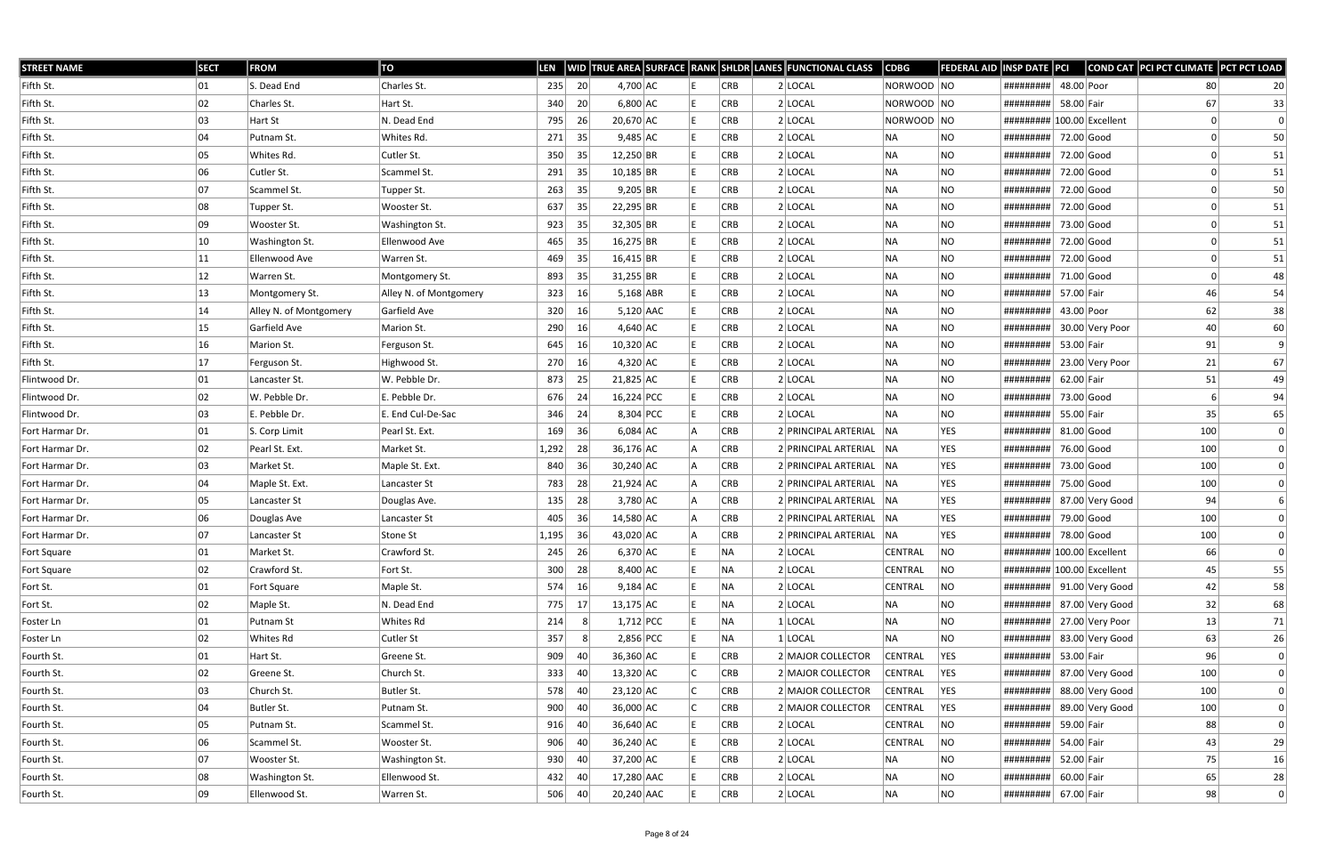| <b>STREET NAME</b> | <b>SECT</b> | <b>FROM</b>            | TO                     | <b>LEN</b> |    |              |  |            | WID TRUE AREA SURFACE RANK SHLDR LANES FUNCTIONAL CLASS | $\vert$ CDBG   | <b>FEDERAL AID INSP DATE PCI</b> |                             |              |                           | COND CAT PCI PCT CLIMATE PCT PCT LOAD |    |
|--------------------|-------------|------------------------|------------------------|------------|----|--------------|--|------------|---------------------------------------------------------|----------------|----------------------------------|-----------------------------|--------------|---------------------------|---------------------------------------|----|
| Fifth St.          | 01          | S. Dead End            | Charles St.            | 235        | 20 | $4,700$ AC   |  | CRB        | $2$ LOCAL                                               | NORWOOD NO     |                                  | #########                   | 48.00 Poor   |                           | 80                                    | 20 |
| Fifth St.          | 02          | Charles St.            | Hart St.               | 340        | 20 | $6,800$ AC   |  | CRB        | $2$ LOCAL                                               | NORWOOD NO     |                                  | #########                   | 58.00 Fair   |                           | 67                                    | 33 |
| Fifth St.          | 03          | Hart St                | N. Dead End            | 795        | 26 | $20,670$ AC  |  | CRB        | $2$ LOCAL                                               | NORWOOD NO     |                                  | ########## 100.00 Excellent |              |                           |                                       |    |
| Fifth St.          | 04          | Putnam St.             | Whites Rd.             | 271        | 35 | $9,485$ AC   |  | CRB        | $2$ LOCAL                                               | NA             | <b>NO</b>                        | #########                   | 72.00 Good   |                           |                                       | 50 |
| Fifth St.          | 05          | Whites Rd.             | Cutler St.             | 350        | 35 | $12,250$ BR  |  | CRB        | 2 LOCAL                                                 | <b>NA</b>      | <b>NO</b>                        | #########                   |              | 72.00 Good                |                                       | 51 |
| Fifth St.          | 06          | Cutler St.             | Scammel St.            | 291        | 35 | $10,185$ BR  |  | CRB        | $2$ LOCAL                                               | <b>NA</b>      | NO.                              | #########                   |              | 72.00 Good                |                                       | 51 |
| Fifth St.          | 07          | Scammel St.            | Tupper St.             | 263        | 35 | 9,205 BR     |  | CRB        | $2$ LOCAL                                               | NA             | <b>NO</b>                        | #########                   |              | 72.00 Good                |                                       | 50 |
| Fifth St.          | 08          | Tupper St.             | Wooster St.            | 637        | 35 | 22,295 BR    |  | <b>CRB</b> | $2$ LOCAL                                               | <b>NA</b>      | <b>NO</b>                        | #########                   |              | 72.00 Good                |                                       | 51 |
| Fifth St.          | 09          | Wooster St.            | Washington St.         | 923        | 35 | 32,305 BR    |  | CRB        | $2$ LOCAL                                               | <b>NA</b>      | NO.                              | #########                   |              | 73.00 Good                |                                       | 51 |
| Fifth St.          | 10          | <b>Washington St.</b>  | Ellenwood Ave          | 465        | 35 | 16,275 BR    |  | CRB        | $2$ LOCAL                                               | ∣NA            | NO.                              | #########                   |              | 72.00 Good                |                                       | 51 |
| Fifth St.          | 11          | Ellenwood Ave          | Warren St.             | 469        | 35 | $16,415$ BR  |  | CRB        | $2$ LOCAL                                               | <b>NA</b>      | <b>NO</b>                        | #########                   |              | 72.00 Good                |                                       | 51 |
| Fifth St.          | 12          | Warren St.             | Montgomery St.         | 893        | 35 | $31,255$ BR  |  | CRB        | 2 LOCAL                                                 | <b>NA</b>      | NO.                              | #########                   |              | 71.00 Good                |                                       | 48 |
| Fifth St.          | 13          | Montgomery St.         | Alley N. of Montgomery | 323        | 16 | $5,168$ ABR  |  | CRB        | $2$ LOCAL                                               | NA             | NO.                              | #########                   | 57.00 Fair   |                           | 46                                    | 54 |
| Fifth St.          | 14          | Alley N. of Montgomery | Garfield Ave           | 320        | 16 | $5,120$ AAC  |  | CRB        | $2$ LOCAL                                               | NA             | <b>NO</b>                        | #########                   | 43.00 Poor   |                           | 62                                    | 38 |
| Fifth St.          | 15          | Garfield Ave           | Marion St.             | 290        | 16 | $4,640$ AC   |  | CRB        | 2 LOCAL                                                 | <b>NA</b>      | <b>NO</b>                        | #########                   |              | 30.00 Very Poor           | 40                                    | 60 |
| Fifth St.          | 16          | Marion St.             | Ferguson St.           | 645        | 16 | $10,320$ AC  |  | CRB        | $2$ LOCAL                                               | <b>NA</b>      | <b>NO</b>                        | #########                   | 53.00 Fair   |                           | 91                                    | 9  |
| Fifth St.          | 17          | Ferguson St.           | Highwood St.           | 270        | 16 | $4,320$ AC   |  | CRB        | $2$ LOCAL                                               | ∣NA            | <b>NO</b>                        | #########                   |              | 23.00 Very Poor           | 21                                    | 67 |
| Flintwood Dr.      | 01          | Lancaster St.          | W. Pebble Dr.          | 873        | 25 | $21,825$ AC  |  | <b>CRB</b> | 2 LOCAL                                                 | ∣NA            | <b>NO</b>                        | #########                   | 62.00 Fair   |                           | 51                                    | 49 |
| Flintwood Dr.      | 02          | W. Pebble Dr.          | E. Pebble Dr.          | 676        | 24 | 16,224 PCC   |  | <b>CRB</b> | $2$ LOCAL                                               | <b>NA</b>      | <b>NO</b>                        | #########                   |              | 73.00 Good                |                                       | 94 |
| Flintwood Dr.      | 03          | E. Pebble Dr.          | E. End Cul-De-Sac      | 346        | 24 | 8,304 PCC    |  | CRB        | $2$ LOCAL                                               | <b>NA</b>      | <b>NO</b>                        | #########                   | 55.00 Fair   |                           | 35                                    | 65 |
| Fort Harmar Dr.    | 01          | S. Corp Limit          | Pearl St. Ext.         | 169        | 36 | $6,084$ AC   |  | CRB        | 2 PRINCIPAL ARTERIAL                                    | <b>INA</b>     | YES.                             | #########                   | 81.00 Good   |                           | 100                                   | 0  |
| Fort Harmar Dr.    | 02          | Pearl St. Ext.         | Market St.             | 1,292      | 28 | $36,176$ AC  |  | <b>CRB</b> | 2 PRINCIPAL ARTERIAL                                    | <b>NA</b>      | YES                              | #########                   | 76.00 Good   |                           | 100                                   |    |
| Fort Harmar Dr.    | 03          | Market St.             | Maple St. Ext.         | 840        | 36 | $30,240$ AC  |  | CRB        | 2 PRINCIPAL ARTERIAL                                    | <b>INA</b>     | YES                              | #########                   | 73.00 Good   |                           | 100                                   |    |
| Fort Harmar Dr.    | 104         | Maple St. Ext.         | Lancaster St           | 783        | 28 | $21,924$ AC  |  | CRB        | 2 PRINCIPAL ARTERIAL NA                                 |                | YES                              | #########                   |              | 75.00 Good                | 100                                   |    |
| Fort Harmar Dr.    | 05          | Lancaster St           | Douglas Ave.           | 135        | 28 | $3,780$ AC   |  | <b>CRB</b> | 2 PRINCIPAL ARTERIAL                                    | <b>INA</b>     | YES                              | #########                   |              | 87.00 Very Good           | 94                                    |    |
| Fort Harmar Dr.    | 06          | Douglas Ave            | Lancaster St           | 405        | 36 | 14,580 AC    |  | CRB        | 2 PRINCIPAL ARTERIAL                                    | INA            | YES                              | #########                   |              | 79.00 Good                | 100                                   |    |
| Fort Harmar Dr.    | 07          | Lancaster St           | Stone St               | 1,195      | 36 | 43,020 AC    |  | CRB        | 2 PRINCIPAL ARTERIAL NA                                 |                | YES.                             | ######### 78.00 Good        |              |                           | 100                                   |    |
| Fort Square        | 01          | Market St.             | Crawford St.           | 245        | 26 | $6,370$ AC   |  | NA         | $2$ LOCAL                                               | CENTRAL        | NO                               | ######### 100.00 Excellent  |              |                           | 66                                    | 0  |
| Fort Square        | 02          | Crawford St.           | Fort St.               | 300        | 28 | $8,400$ AC   |  | <b>NA</b>  | $2$ LOCAL                                               | <b>CENTRAL</b> | NO                               | ######### 100.00 Excellent  |              |                           | 45                                    | 55 |
| Fort St.           | 01          | Fort Square            | Maple St.              | 574        | 16 | $9,184$ AC   |  | <b>NA</b>  | 2 LOCAL                                                 | CENTRAL        | NO                               |                             |              | ######### 91.00 Very Good | 42                                    | 58 |
| Fort St.           | 02          | Maple St.              | N. Dead End            | 775        | 17 | $13,175$ AC  |  | <b>NA</b>  | $2$ LOCAL                                               | NA             | <b>NO</b>                        | #########                   |              | 87.00 Very Good           | 32                                    | 68 |
| Foster Ln          | 01          | Putnam St              | Whites Rd              | 214        | -8 | $1,712$ PCC  |  | <b>NA</b>  | $1$ LOCAL                                               | NA             | NO                               | ######### 27.00 Very Poor   |              |                           | 13                                    | 71 |
| Foster Ln          | 02          | Whites Rd              | Cutler St              | 357        | 8  | $2,856$ PCC  |  | <b>NA</b>  | $1$ LOCAL                                               | <b>NA</b>      | <b>NO</b>                        | #########                   |              | 83.00 Very Good           | 63                                    | 26 |
| Fourth St.         | 01          | Hart St.               | Greene St.             | 909        | 40 | 36,360 AC    |  | CRB        | 2 MAJOR COLLECTOR                                       | CENTRAL        | YES                              | #########                   | 53.00 Fair   |                           | 96                                    | 0  |
| Fourth St.         | 02          | Greene St.             | Church St.             | 333        | 40 | $13,320$ AC  |  | CRB        | 2 MAJOR COLLECTOR                                       | CENTRAL        | <b>YES</b>                       | #########                   |              | 87.00 Very Good           | 100                                   | 0  |
| Fourth St.         | 03          | Church St.             | Butler St.             | 578        | 40 | $23,120$ AC  |  | CRB        | 2 MAJOR COLLECTOR                                       | <b>CENTRAL</b> | <b>YES</b>                       | #########                   |              | 88.00 Very Good           | 100                                   | 0  |
| Fourth St.         | 04          | Butler St.             | Putnam St.             | 900        | 40 | 36,000 AC    |  | CRB        | 2 MAJOR COLLECTOR                                       | CENTRAL        | YES                              | #########                   |              | 89.00 Very Good           | 100                                   | 0  |
| Fourth St.         | 05          | Putnam St.             | Scammel St.            | 916        | 40 | 36,640 AC    |  | CRB        | 2 LOCAL                                                 | CENTRAL        | NO                               | #########                   | 59.00 Fair   |                           | 88                                    |    |
| Fourth St.         | 06          | Scammel St.            | Wooster St.            | 906        | 40 | 36,240 AC    |  | CRB        | $2$ LOCAL                                               | CENTRAL        | NO                               | #########                   | 54.00 Fair   |                           | 43                                    | 29 |
| Fourth St.         | 07          | Wooster St.            | Washington St.         | 930        | 40 | 37,200 AC    |  | CRB        | 2 LOCAL                                                 | NA             | <b>NO</b>                        | #########                   | 52.00 Fair   |                           | 75                                    | 16 |
| Fourth St.         | 08          | Washington St.         | Ellenwood St.          | 432        | 40 | 17,280 AAC   |  | CRB        | 2 LOCAL                                                 | <b>NA</b>      | <b>NO</b>                        | #########                   | $60.00$ Fair |                           | 65                                    | 28 |
| Fourth St.         | 09          | Ellenwood St.          | Warren St.             | 506        | 40 | $20,240$ AAC |  | CRB        | $2$ LOCAL                                               | NA             | <b>NO</b>                        | ######### 67.00 Fair        |              |                           | 98                                    | 0  |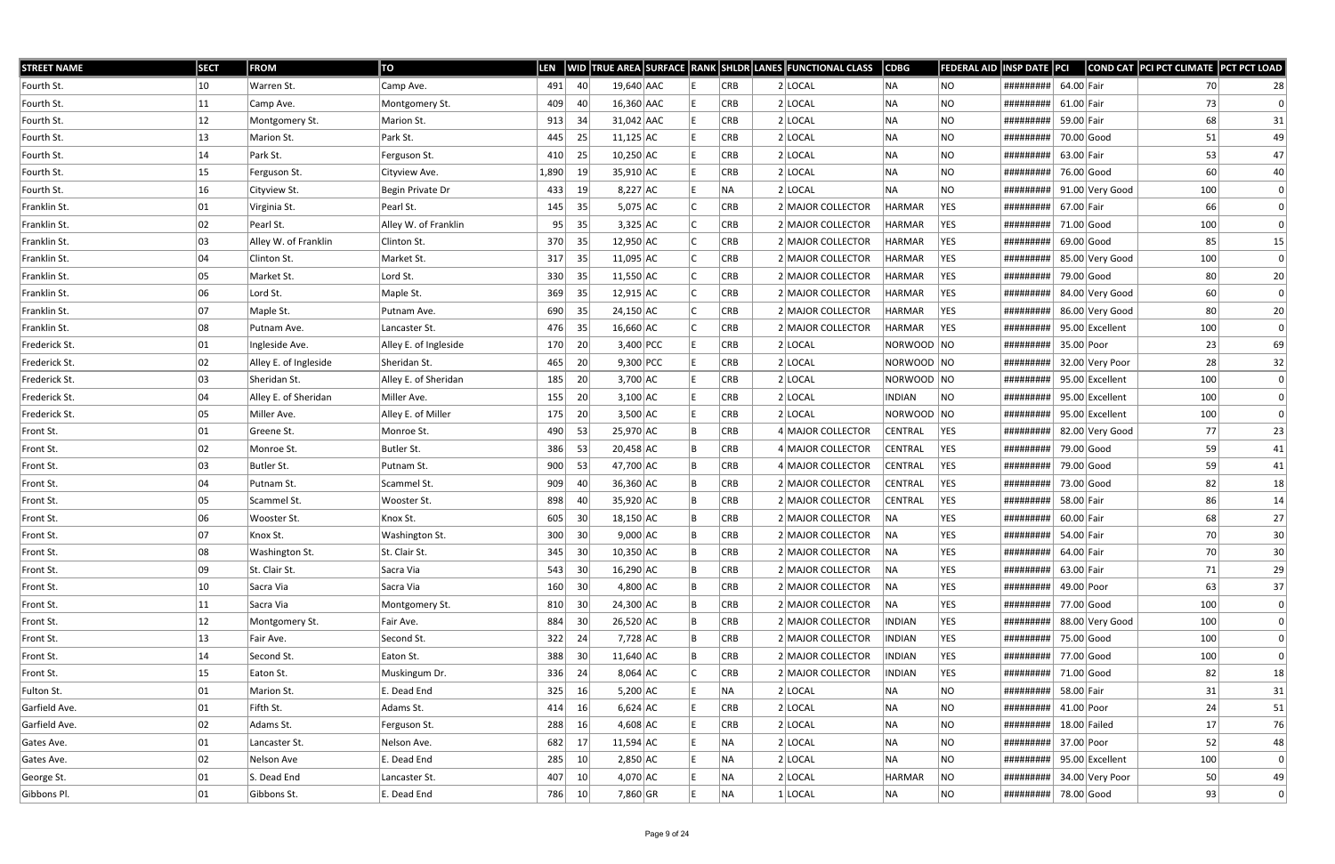| <b>STREET NAME</b> | <b>SECT</b>  | <b>FROM</b>           | TO                    | <b>LEN</b> |                 |              |  |            | WID TRUE AREA SURFACE RANK SHLDR LANES FUNCTIONAL CLASS | <b>CDBG</b>    | <b>FEDERAL AID</b> | INSP DATE PCI         |              |                 | COND CAT PCI PCT CLIMATE PCT PCT LOAD |                 |
|--------------------|--------------|-----------------------|-----------------------|------------|-----------------|--------------|--|------------|---------------------------------------------------------|----------------|--------------------|-----------------------|--------------|-----------------|---------------------------------------|-----------------|
| Fourth St.         | 10           | Warren St.            | Camp Ave.             | 491        | 40              | 19,640 AAC   |  | CRB        | $2$ LOCAL                                               | NA             | NO                 | #########             | 64.00 Fair   |                 | 70                                    | 28              |
| Fourth St.         | 11           | Camp Ave.             | Montgomery St.        | 409        | 40              | 16,360 AAC   |  | <b>CRB</b> | $2$ LOCAL                                               | <b>NA</b>      | <b>NO</b>          | #########             | $61.00$ Fair |                 | 73                                    | $\Omega$        |
| Fourth St.         | 12           | Montgomery St.        | Marion St.            | 913        | -34             | $31,042$ AAC |  | <b>CRB</b> | $2$ LOCAL                                               | <b>NA</b>      | <b>NO</b>          | #########             | 59.00 Fair   |                 | 68                                    | 31              |
| Fourth St.         | 13           | Marion St.            | Park St.              | 445        | 25              | $11,125$ AC  |  | CRB        | $2$ LOCAL                                               | NA             | <b>NO</b>          | #########             |              | 70.00 Good      | 51                                    | 49              |
| Fourth St.         | 14           | Park St.              | Ferguson St.          | 410        | 25              | $10,250$ AC  |  | <b>CRB</b> | $2$ LOCAL                                               | <b>NA</b>      | NO                 | #########             | 63.00 Fair   |                 | 53                                    | 47              |
| Fourth St.         | 15           | Ferguson St.          | Cityview Ave.         | 1,890      | 19              | 35,910 AC    |  | <b>CRB</b> | $2$ LOCAL                                               | <b>NA</b>      | <b>NO</b>          | #########             | 76.00 Good   |                 | 60                                    | 40              |
| Fourth St.         | 16           | Cityview St.          | Begin Private Dr      | 433        | 19 <sup>°</sup> | $8,227$ AC   |  | NA         | 2 LOCAL                                                 | <b>NA</b>      | NO.                | #########             |              | 91.00 Very Good | 100                                   | $\Omega$        |
| Franklin St.       | 01           | Virginia St.          | Pearl St.             | 145        | 35              | $5,075$ AC   |  | <b>CRB</b> | 2 MAJOR COLLECTOR                                       | HARMAR         | YES                | #########             | 67.00 Fair   |                 | 66                                    |                 |
| Franklin St.       | 02           | Pearl St.             | Alley W. of Franklin  | 95         | 35              | $3,325$ AC   |  | CRB        | 2 MAJOR COLLECTOR                                       | <b>HARMAR</b>  | YES                | #########             | $71.00$ Good |                 | 100                                   | $\Omega$        |
| Franklin St.       | 03           | Alley W. of Franklin  | Clinton St.           | 370        | 35              | 12,950 AC    |  | <b>CRB</b> | 2 MAJOR COLLECTOR                                       | <b>HARMAR</b>  | YES                | #########             | $69.00$ Good |                 | 85                                    | 15              |
| Franklin St.       | 04           | Clinton St.           | Market St.            | 317        | 35              | $11,095$ AC  |  | <b>CRB</b> | 2 MAJOR COLLECTOR                                       | HARMAR         | YES                | #########             |              | 85.00 Very Good | 100                                   | $\Omega$        |
| Franklin St.       | 05           | Market St.            | Lord St.              | 330        | 35              | $11,550$ AC  |  | CRB        | 2 MAJOR COLLECTOR                                       | <b>HARMAR</b>  | YES                | #########             | 79.00 Good   |                 | 80                                    | 20              |
| Franklin St.       | 06           | Lord St.              | Maple St.             | 369        | 35              | $12,915$ AC  |  | CRB        | 2 MAJOR COLLECTOR                                       | <b>HARMAR</b>  | YES                | #########             |              | 84.00 Very Good | 60                                    | $\overline{0}$  |
| Franklin St.       | 07           | Maple St.             | Putnam Ave.           | 690        | 35              | 24,150 AC    |  | CRB        | 2 MAJOR COLLECTOR                                       | <b>HARMAR</b>  | YES.               | #########             |              | 86.00 Very Good | 80                                    | 20              |
| Franklin St.       | 08           | Putnam Ave.           | Lancaster St.         | 476        | 35              | 16,660 AC    |  | CRB        | 2 MAJOR COLLECTOR                                       | <b>HARMAR</b>  | YES                | #########             |              | 95.00 Excellent | 100                                   | $\overline{0}$  |
| Frederick St.      | 01           | Ingleside Ave.        | Alley E. of Ingleside | 170        | 20              | 3,400 PCC    |  | <b>CRB</b> | $2$ LOCAL                                               | NORWOOD NO     |                    | #########             | 35.00 Poor   |                 | 23                                    | 69              |
| Frederick St.      | 02           | Alley E. of Ingleside | Sheridan St.          | 465        | 20              | $9,300$ PCC  |  | CRB        | $2$ LOCAL                                               | NORWOOD NO     |                    | #########             |              | 32.00 Very Poor | 28                                    | 32              |
| Frederick St.      | 03           | Sheridan St.          | Alley E. of Sheridan  | 185        | 20 <sup>1</sup> | $3,700$ AC   |  | CRB        | $2$ LOCAL                                               | NORWOOD NO     |                    | #########             |              | 95.00 Excellent | 100                                   | $\vert 0 \vert$ |
| Frederick St.      | 04           | Alley E. of Sheridan  | Miller Ave.           | 155        | 20              | $3,100$ AC   |  | <b>CRB</b> | $2$ LOCAL                                               | <b>INDIAN</b>  | NO.                | #########             |              | 95.00 Excellent | 100                                   | $\Omega$        |
| Frederick St.      | 05           | Miller Ave.           | Alley E. of Miller    | 175        | 20              | $3,500$ AC   |  | CRB        | 2 LOCAL                                                 | NORWOOD NO     |                    | #########             |              | 95.00 Excellent | 100                                   | $\Omega$        |
| Front St.          | 01           | Greene St.            | Monroe St.            | 490        | 53              | 25,970 AC    |  | CRB        | 4 MAJOR COLLECTOR                                       | <b>CENTRAL</b> | YES                | #########             |              | 82.00 Very Good | 77                                    | 23              |
| Front St.          | 02           | Monroe St.            | Butler St.            | 386        | 53              | $20,458$ AC  |  | <b>CRB</b> | 4 MAJOR COLLECTOR                                       | <b>CENTRAL</b> | YES                | #########             | 79.00 Good   |                 | 59                                    | 41              |
| Front St.          | 03           | Butler St.            | Putnam St.            | 900        | 53              | 47,700 AC    |  | CRB        | 4 MAJOR COLLECTOR                                       | <b>CENTRAL</b> | YES                | #########             | 79.00 Good   |                 | 59                                    | 41              |
| Front St.          | 04           | Putnam St.            | Scammel St.           | 909        | 40              | 36,360 AC    |  | CRB        | 2 MAJOR COLLECTOR                                       | <b>CENTRAL</b> | YES                | #########             | 73.00 Good   |                 | 82                                    | 18              |
| Front St.          | 05           | Scammel St.           | Wooster St.           | 898        | 40              | 35,920 AC    |  | <b>CRB</b> | 2 MAJOR COLLECTOR                                       | <b>CENTRAL</b> | YES                | #########             | 58.00 Fair   |                 | 86                                    | 14              |
| Front St.          | 06           | Wooster St.           | Knox St.              | 605        | 30              | $18,150$ AC  |  | CRB        | 2 MAJOR COLLECTOR                                       | NA             | YES                | #########             | 60.00 Fair   |                 | 68                                    | 27              |
| Front St.          | 07           | Knox St.              | Washington St.        | 300        | 30 <sup>2</sup> | $9,000$ AC   |  | <b>CRB</b> | 2 MAJOR COLLECTOR                                       | NA             | YES                | #########             | 54.00 Fair   |                 | 70                                    | 30 <sup>°</sup> |
| Front St.          | 08           | <b>Washington St.</b> | St. Clair St.         | 345        | 30 <sup>°</sup> | $10,350$ AC  |  | CRB        | 2 MAJOR COLLECTOR                                       | NA             | <b>YES</b>         | #########             | 64.00 Fair   |                 | 70                                    | 30              |
| Front St.          | 09           | St. Clair St.         | Sacra Via             | 543        | 30              | $16,290$ AC  |  | CRB        | 2 MAJOR COLLECTOR                                       | NA             | YES                | #########             | 63.00 Fair   |                 | 71                                    | 29              |
| Front St.          | 10           | Sacra Via             | Sacra Via             | 160        | 30              | $4,800$ AC   |  | CRB        | 2 MAJOR COLLECTOR                                       | NA             | YES                | #########             | 49.00 Poor   |                 | 63                                    | 37              |
| Front St.          | 11           | Sacra Via             | Montgomery St.        | 810        | 30              | 24,300 AC    |  | CRB        | 2 MAJOR COLLECTOR                                       | NA             | YES                | , #########           | 77.00 Good   |                 | 100                                   | $\overline{0}$  |
| Front St.          | $ 12\rangle$ | Montgomery St.        | Fair Ave.             | 884        | 30              | 26,520 AC    |  | CRB        | 2 MAJOR COLLECTOR                                       | <b>INDIAN</b>  | YES                | #########             |              | 88.00 Very Good | 100                                   | $\vert 0 \vert$ |
| Front St.          | 13           | Fair Ave.             | Second St.            | 322        | 24              | 7,728 AC     |  | CRB        | 2 MAJOR COLLECTOR                                       | <b>INDIAN</b>  | YES                | #########             | 75.00 Good   |                 | 100                                   | $\Omega$        |
| Front St.          | 14           | Second St.            | Eaton St.             | 388        | 30              | $11,640$ AC  |  | CRB        | 2 MAJOR COLLECTOR                                       | <b>INDIAN</b>  | YES                | #########             |              | 77.00 Good      | 100                                   | $\Omega$        |
| Front St.          | 15           | Eaton St.             | Muskingum Dr.         | 336        | 24              | $8,064$ AC   |  | CRB        | 2 MAJOR COLLECTOR                                       | <b>INDIAN</b>  | YES                | #########             | 71.00 Good   |                 | 82                                    | 18              |
| Fulton St.         | 01           | Marion St.            | E. Dead End           | 325        | 16              | $5,200$ AC   |  | NA         | 2 LOCAL                                                 | NA             | <b>NO</b>          | #########             | 58.00 Fair   |                 | 31                                    | 31              |
| Garfield Ave.      | 01           | Fifth St.             | Adams St.             | 414        | 16              | $6,624$ AC   |  | CRB        | 2 LOCAL                                                 | NA             | <b>NO</b>          | #########             | 41.00 Poor   |                 | 24                                    | 51              |
| Garfield Ave.      | 02           | Adams St.             | Ferguson St.          | 288        | 16              | $4,608$ AC   |  | CRB        | 2 LOCAL                                                 | NA             | <b>NO</b>          | #########             |              | $18.00$ Failed  | 17                                    | 76              |
| Gates Ave.         | 01           | Lancaster St.         | Nelson Ave.           | 682        | 17              | $11,594$ AC  |  | NA         | 2 LOCAL                                                 | NA             | <b>NO</b>          | #########             | 37.00 Poor   |                 | 52                                    | 48              |
| Gates Ave.         | 02           | Nelson Ave            | E. Dead End           | 285        | 10              | $2,850$ AC   |  | NA         | 2 LOCAL                                                 | NA             | NO                 | #########             |              | 95.00 Excellent | 100                                   | $\overline{0}$  |
| George St.         | 01           | S. Dead End           | Lancaster St.         | 407        | 10              | 4,070 AC     |  | NA         | $2$ LOCAL                                               | <b>HARMAR</b>  | NO.                | #########             |              | 34.00 Very Poor | 50                                    | 49              |
| Gibbons Pl.        | 01           | Gibbons St.           | E. Dead End           | 786        | 10              | 7,860 GR     |  | NA         | $1$ LOCAL                                               | NA             | NO                 | ########## 78.00 Good |              |                 | 93                                    | $\vert 0 \vert$ |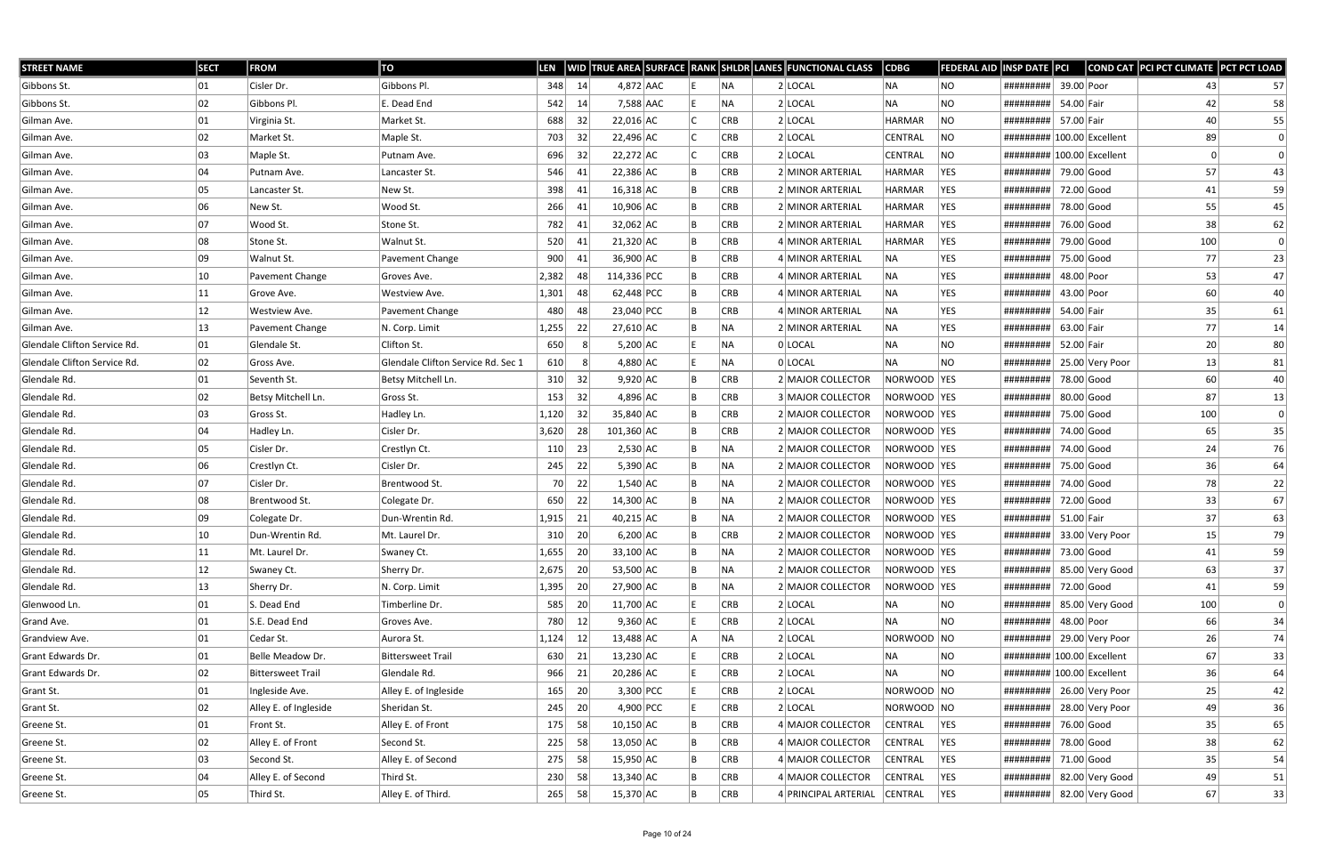| <b>STREET NAME</b>           | <b>SECT</b> | <b>FROM</b>              | TO                                 | LEN   |     |             |    |            | WID TRUE AREA SURFACE RANK SHLDR LANES FUNCTIONAL CLASS | $\overline{\textsf{CDBG}}$ | FEDERAL AID | INSP DATE PCI               |              |                 | COND CAT PCI PCT CLIMATE PCT PCT LOAD |    |
|------------------------------|-------------|--------------------------|------------------------------------|-------|-----|-------------|----|------------|---------------------------------------------------------|----------------------------|-------------|-----------------------------|--------------|-----------------|---------------------------------------|----|
| Gibbons St.                  | 01          | Cisler Dr.               | Gibbons Pl.                        | 348   | 14  | $4,872$ AAC |    | NA.        | 2 LOCAL                                                 | NA                         | NO.         | #########                   | 39.00 Poor   |                 | 43                                    | 57 |
| Gibbons St.                  | 02          | Gibbons Pl.              | E. Dead End                        | 542   | 14  | 7,588 AAC   |    | <b>NA</b>  | 2 LOCAL                                                 | NA                         | NO.         | #########                   | 54.00 Fair   |                 | 42                                    | 58 |
| Gilman Ave.                  | 01          | Virginia St.             | Market St.                         | 688   | 32  | $22,016$ AC |    | <b>CRB</b> | $2$ LOCAL                                               | <b>HARMAR</b>              | <b>NO</b>   | #########                   | 57.00 Fair   |                 | 40                                    | 55 |
| Gilman Ave.                  | 02          | Market St.               | Maple St.                          | 703   | 32  | 22,496 AC   |    | <b>CRB</b> | $2$ LOCAL                                               | CENTRAL                    | NO          | ########## 100.00 Excellent |              |                 | 89                                    | 0  |
| Gilman Ave.                  | 03          | Maple St.                | Putnam Ave.                        | 696   | 32  | 22,272 AC   |    | <b>CRB</b> | 2 LOCAL                                                 | CENTRAL                    | NO          | ########## 100.00 Excellent |              |                 |                                       |    |
| Gilman Ave.                  | 04          | Putnam Ave.              | Lancaster St.                      | 546   | 41  | $22,386$ AC |    | <b>CRB</b> | 2 MINOR ARTERIAL                                        | <b>HARMAR</b>              | YES         | #########                   | 79.00 Good   |                 | 57                                    | 43 |
| Gilman Ave.                  | 05          | Lancaster St.            | New St.                            | 398   | -41 | $16,318$ AC |    | <b>CRB</b> | 2 MINOR ARTERIAL                                        | <b>HARMAR</b>              | YES         | #########                   | 72.00 Good   |                 | 41                                    | 59 |
| Gilman Ave.                  | 06          | New St.                  | Wood St.                           | 266   | 41  | 10,906 AC   |    | <b>CRB</b> | 2 MINOR ARTERIAL                                        | <b>HARMAR</b>              | YES         | #########                   | 78.00 Good   |                 | 55                                    | 45 |
| Gilman Ave.                  | 07          | Wood St.                 | Stone St.                          | 782   | 41  | $32,062$ AC |    | <b>CRB</b> | 2 MINOR ARTERIAL                                        | <b>HARMAR</b>              | YES         | #########                   | 76.00 Good   |                 | 38                                    | 62 |
| Gilman Ave.                  | 08          | Stone St.                | Walnut St.                         | 520   | 41  | $21,320$ AC |    | <b>CRB</b> | 4 MINOR ARTERIAL                                        | HARMAR                     | <b>YES</b>  | #########                   | 79.00 Good   |                 | 100                                   | 0  |
| Gilman Ave.                  | 09          | Walnut St.               | Pavement Change                    | 900   | 41  | 36,900 AC   |    | <b>CRB</b> | 4 MINOR ARTERIAL                                        | NA                         | YES         | #########                   | 75.00 Good   |                 | 77                                    | 23 |
| Gilman Ave.                  | 10          | Pavement Change          | Groves Ave.                        | 2,382 | 48  | 114,336 PCC |    | <b>CRB</b> | 4 MINOR ARTERIAL                                        | NA                         | YES         | #########                   | 48.00 Poor   |                 | 53                                    | 47 |
| Gilman Ave.                  | 11          | Grove Ave.               | Westview Ave.                      | 1,301 | 48  | 62,448 PCC  |    | <b>CRB</b> | 4 MINOR ARTERIAL                                        | NA                         | <b>YES</b>  | #########                   | 43.00 Poor   |                 | 60                                    | 40 |
| Gilman Ave.                  | 12          | Westview Ave.            | Pavement Change                    | 480   | 48  | 23,040 PCC  |    | <b>CRB</b> | 4 MINOR ARTERIAL                                        | NA                         | <b>YES</b>  | #########                   | 54.00 Fair   |                 | 35                                    | 61 |
| Gilman Ave.                  | 13          | Pavement Change          | N. Corp. Limit                     | 1,255 | 22  | 27,610 AC   |    | INA.       | 2 MINOR ARTERIAL                                        | NA                         | <b>YES</b>  | #########                   | 63.00 Fair   |                 | 77                                    | 14 |
| Glendale Clifton Service Rd. | 01          | Glendale St.             | Clifton St.                        | 650   |     | $5,200$ AC  |    | <b>NA</b>  | 0 LOCAL                                                 | <b>NA</b>                  | NO.         | #########                   | 52.00 Fair   |                 | 20                                    | 80 |
| Glendale Clifton Service Rd. | 02          | Gross Ave.               | Glendale Clifton Service Rd. Sec 1 | 610   |     | $4,880$ AC  |    | NA         | 0 LOCAL                                                 | NA                         | NO.         | #########                   |              | 25.00 Very Poor | 13                                    | 81 |
| Glendale Rd.                 | 01          | Seventh St.              | Betsy Mitchell Ln.                 | 310   | 32  | $9,920$ AC  |    | <b>CRB</b> | 2 MAJOR COLLECTOR                                       | NORWOOD YES                |             | #########                   | 78.00 Good   |                 | 60                                    | 40 |
| Glendale Rd.                 | 02          | Betsy Mitchell Ln.       | Gross St.                          | 153   | 32  | $4,896$ AC  |    | <b>CRB</b> | 3 MAJOR COLLECTOR                                       | NORWOOD   YES              |             | #########                   | $80.00$ Good |                 | 87                                    | 13 |
| Glendale Rd.                 | 03          | Gross St.                | Hadley Ln.                         | 1,120 | 32  | 35,840 AC   |    | <b>CRB</b> | 2 MAJOR COLLECTOR                                       | NORWOOD   YES              |             | #########                   | 75.00 Good   |                 | 100                                   | 0  |
| Glendale Rd.                 | 04          | Hadley Ln.               | Cisler Dr.                         | 3,620 | 28  | 101,360 AC  |    | <b>CRB</b> | 2 MAJOR COLLECTOR                                       | NORWOOD  YES               |             | #########                   | 74.00 Good   |                 | 65                                    | 35 |
| Glendale Rd.                 | 05          | Cisler Dr.               | Crestlyn Ct.                       | 110   | 23  | $2,530$ AC  |    | NA         | 2 MAJOR COLLECTOR                                       | NORWOOD  YES               |             | #########                   | 74.00 Good   |                 | 24                                    | 76 |
| Glendale Rd.                 | 06          | Crestlyn Ct.             | Cisler Dr.                         | 245   | 22  | $5,390$ AC  |    | NA         | 2 MAJOR COLLECTOR                                       | NORWOOD  YES               |             | #########                   | 75.00 Good   |                 | 36                                    | 64 |
| Glendale Rd.                 | 07          | Cisler Dr.               | Brentwood St.                      | 70    | 22  | $1,540$ AC  |    | INA.       | 2 MAJOR COLLECTOR                                       | NORWOOD YES                |             | #########                   | 74.00 Good   |                 | 78                                    | 22 |
| Glendale Rd.                 | 08          | Brentwood St.            | Colegate Dr.                       | 650   | 22  | 14,300 AC   |    | NA)        | 2 MAJOR COLLECTOR                                       | NORWOOD  YES               |             | #########                   | 72.00 Good   |                 | 33                                    | 67 |
| Glendale Rd.                 | 09          | Colegate Dr.             | Dun-Wrentin Rd.                    | 1,915 | 21  | 40,215 AC   |    | NA         | 2 MAJOR COLLECTOR                                       | NORWOOD   YES              |             | #########                   | $51.00$ Fair |                 | 37                                    | 63 |
| Glendale Rd.                 | 10          | Dun-Wrentin Rd.          | Mt. Laurel Dr.                     | 310   | 20  | $6,200$ AC  |    | <b>CRB</b> | 2 MAJOR COLLECTOR                                       | NORWOOD  YES               |             | #########                   |              | 33.00 Very Poor | 15                                    | 79 |
| Glendale Rd.                 | 11          | Mt. Laurel Dr.           | Swaney Ct.                         | 1,655 | 20  | 33,100 AC   | IB | NA         | 2 MAJOR COLLECTOR                                       | NORWOOD YES                |             | #########                   | 73.00 Good   |                 | 41                                    | 59 |
| Glendale Rd.                 | 12          | Swaney Ct.               | Sherry Dr.                         | 2,675 | 20  | 53,500 AC   |    | NA)        | 2 MAJOR COLLECTOR                                       | NORWOOD YES                |             | #########                   |              | 85.00 Very Good | 63                                    | 37 |
| Glendale Rd.                 | 13          | Sherry Dr.               | N. Corp. Limit                     | 1,395 | 20  | 27,900 AC   |    | NA)        | 2 MAJOR COLLECTOR                                       | NORWOOD YES                |             | #########                   | 72.00 Good   |                 | 41                                    | 59 |
| Glenwood Ln.                 | 01          | S. Dead End              | Timberline Dr.                     | 585   | 20  | 11,700 AC   |    | <b>CRB</b> | 2 LOCAL                                                 | NA                         | NO.         | #########                   |              | 85.00 Very Good | 100                                   | 0  |
| Grand Ave.                   | 01          | S.E. Dead End            | Groves Ave.                        | 780   | 12  | $9,360$ AC  |    | <b>CRB</b> | $2$ LOCAL                                               | NA                         | NO.         | #########                   | 48.00 Poor   |                 | 66                                    | 34 |
| Grandview Ave.               | 01          | Cedar St.                | Aurora St.                         | 1,124 | 12  | 13,488 AC   |    | NA)        | $2$ LOCAL                                               | NORWOOD NO                 |             | #########                   |              | 29.00 Very Poor | 26                                    | 74 |
| Grant Edwards Dr.            | 01          | Belle Meadow Dr.         | <b>Bittersweet Trail</b>           | 630   | 21  | $13,230$ AC |    | CRB        | 2 LOCAL                                                 | NA                         | NO.         | ######### 100.00 Excellent  |              |                 | 67                                    | 33 |
| Grant Edwards Dr.            | 02          | <b>Bittersweet Trail</b> | Glendale Rd.                       | 966   | 21  | $20,286$ AC |    | <b>CRB</b> | 2 LOCAL                                                 | NA                         | <b>NO</b>   | ######### 100.00 Excellent  |              |                 | 36                                    | 64 |
| Grant St.                    | 01          | Ingleside Ave.           | Alley E. of Ingleside              | 165   | 20  | $3,300$ PCC |    | <b>CRB</b> | $2$ LOCAL                                               | NORWOOD NO                 |             | #########                   |              | 26.00 Very Poor | 25                                    | 42 |
| Grant St.                    | 02          | Alley E. of Ingleside    | Sheridan St.                       | 245   | 20  | 4,900 PCC   |    | <b>CRB</b> | 2 LOCAL                                                 | NORWOOD NO                 |             | #########                   |              | 28.00 Very Poor | 49                                    | 36 |
| Greene St.                   | 01          | Front St.                | Alley E. of Front                  | 175   | 58  | $10,150$ AC |    | <b>CRB</b> | 4 MAJOR COLLECTOR                                       | CENTRAL                    | YES         | #########                   | 76.00 Good   |                 | 35                                    | 65 |
| Greene St.                   | 02          | Alley E. of Front        | Second St.                         | 225   | 58  | 13,050 AC   |    | <b>CRB</b> | 4 MAJOR COLLECTOR                                       | CENTRAL                    | <b>YES</b>  | #########                   | 78.00 Good   |                 | 38                                    | 62 |
| Greene St.                   | 03          | Second St.               | Alley E. of Second                 | 275   | 58  | 15,950 AC   |    | CRB        | 4 MAJOR COLLECTOR                                       | CENTRAL                    | <b>YES</b>  | #########                   | 71.00 Good   |                 | 35                                    | 54 |
| Greene St.                   | 04          | Alley E. of Second       | Third St.                          | 230   | 58  | $13,340$ AC |    | <b>CRB</b> | 4 MAJOR COLLECTOR                                       | CENTRAL                    | YES         | #########                   |              | 82.00 Very Good | 49                                    | 51 |
| Greene St.                   | 05          | Third St.                | Alley E. of Third.                 | 265   | 58  | 15,370 AC   |    | CRB        | 4 PRINCIPAL ARTERIAL                                    | CENTRAL                    | <b>YES</b>  | ########## 82.00 Very Good  |              |                 | 67                                    | 33 |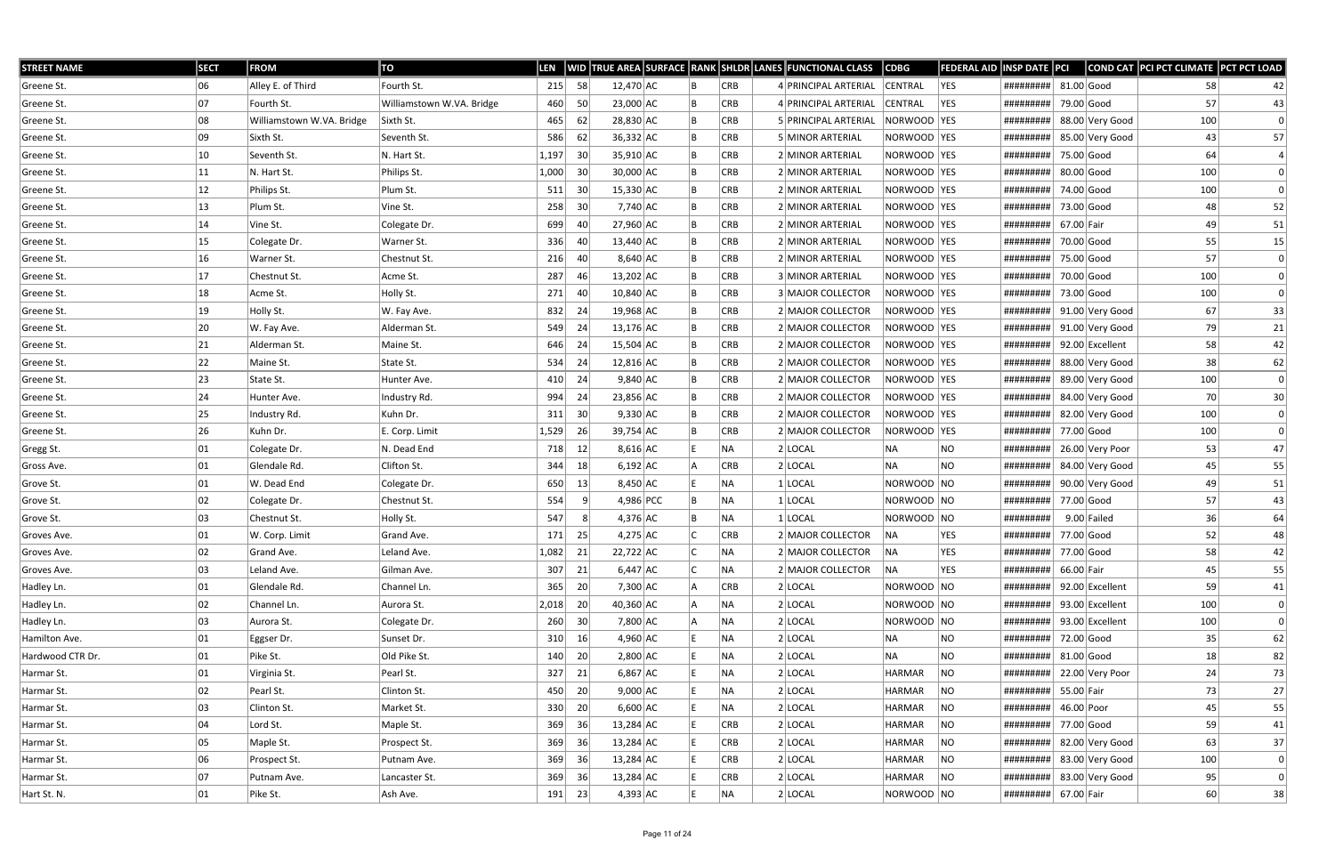| <b>STREET NAME</b> | <b>SECT</b>  | <b>FROM</b>               | TO                        | <b>LEN</b> |                 |             |  |            | WID TRUE AREA SURFACE RANK SHLDR LANES FUNCTIONAL CLASS | <b>CDBG</b>    | <b>FEDERAL AID INSP DATE PCI</b> |                      |              |                 | COND CAT PCI PCT CLIMATE PCT PCT LOAD |              |
|--------------------|--------------|---------------------------|---------------------------|------------|-----------------|-------------|--|------------|---------------------------------------------------------|----------------|----------------------------------|----------------------|--------------|-----------------|---------------------------------------|--------------|
| Greene St.         | 06           | Alley E. of Third         | Fourth St.                | 215        | 58              | 12,470 AC   |  | <b>CRB</b> | 4 PRINCIPAL ARTERIAL                                    | <b>CENTRAL</b> | <b>YES</b>                       | #########            | $81.00$ Good |                 | 58                                    | 42           |
| Greene St.         | 07           | Fourth St.                | Williamstown W.VA. Bridge | 460        | 50              | 23,000 AC   |  | <b>CRB</b> | 4 PRINCIPAL ARTERIAL                                    | <b>CENTRAL</b> | <b>YES</b>                       | #########            | 79.00 Good   |                 | 57                                    | 43           |
| Greene St.         | 08           | Williamstown W.VA. Bridge | Sixth St.                 | 465        | 62              | 28,830 AC   |  | <b>CRB</b> | 5 PRINCIPAL ARTERIAL                                    | NORWOOD YES    |                                  | #########            |              | 88.00 Very Good | 100                                   | 0            |
| Greene St.         | 09           | Sixth St.                 | Seventh St.               | 586        | 62              | $36,332$ AC |  | <b>CRB</b> | 5 MINOR ARTERIAL                                        | NORWOOD YES    |                                  | #########            |              | 85.00 Very Good | 43                                    | 57           |
| Greene St.         | 10           | Seventh St.               | N. Hart St.               | 1,197      | 30              | 35,910 AC   |  | <b>CRB</b> | 2 MINOR ARTERIAL                                        | NORWOOD YES    |                                  | #########            | 75.00 Good   |                 | 64                                    |              |
| Greene St.         | 11           | N. Hart St.               | Philips St.               | 1,000      | 30              | $30,000$ AC |  | <b>CRB</b> | 2 MINOR ARTERIAL                                        | NORWOOD YES    |                                  | #########            | $80.00$ Good |                 | 100                                   | $\Omega$     |
| Greene St.         | 12           | Philips St.               | Plum St.                  | 511        | 30 <sup>1</sup> | $15,330$ AC |  | <b>CRB</b> | 2 MINOR ARTERIAL                                        | NORWOOD YES    |                                  | #########            | 74.00 Good   |                 | 100                                   | 0            |
| Greene St.         | 13           | Plum St.                  | Vine St.                  | 258        | 30              | $7,740$ AC  |  | <b>CRB</b> | 2 MINOR ARTERIAL                                        | NORWOOD YES    |                                  | #########            | 73.00 Good   |                 | 48                                    | 52           |
| Greene St.         | 14           | Vine St.                  | Colegate Dr.              | 699        | 40              | 27,960 AC   |  | <b>CRB</b> | 2 MINOR ARTERIAL                                        | NORWOOD   YES  |                                  | #########            | 67.00 Fair   |                 | 49                                    | 51           |
| Greene St.         | 15           | Colegate Dr.              | Warner St.                | 336        | 40              | $13,440$ AC |  | <b>CRB</b> | 2 MINOR ARTERIAL                                        | NORWOOD YES    |                                  | #########            | 70.00 Good   |                 | 55                                    | 15           |
| Greene St.         | 16           | Warner St.                | Chestnut St.              | 216        | 40              | $8,640$ AC  |  | <b>CRB</b> | 2 MINOR ARTERIAL                                        | NORWOOD YES    |                                  | #########            |              | 75.00 Good      | 57                                    | 0            |
| Greene St.         | $ 17\rangle$ | Chestnut St.              | Acme St.                  | 287        | 46              | $13,202$ AC |  | <b>CRB</b> | 3 MINOR ARTERIAL                                        | NORWOOD YES    |                                  | #########            |              | 70.00 Good      | 100                                   | $\mathbf{0}$ |
| Greene St.         | 18           | Acme St.                  | Holly St.                 | 271        | 40              | $10,840$ AC |  | <b>CRB</b> | 3 MAJOR COLLECTOR                                       | NORWOOD YES    |                                  | #########            |              | 73.00 Good      | 100                                   | 0            |
| Greene St.         | 19           | Holly St.                 | W. Fay Ave.               | 832        | 24              | 19,968 AC   |  | <b>CRB</b> | 2 MAJOR COLLECTOR                                       | NORWOOD YES    |                                  | #########            |              | 91.00 Very Good | 67                                    | 33           |
| Greene St.         | 20           | W. Fay Ave.               | Alderman St.              | 549        | 24              | 13,176 AC   |  | <b>CRB</b> | 2 MAJOR COLLECTOR                                       | NORWOOD YES    |                                  | #########            |              | 91.00 Very Good | 79                                    | 21           |
| Greene St.         | 21           | Alderman St.              | Maine St.                 | 646        | 24              | 15,504 AC   |  | <b>CRB</b> | 2 MAJOR COLLECTOR                                       | NORWOOD YES    |                                  | #########            |              | 92.00 Excellent | 58                                    | 42           |
| Greene St.         | 22           | Maine St.                 | State St.                 | 534        | 24              | $12,816$ AC |  | <b>CRB</b> | 2 MAJOR COLLECTOR                                       | NORWOOD YES    |                                  | #########            |              | 88.00 Very Good | 38                                    | 62           |
| Greene St.         | 23           | State St.                 | Hunter Ave.               | 410        | -24             | $9,840$ AC  |  | <b>CRB</b> | 2 MAJOR COLLECTOR                                       | NORWOOD YES    |                                  | #########            |              | 89.00 Very Good | 100                                   | 0            |
| Greene St.         | 24           | Hunter Ave.               | Industry Rd.              | 994        | 24              | 23,856 AC   |  | <b>CRB</b> | 2 MAJOR COLLECTOR                                       | NORWOOD YES    |                                  | #########            |              | 84.00 Very Good | 70                                    | 30           |
| Greene St.         | 25           | Industry Rd.              | Kuhn Dr.                  | 311        | 30              | $9,330$ AC  |  | <b>CRB</b> | 2 MAJOR COLLECTOR                                       | NORWOOD YES    |                                  | #########            |              | 82.00 Very Good | 100                                   | 0            |
| Greene St.         | 26           | Kuhn Dr.                  | E. Corp. Limit            | 1,529      | 26              | 39,754 AC   |  | <b>CRB</b> | 2 MAJOR COLLECTOR                                       | NORWOOD YES    |                                  | #########            | 77.00 Good   |                 | 100                                   |              |
| Gregg St.          | 01           | Colegate Dr.              | N. Dead End               | 718        | 12              | $8,616$ AC  |  | NA         | $2$ LOCAL                                               | NA             | <b>NO</b>                        | #########            |              | 26.00 Very Poor | 53                                    | 47           |
| Gross Ave.         | 01           | Glendale Rd.              | Clifton St.               | 344        | 18              | $6,192$ AC  |  | <b>CRB</b> | 2 LOCAL                                                 | <b>NA</b>      | NO                               | #########            |              | 84.00 Very Good | 45                                    | 55           |
| Grove St.          | 01           | W. Dead End               | Colegate Dr.              | 650        | 13              | 8,450 AC    |  | NA         | $1$ LOCAL                                               | NORWOOD NO     |                                  | #########            |              | 90.00 Very Good | 49                                    | 51           |
| Grove St.          | 02           | Colegate Dr.              | Chestnut St.              | 554        |                 | 4,986 PCC   |  | NA         | $1$ LOCAL                                               | NORWOOD NO     |                                  | #########            |              | 77.00 Good      | 57                                    | 43           |
| Grove St.          | 03           | Chestnut St.              | Holly St.                 | 547        |                 | $4,376$ AC  |  | NA.        | $1 $ LOCAL                                              | NORWOOD  NO    |                                  | #########            |              | $9.00$ Failed   | 36                                    | 64           |
| Groves Ave.        | 01           | W. Corp. Limit            | Grand Ave.                | 171        | 25              | $4,275$ AC  |  | <b>CRB</b> | 2 MAJOR COLLECTOR                                       | NA             | YES                              | #########            | 77.00 Good   |                 | 52                                    | 48           |
| Groves Ave.        | 02           | Grand Ave.                | Leland Ave.               | 1,082      | 21              | 22,722 AC   |  | NA         | 2 MAJOR COLLECTOR                                       | NA             | YES                              | ######### 77.00 Good |              |                 | 58                                    | 42           |
| Groves Ave.        | 03           | Leland Ave.               | Gilman Ave.               | 307        | 21              | $6,447$ AC  |  | NA         | 2 MAJOR COLLECTOR                                       | NA             | YES                              | #########            | 66.00 Fair   |                 | 45                                    | 55           |
| Hadley Ln.         | 01           | Glendale Rd.              | Channel Ln.               | 365        | 20              | 7,300 AC    |  | <b>CRB</b> | 2 LOCAL                                                 | NORWOOD NO     |                                  | #########            |              | 92.00 Excellent | 59                                    | 41           |
| Hadley Ln.         | 02           | Channel Ln.               | Aurora St.                | 2,018      | 20              | 40,360 AC   |  | NA         | 2 LOCAL                                                 | NORWOOD NO     |                                  | #########            |              | 93.00 Excellent | 100                                   | 0            |
| Hadley Ln.         | 03           | Aurora St.                | Colegate Dr.              | 260        | 30              | 7,800 AC    |  | NA         | $2$ LOCAL                                               | NORWOOD NO     |                                  | #########            |              | 93.00 Excellent | 100                                   | 0            |
| Hamilton Ave.      | 01           | Eggser Dr.                | Sunset Dr.                | 310        | 16              | $4,960$ AC  |  | NA.        | $2$ LOCAL                                               | NA             | NO.                              | #########            |              | 72.00 Good      | 35                                    | 62           |
| Hardwood CTR Dr.   | 01           | Pike St.                  | Old Pike St.              | 140        | 20              | $2,800$ AC  |  | NA         | 2 LOCAL                                                 | NA             | NO                               | #########            |              | $81.00$ Good    | 18                                    | 82           |
| Harmar St.         | 01           | Virginia St.              | Pearl St.                 | 327        | 21              | $6,867$ AC  |  | NA.        | $2$ LOCAL                                               | HARMAR         | NO                               | #########            |              | 22.00 Very Poor | 24                                    | 73           |
| Harmar St.         | 02           | Pearl St.                 | Clinton St.               | 450        | 20              | $9,000$ AC  |  | NA.        | $2$ LOCAL                                               | HARMAR         | NO                               | #########            | 55.00 Fair   |                 | 73                                    | 27           |
| Harmar St.         | 03           | Clinton St.               | Market St.                | 330        | 20              | $6,600$ AC  |  | NA.        | $2$ LOCAL                                               | HARMAR         | NO                               | #########            | 46.00 Poor   |                 | 45                                    | 55           |
| Harmar St.         | 04           | Lord St.                  | Maple St.                 | 369        | 36              | $13,284$ AC |  | <b>CRB</b> | 2 LOCAL                                                 | HARMAR         | NO                               | #########            |              | 77.00 Good      | 59                                    | 41           |
| Harmar St.         | 05           | Maple St.                 | Prospect St.              | 369        | 36              | $13,284$ AC |  | <b>CRB</b> | $2$ LOCAL                                               | HARMAR         | <b>NO</b>                        | #########            |              | 82.00 Very Good | 63                                    | 37           |
| Harmar St.         | 06           | Prospect St.              | Putnam Ave.               | 369        | 36              | 13,284 AC   |  | CRB        | $2$ LOCAL                                               | HARMAR         | NO                               | #########            |              | 83.00 Very Good | 100                                   | 0            |
| Harmar St.         | 07           | Putnam Ave.               | Lancaster St.             | 369        | 36              | $13,284$ AC |  | <b>CRB</b> | $2$ LOCAL                                               | HARMAR         | NO                               | #########            |              | 83.00 Very Good | 95                                    | 0            |
| Hart St. N.        | 01           | Pike St.                  | Ash Ave.                  | 191        | 23              | $4,393$ AC  |  | NA         | 2 LOCAL                                                 | NORWOOD NO     |                                  | #########            | 67.00 Fair   |                 | 60                                    | 38           |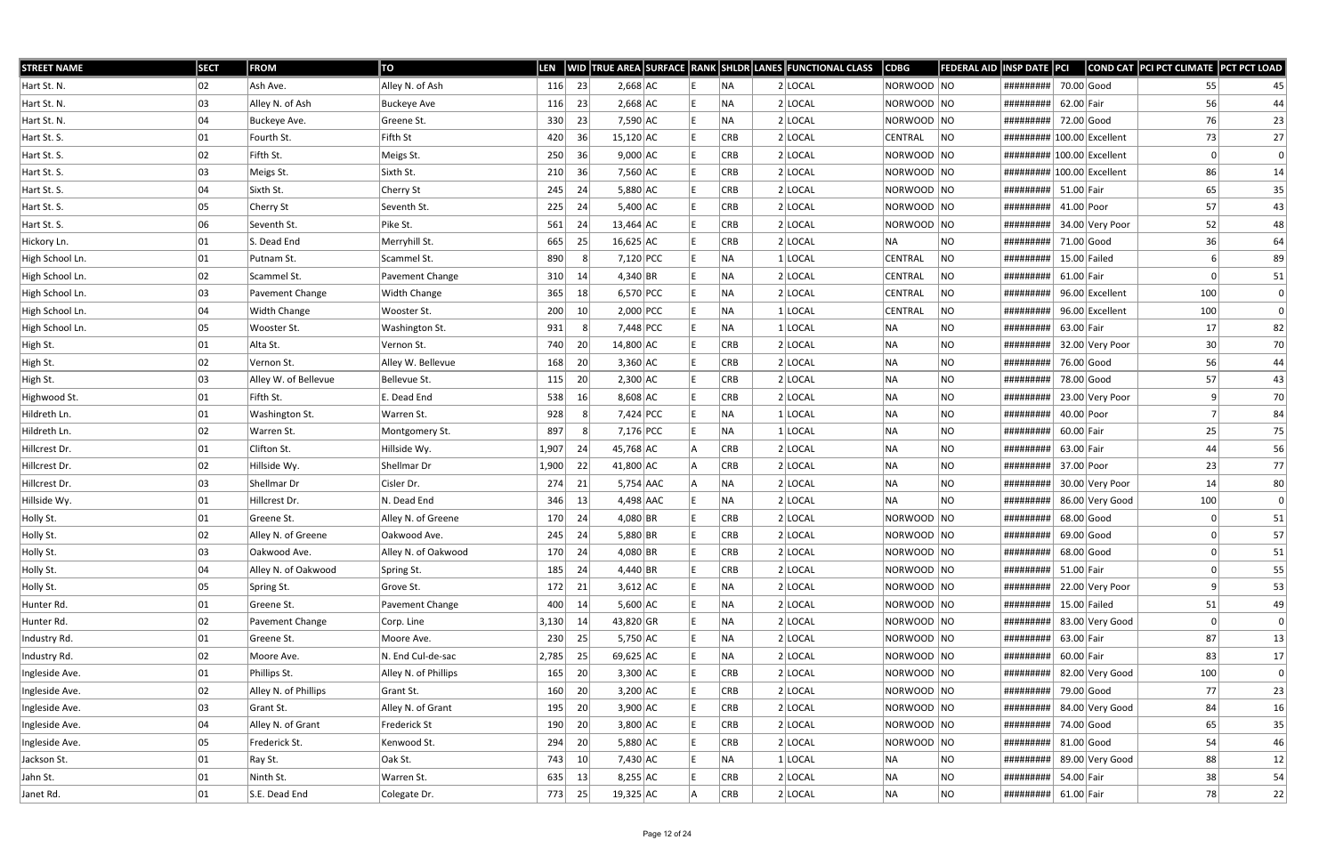| <b>STREET NAME</b> | <b>SECT</b> | <b>FROM</b>          | TO                   | <b>LEN</b> |                 |             |  |            | WID TRUE AREA SURFACE RANK SHLDR LANES FUNCTIONAL CLASS | <b>CDBG</b>    | <b>FEDERAL AID</b> | <b>INSP DATE PCI</b>       |              |                 | COND CAT PCI PCT CLIMATE PCT PCT LOAD |              |
|--------------------|-------------|----------------------|----------------------|------------|-----------------|-------------|--|------------|---------------------------------------------------------|----------------|--------------------|----------------------------|--------------|-----------------|---------------------------------------|--------------|
| Hart St. N.        | 02          | Ash Ave.             | Alley N. of Ash      | 116        | 23              | $2,668$ AC  |  | NA.        | $2$ LOCAL                                               | NORWOOD NO     |                    | #########                  | 70.00 Good   |                 | 55                                    | 45           |
| Hart St. N.        | 03          | Alley N. of Ash      | <b>Buckeye Ave</b>   | 116        | 23              | $2,668$ AC  |  | <b>NA</b>  | 2 LOCAL                                                 | NORWOOD NO     |                    | #########                  | 62.00 Fair   |                 | 56                                    | 44           |
| Hart St. N.        | 04          | Buckeye Ave.         | Greene St.           | 330        | 23              | 7,590 AC    |  | NA         | $2$ LOCAL                                               | NORWOOD NO     |                    | #########                  | 72.00 Good   |                 | 76                                    | 23           |
| Hart St. S.        | 01          | Fourth St.           | Fifth St             | 420        | 36              | $15,120$ AC |  | <b>CRB</b> | 2 LOCAL                                                 | CENTRAL        | NO                 | ######### 100.00 Excellent |              |                 | 73                                    | 27           |
| Hart St. S.        | 02          | Fifth St.            | Meigs St.            | 250        | 36              | $9,000$ AC  |  | <b>CRB</b> | $2$ LOCAL                                               | NORWOOD NO     |                    | ######### 100.00 Excellent |              |                 |                                       |              |
| Hart St. S.        | 03          | Meigs St.            | Sixth St.            | 210        | 36              | $7,560$ AC  |  | <b>CRB</b> | $2$ LOCAL                                               | NORWOOD NO     |                    | ######### 100.00 Excellent |              |                 | 86                                    | 14           |
| Hart St. S.        | 04          | Sixth St.            | Cherry St            | 245        | 24              | $5,880$ AC  |  | <b>CRB</b> | 2 LOCAL                                                 | NORWOOD NO     |                    | #########                  | 51.00 Fair   |                 | 65                                    | 35           |
| Hart St. S.        | 05          | Cherry St            | Seventh St.          | 225        | 24              | $5,400$ AC  |  | <b>CRB</b> | $2$ LOCAL                                               | NORWOOD NO     |                    | #########                  | 41.00 Poor   |                 | 57                                    | 43           |
| Hart St. S.        | 06          | Seventh St.          | Pike St.             | 561        | 24              | $13,464$ AC |  | <b>CRB</b> | 2 LOCAL                                                 | NORWOOD NO     |                    | #########                  |              | 34.00 Very Poor | 52                                    | 48           |
| Hickory Ln.        | 01          | S. Dead End          | Merryhill St.        | 665        | 25              | 16,625 AC   |  | <b>CRB</b> | $2$ LOCAL                                               | NA             | NO                 | #########                  | 71.00 Good   |                 | 36                                    | 64           |
| High School Ln.    | 01          | Putnam St.           | Scammel St.          | 890        | -8              | 7,120 PCC   |  | NA.        | $1$ LOCAL                                               | <b>CENTRAL</b> | <b>NO</b>          | #########                  |              | $15.00$ Failed  |                                       | 89           |
| High School Ln.    | 02          | Scammel St.          | Pavement Change      | 310        | 14              | $4,340$ BR  |  | NA         | $2$ LOCAL                                               | CENTRAL        | NO                 | #########                  | 61.00 Fair   |                 |                                       | 51           |
| High School Ln.    | 03          | Pavement Change      | Width Change         | 365        | 18              | 6,570 PCC   |  | NA         | $2$ LOCAL                                               | <b>CENTRAL</b> | NO                 | #########                  |              | 96.00 Excellent | 100                                   | 0            |
| High School Ln.    | 04          | Width Change         | Wooster St.          | 200        | 10 <sup>1</sup> | 2,000 PCC   |  | NA         | $1$ LOCAL                                               | <b>CENTRAL</b> | NO                 | #########                  |              | 96.00 Excellent | 100                                   | $\mathbf{0}$ |
| High School Ln.    | 05          | Wooster St.          | Washington St.       | 931        | -8              | 7,448 PCC   |  | NA.        | $1 $ LOCAL                                              | NA             | <b>NO</b>          | #########                  | 63.00 Fair   |                 | 17                                    | 82           |
| High St.           | 01          | Alta St.             | Vernon St.           | 740        | 20              | 14,800 AC   |  | <b>CRB</b> | 2 LOCAL                                                 | NA             | <b>NO</b>          | #########                  |              | 32.00 Very Poor | 30                                    | 70           |
| High St.           | 02          | Vernon St.           | Alley W. Bellevue    | 168        | 20              | $3,360$ AC  |  | <b>CRB</b> | $2$ LOCAL                                               | NA             | NO.                | #########                  | 76.00 Good   |                 | 56                                    | 44           |
| High St.           | 03          | Alley W. of Bellevue | Bellevue St.         | 115        | 20 <sup>1</sup> | $2,300$ AC  |  | <b>CRB</b> | 2 LOCAL                                                 | NA             | <b>NO</b>          | #########                  | 78.00 Good   |                 | 57                                    | 43           |
| Highwood St.       | 01          | Fifth St.            | E. Dead End          | 538        | 16              | $8,608$ AC  |  | <b>CRB</b> | 2 LOCAL                                                 | NA             | <b>NO</b>          | #########                  |              | 23.00 Very Poor | 9                                     | 70           |
| Hildreth Ln.       | 01          | Washington St.       | Warren St.           | 928        |                 | $7,424$ PCC |  | NA.        | $1$ LOCAL                                               | NA             | NO                 | #########                  | 40.00 Poor   |                 |                                       | 84           |
| Hildreth Ln.       | 02          | Warren St.           | Montgomery St.       | 897        |                 | 7,176 PCC   |  | NA         | $1 $ LOCAL                                              | NA             | <b>NO</b>          | #########                  | 60.00 Fair   |                 | 25                                    | 75           |
| Hillcrest Dr.      | 01          | Clifton St.          | Hillside Wy.         | 1,907      | 24              | 45,768 AC   |  | <b>CRB</b> | $2$ LOCAL                                               | NA             | <b>NO</b>          | #########                  | 63.00 Fair   |                 | 44                                    | 56           |
| Hillcrest Dr.      | 02          | Hillside Wy.         | Shellmar Dr          | 1,900      | 22              | 41,800 AC   |  | <b>CRB</b> | 2 LOCAL                                                 | NA             | NO.                | #########                  | 37.00 Poor   |                 | 23                                    | 77           |
| Hillcrest Dr.      | 03          | Shellmar Dr          | Cisler Dr.           | 274        | 21              | $5,754$ AAC |  | NA.        | $2$ LOCAL                                               | NA             | NO.                | #########                  |              | 30.00 Very Poor | 14                                    | 80           |
| Hillside Wy.       | 01          | Hillcrest Dr.        | N. Dead End          | 346        | 13              | 4,498 AAC   |  | NA         | $2$ LOCAL                                               | NA             | NO.                | #########                  |              | 86.00 Very Good | 100                                   | 0            |
| Holly St.          | 01          | Greene St.           | Alley N. of Greene   | 170        | 24              | $4,080$ BR  |  | <b>CRB</b> | $2$ LOCAL                                               | NORWOOD NO     |                    | #########                  | 68.00 Good   |                 |                                       | 51           |
| Holly St.          | 02          | Alley N. of Greene   | Oakwood Ave.         | 245        | -24             | $5,880$ BR  |  | <b>CRB</b> | $2$ LOCAL                                               | NORWOOD NO     |                    | #########                  | $69.00$ Good |                 |                                       | 57           |
| Holly St.          | 03          | Oakwood Ave.         | Alley N. of Oakwood  | 170        | 24              | $4,080$ BR  |  | <b>CRB</b> | $2$ LOCAL                                               | NORWOOD NO     |                    | #########                  | $68.00$ Good |                 | $\Omega$                              | 51           |
| Holly St.          | 04          | Alley N. of Oakwood  | Spring St.           | 185        | 24              | 4,440 BR    |  | <b>CRB</b> | $2$ LOCAL                                               | NORWOOD NO     |                    | #########                  | 51.00 Fair   |                 |                                       | 55           |
| Holly St.          | 05          | Spring St.           | Grove St.            | 172        | 21              | $3,612$ AC  |  | NA         | $2$ LOCAL                                               | NORWOOD NO     |                    | #########                  |              | 22.00 Very Poor |                                       | 53           |
| Hunter Rd.         | 01          | Greene St.           | Pavement Change      | 400        | 14              | $5,600$ AC  |  | NA         | $2$ LOCAL                                               | NORWOOD NO     |                    | #########                  |              | $15.00$ Failed  | 51                                    | 49           |
| Hunter Rd.         | 02          | Pavement Change      | Corp. Line           | 3,130      | 14              | 43,820 GR   |  | NA.        | $2$ LOCAL                                               | NORWOOD NO     |                    | #########                  |              | 83.00 Very Good |                                       | 0            |
| Industry Rd.       | 01          | Greene St.           | Moore Ave.           | 230        | 25              | 5,750 AC    |  | NA         | $2$ LOCAL                                               | NORWOOD NO     |                    | #########                  | 63.00 Fair   |                 | 87                                    | 13           |
| Industry Rd.       | 02          | Moore Ave.           | N. End Cul-de-sac    | 2,785      | 25              | 69,625 AC   |  | NA         | $2$ LOCAL                                               | NORWOOD NO     |                    | #########                  | 60.00 Fair   |                 | 83                                    | 17           |
| Ingleside Ave.     | 01          | Phillips St.         | Alley N. of Phillips | 165        | 20              | $3,300$ AC  |  | CRB        | $2$ LOCAL                                               | NORWOOD NO     |                    | #########                  |              | 82.00 Very Good | 100                                   | 0            |
| Ingleside Ave.     | 02          | Alley N. of Phillips | Grant St.            | 160        | 20              | $3,200$ AC  |  | <b>CRB</b> | $2$ LOCAL                                               | NORWOOD NO     |                    | #########                  | 79.00 Good   |                 | 77                                    | 23           |
| Ingleside Ave.     | 03          | Grant St.            | Alley N. of Grant    | 195        | 20              | $3,900$ AC  |  | CRB        | $2$ LOCAL                                               | NORWOOD NO     |                    | #########                  |              | 84.00 Very Good | 84                                    | 16           |
| Ingleside Ave.     | 04          | Alley N. of Grant    | Frederick St         | 190        | 20              | $3,800$ AC  |  | <b>CRB</b> | $2$ LOCAL                                               | NORWOOD NO     |                    | #########                  | 74.00 Good   |                 | 65                                    | 35           |
| Ingleside Ave.     | 05          | Frederick St.        | Kenwood St.          | 294        | 20              | $5,880$ AC  |  | <b>CRB</b> | $2$ LOCAL                                               | NORWOOD NO     |                    | #########                  | $81.00$ Good |                 | 54                                    | 46           |
| Jackson St.        | 01          | Ray St.              | Oak St.              | 743        | 10              | 7,430 AC    |  | NA         | 1 LOCAL                                                 | NA             | NO                 | #########                  |              | 89.00 Very Good | 88                                    | 12           |
| Jahn St.           | 01          | Ninth St.            | Warren St.           | 635        | 13              | $8,255$ AC  |  | <b>CRB</b> | 2 LOCAL                                                 | NA             | NO                 | #########                  | 54.00 Fair   |                 | 38                                    | 54           |
| Janet Rd.          | 01          | S.E. Dead End        | Colegate Dr.         | 773        | 25              | 19,325 AC   |  | CRB        | $2$ LOCAL                                               | NA             | NO                 | ########## 61.00 Fair      |              |                 | 78                                    | 22           |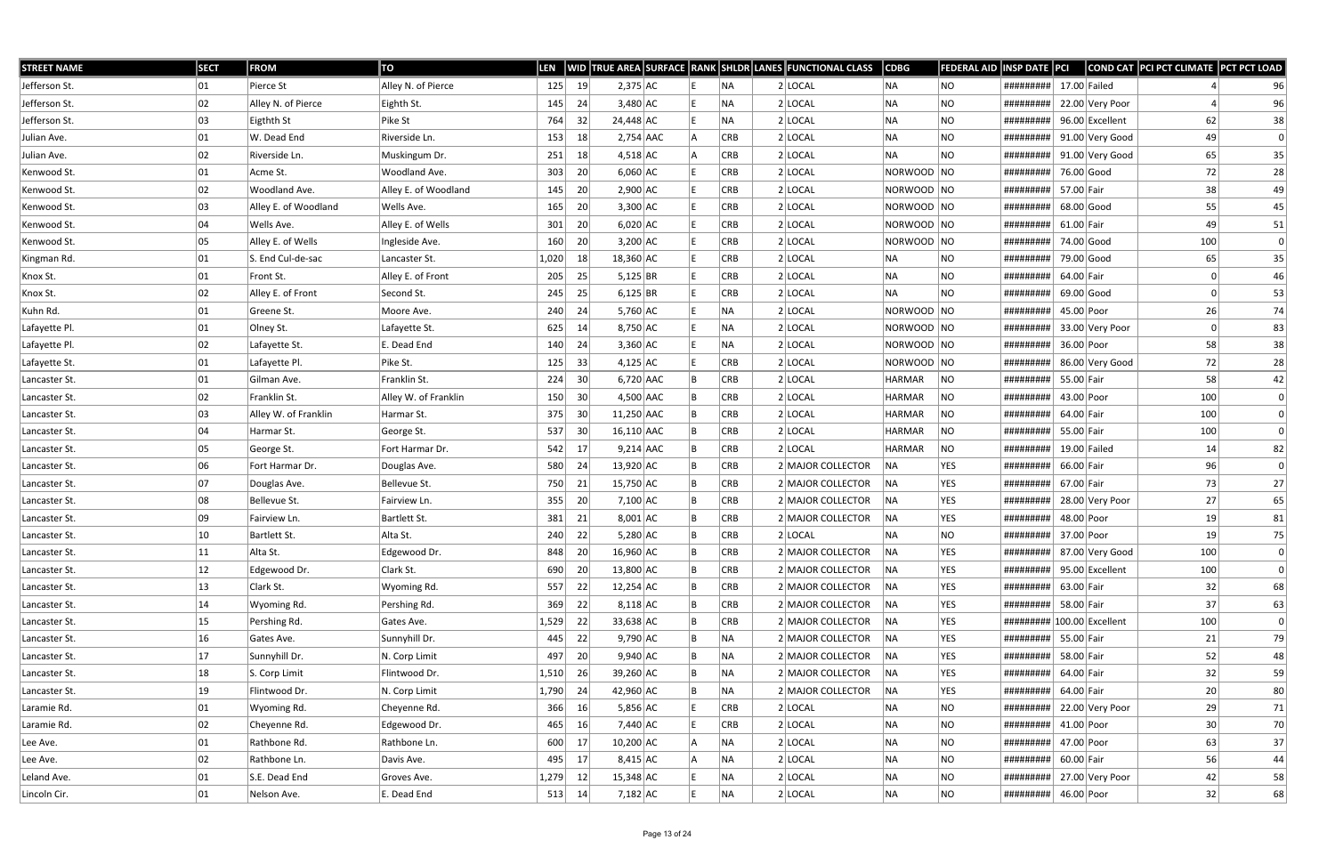| <b>STREET NAME</b> | <b>SECT</b>  | <b>FROM</b>          | TO                   | LEN   |    |              |     |            | WID TRUE AREA SURFACE RANK SHLDR LANES FUNCTIONAL CLASS | $\overline{\textsf{CDBG}}$ | FEDERAL AID  INSP DATE  PCI |                            |              |                 | COND CAT PCI PCT CLIMATE PCT PCT LOAD |          |
|--------------------|--------------|----------------------|----------------------|-------|----|--------------|-----|------------|---------------------------------------------------------|----------------------------|-----------------------------|----------------------------|--------------|-----------------|---------------------------------------|----------|
| Jefferson St.      | 01           | Pierce St            | Alley N. of Pierce   | 125   | 19 | $2,375$ AC   |     | INA.       | $2$ LOCAL                                               | NA                         | NO                          | #########                  |              | $17.00$ Failed  |                                       | 96       |
| Jefferson St.      | 02           | Alley N. of Pierce   | Eighth St.           | 145   | 24 | $3,480$ AC   |     | <b>NA</b>  | $2$ LOCAL                                               | NA                         | NO                          | #########                  |              | 22.00 Very Poor |                                       | 96       |
| Jefferson St.      | 03           | Eigthth St           | Pike St              | 764   | 32 | 24,448 AC    |     | NA)        | $2$ LOCAL                                               | NA                         | <b>NO</b>                   | #########                  |              | 96.00 Excellent | 62                                    | 38       |
| Julian Ave.        | 01           | W. Dead End          | Riverside Ln.        | 153   | 18 | $2,754$ AAC  |     | <b>CRB</b> | $2$ LOCAL                                               | NA                         | NO                          | #########                  |              | 91.00 Very Good | 49                                    | 0        |
| Julian Ave.        | 02           | Riverside Ln.        | Muskingum Dr.        | 251   | 18 | $4,518$ AC   |     | <b>CRB</b> | $2$ LOCAL                                               | NA                         | NO.                         | #########                  |              | 91.00 Very Good | 65                                    | 35       |
| Kenwood St.        | 01           | Acme St.             | Woodland Ave.        | 303   | 20 | $6,060$ AC   |     | <b>CRB</b> | $2$ LOCAL                                               | NORWOOD NO                 |                             | #########                  | 76.00 Good   |                 | 72                                    | 28       |
| Kenwood St.        | 02           | Woodland Ave.        | Alley E. of Woodland | 145   | 20 | $2,900$ AC   |     | <b>CRB</b> | $2$ LOCAL                                               | NORWOOD NO                 |                             | #########                  | 57.00 Fair   |                 | 38                                    | 49       |
| Kenwood St.        | 03           | Alley E. of Woodland | Wells Ave.           | 165   | 20 | $3,300$ AC   |     | <b>CRB</b> | $2$ LOCAL                                               | NORWOOD NO                 |                             | #########                  |              | $68.00$ Good    | 55                                    | 45       |
| Kenwood St.        | 04           | Wells Ave.           | Alley E. of Wells    | 301   | 20 | $6,020$ AC   |     | <b>CRB</b> | 2 LOCAL                                                 | NORWOOD NO                 |                             | #########                  | $61.00$ Fair |                 | 49                                    | 51       |
| Kenwood St.        | 05           | Alley E. of Wells    | Ingleside Ave.       | 160   | 20 | $3,200$ AC   |     | <b>CRB</b> | $2$ LOCAL                                               | NORWOOD NO                 |                             | #########                  |              | 74.00 Good      | 100                                   | 0        |
| Kingman Rd.        | 01           | S. End Cul-de-sac    | Lancaster St.        | 1,020 | 18 | 18,360 AC    |     | <b>CRB</b> | $2$ LOCAL                                               | NA                         | NO.                         | #########                  |              | 79.00 Good      | 65                                    | 35       |
| Knox St.           | 01           | Front St.            | Alley E. of Front    | 205   | 25 | $5,125$ BR   |     | <b>CRB</b> | 2 LOCAL                                                 | NA                         | <b>NO</b>                   | #########                  | 64.00 Fair   |                 |                                       | 46       |
| Knox St.           | 02           | Alley E. of Front    | Second St.           | 245   | 25 | 6,125 BR     |     | <b>CRB</b> | $2$ LOCAL                                               | NA                         | NO.                         | #########                  | 69.00 Good   |                 |                                       | 53       |
| Kuhn Rd.           | 01           | Greene St.           | Moore Ave.           | 240   | 24 | $5,760$ AC   |     | NA         | $2$ LOCAL                                               | NORWOOD NO                 |                             | #########                  | 45.00 Poor   |                 | 26                                    | 74       |
| Lafayette Pl.      | 01           | Olney St.            | Lafayette St.        | 625   | 14 | 8,750 AC     |     | NA.        | $2$ LOCAL                                               | NORWOOD NO                 |                             | #########                  |              | 33.00 Very Poor |                                       | 83       |
| Lafayette Pl.      | 02           | Lafayette St.        | E. Dead End          | 140   | 24 | $3,360$ AC   |     | NA)        | $2$ LOCAL                                               | NORWOOD NO                 |                             | #########                  | 36.00 Poor   |                 | 58                                    | 38       |
| Lafayette St.      | 01           | Lafayette Pl.        | Pike St.             | 125   | 33 | $4,125$ AC   |     | <b>CRB</b> | $2$ LOCAL                                               | NORWOOD NO                 |                             | #########                  |              | 86.00 Very Good | 72                                    | 28       |
| Lancaster St.      | 01           | Gilman Ave.          | Franklin St.         | 224   | 30 | $6,720$ AAC  |     | <b>CRB</b> | 2 LOCAL                                                 | HARMAR                     | NO                          | #########                  | 55.00 Fair   |                 | 58                                    | 42       |
| Lancaster St.      | 02           | Franklin St.         | Alley W. of Franklin | 150   | 30 | 4,500 AAC    |     | <b>CRB</b> | $2$ LOCAL                                               | HARMAR                     | <b>NO</b>                   | #########                  | 43.00 Poor   |                 | 100                                   | 0        |
| Lancaster St.      | 03           | Alley W. of Franklin | Harmar St.           | 375   | 30 | $11,250$ AAC |     | <b>CRB</b> | $2$ LOCAL                                               | <b>HARMAR</b>              | NO                          | #########                  | 64.00 Fair   |                 | 100                                   | $\Omega$ |
| Lancaster St.      | 04           | Harmar St.           | George St.           | 537   | 30 | 16,110 AAC   |     | <b>CRB</b> | $2$ LOCAL                                               | HARMAR                     | NO                          | #########                  | 55.00 Fair   |                 | 100                                   |          |
| Lancaster St.      | 05           | George St.           | Fort Harmar Dr.      | 542   | 17 | $9,214$ AAC  |     | <b>CRB</b> | 2 LOCAL                                                 | HARMAR                     | NO                          | #########                  |              | $19.00$ Failed  | 14                                    | 82       |
| Lancaster St.      | 06           | Fort Harmar Dr.      | Douglas Ave.         | 580   | 24 | 13,920 AC    |     | <b>CRB</b> | 2 MAJOR COLLECTOR                                       | NA                         | <b>YES</b>                  | #########                  | 66.00 Fair   |                 | 96                                    | 0        |
| Lancaster St.      | 07           | Douglas Ave.         | Bellevue St.         | 750   | 21 | 15,750 AC    |     | <b>CRB</b> | 2 MAJOR COLLECTOR                                       | NA                         | <b>YES</b>                  | #########                  | 67.00 Fair   |                 | 73                                    | 27       |
| Lancaster St.      | 08           | Bellevue St.         | Fairview Ln.         | 355   | 20 | $7,100$ AC   |     | <b>CRB</b> | 2 MAJOR COLLECTOR                                       | <b>INA</b>                 | <b>YES</b>                  | #########                  |              | 28.00 Very Poor | 27                                    | 65       |
| Lancaster St.      | 09           | Fairview Ln.         | Bartlett St.         | 381   | 21 | $8,001$ AC   |     | <b>CRB</b> | 2 MAJOR COLLECTOR                                       | NA                         | YES                         | #########                  | 48.00 Poor   |                 | 19                                    | 81       |
| Lancaster St.      | 10           | Bartlett St.         | Alta St.             | 240   | 22 | $5,280$ AC   |     | <b>CRB</b> | $2$ LOCAL                                               | NA                         | NO.                         | #########                  | 37.00 Poor   |                 | 19                                    | 75       |
| Lancaster St.      | 11           | Alta St.             | Edgewood Dr.         | 848   | 20 | 16,960 AC    | l B | CRB        | 2 MAJOR COLLECTOR                                       | NA                         | YES                         | ########## 87.00 Very Good |              |                 | 100                                   |          |
| Lancaster St.      | 12           | Edgewood Dr.         | Clark St.            | 690   | 20 | 13,800 AC    |     | <b>CRB</b> | 2 MAJOR COLLECTOR                                       | NA                         | <b>YES</b>                  | #########                  |              | 95.00 Excellent | 100                                   | 0        |
| Lancaster St.      | $ 13\rangle$ | Clark St.            | Wyoming Rd.          | 557   | 22 | $12,254$ AC  |     | CRB        | 2 MAJOR COLLECTOR                                       | NA                         | <b>YES</b>                  | #########                  | 63.00 Fair   |                 | 32                                    | 68       |
| Lancaster St.      | 14           | Wyoming Rd.          | Pershing Rd.         | 369   | 22 | $8,118$ AC   |     | CRB        | 2 MAJOR COLLECTOR                                       | NA                         | YES                         | #########                  | 58.00 Fair   |                 | 37                                    | 63       |
| Lancaster St.      | 15           | Pershing Rd.         | Gates Ave.           | 1,529 | 22 | 33,638 AC    |     | <b>CRB</b> | 2 MAJOR COLLECTOR                                       | NA                         | <b>YES</b>                  | ######### 100.00 Excellent |              |                 | 100                                   | 0        |
| Lancaster St.      | 16           | Gates Ave.           | Sunnyhill Dr.        | 445   | 22 | $9,790$ AC   |     | NA)        | 2 MAJOR COLLECTOR                                       | NA                         | <b>YES</b>                  | #########                  | 55.00 Fair   |                 | 21                                    | 79       |
| Lancaster St.      | 17           | Sunnyhill Dr.        | N. Corp Limit        | 497   | 20 | $9,940$ AC   |     | NA         | 2 MAJOR COLLECTOR                                       | NA                         | YES                         | #########                  | 58.00 Fair   |                 | 52                                    | 48       |
| Lancaster St.      | 18           | S. Corp Limit        | Flintwood Dr.        | 1,510 | 26 | 39,260 AC    |     | NA)        | 2 MAJOR COLLECTOR                                       | NA                         | <b>YES</b>                  | #########                  | 64.00 Fair   |                 | 32                                    | 59       |
| Lancaster St.      | 19           | Flintwood Dr.        | N. Corp Limit        | 1,790 | 24 | 42,960 AC    |     | NA)        | 2 MAJOR COLLECTOR                                       | NA                         | <b>YES</b>                  | #########                  | 64.00 Fair   |                 | 20                                    | 80       |
| Laramie Rd.        | 01           | Wyoming Rd.          | Cheyenne Rd.         | 366   | 16 | 5,856 AC     |     | <b>CRB</b> | 2 LOCAL                                                 | NA                         | <b>NO</b>                   | #########                  |              | 22.00 Very Poor | 29                                    | 71       |
| Laramie Rd.        | 02           | Cheyenne Rd.         | Edgewood Dr.         | 465   | 16 | 7,440 AC     |     | <b>CRB</b> | $2$ LOCAL                                               | NA                         | NO.                         | #########                  | 41.00 Poor   |                 | 30                                    | 70       |
| Lee Ave.           | 01           | Rathbone Rd.         | Rathbone Ln.         | 600   | 17 | $10,200$ AC  |     | NA)        | $2$ LOCAL                                               | NA                         | <b>NO</b>                   | #########                  | 47.00 Poor   |                 | 63                                    | 37       |
| Lee Ave.           | 02           | Rathbone Ln.         | Davis Ave.           | 495   | 17 | 8,415 AC     |     | NA)        | $2$ LOCAL                                               | NA                         | NO                          | #########                  | 60.00 Fair   |                 | 56                                    | 44       |
| Leland Ave.        | 01           | S.E. Dead End        | Groves Ave.          | 1,279 | 12 | 15,348 AC    |     | NA)        | $2$ LOCAL                                               | NA                         | <b>NO</b>                   | #########                  |              | 27.00 Very Poor | 42                                    | 58       |
| Lincoln Cir.       | 01           | Nelson Ave.          | E. Dead End          | 513   | 14 | $7,182$ AC   |     | NA)        | $2$ LOCAL                                               | NA                         | <b>NO</b>                   | #########                  | 46.00 Poor   |                 | 32                                    | 68       |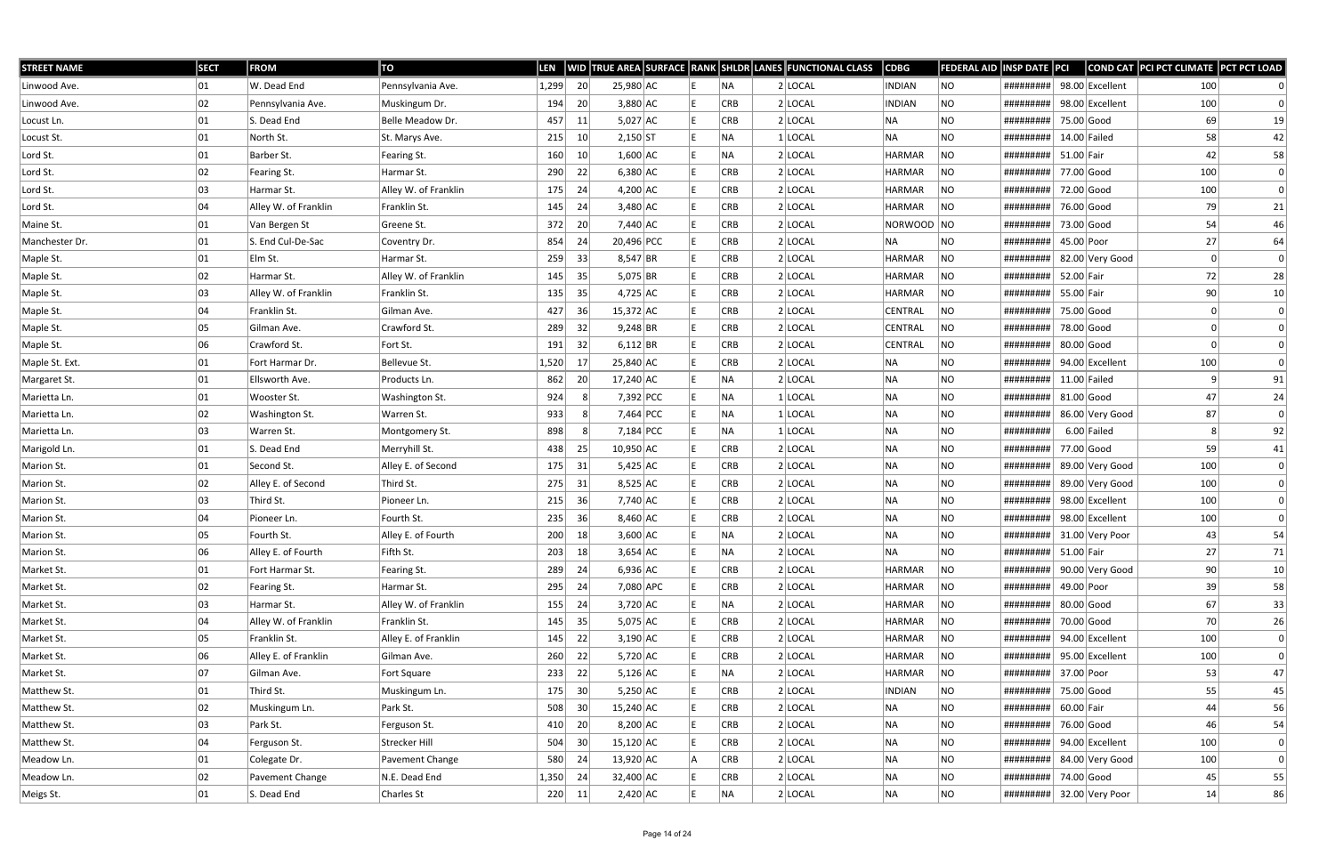| <b>STREET NAME</b> | <b>SECT</b> | <b>FROM</b>          | TO                   | <b>LEN</b> |                 |             |  |            | WID TRUE AREA SURFACE RANK SHLDR LANES FUNCTIONAL CLASS | <b>CDBG</b>    | <b>FEDERAL AID</b> | INSP DATE PCI             |              |                 | COND CAT PCI PCT CLIMATE PCT PCT LOAD |              |
|--------------------|-------------|----------------------|----------------------|------------|-----------------|-------------|--|------------|---------------------------------------------------------|----------------|--------------------|---------------------------|--------------|-----------------|---------------------------------------|--------------|
| Linwood Ave.       | 01          | W. Dead End          | Pennsylvania Ave.    | 1,299      | 20              | 25,980 AC   |  | NA.        | $2$ LOCAL                                               | <b>INDIAN</b>  | NO                 | #########                 |              | 98.00 Excellent | 100                                   |              |
| Linwood Ave.       | 02          | Pennsylvania Ave.    | Muskingum Dr.        | 194        | 20              | $3,880$ AC  |  | <b>CRB</b> | $2$ LOCAL                                               | <b>INDIAN</b>  | NO                 | #########                 |              | 98.00 Excellent | 100                                   |              |
| Locust Ln.         | 01          | S. Dead End          | Belle Meadow Dr.     | 457        | 11              | $5,027$ AC  |  | <b>CRB</b> | $2$ LOCAL                                               | NA)            | <b>NO</b>          | #########                 |              | 75.00 Good      | 69                                    | 19           |
| Locust St.         | 01          | North St.            | St. Marys Ave.       | 215        | 10 <sup>1</sup> | $2,150$ ST  |  | NA.        | $1$ LOCAL                                               | NA             | NO                 | #########                 |              | $14.00$ Failed  | 58                                    | 42           |
| Lord St.           | 01          | Barber St.           | Fearing St.          | 160        | 10 <sup>1</sup> | $1,600$ AC  |  | NA         | $2$ LOCAL                                               | <b>HARMAR</b>  | <b>NO</b>          | #########                 | $51.00$ Fair |                 | 42                                    | 58           |
| Lord St.           | 02          | Fearing St.          | Harmar St.           | 290        | 22              | $6,380$ AC  |  | <b>CRB</b> | $2$ LOCAL                                               | <b>HARMAR</b>  | NO                 | #########                 | 77.00 Good   |                 | 100                                   | 0            |
| Lord St.           | 03          | Harmar St.           | Alley W. of Franklin | 175        | 24              | $4,200$ AC  |  | <b>CRB</b> | $2$ LOCAL                                               | HARMAR         | NO                 | #########                 |              | 72.00 Good      | 100                                   | $\mathbf{0}$ |
| Lord St.           | 04          | Alley W. of Franklin | Franklin St.         | 145        | 24              | $3,480$ AC  |  | <b>CRB</b> | $2$ LOCAL                                               | <b>HARMAR</b>  | <b>NO</b>          | #########                 |              | 76.00 Good      | 79                                    | 21           |
| Maine St.          | 01          | Van Bergen St        | Greene St.           | 372        | 20              | 7,440 AC    |  | <b>CRB</b> | $2$ LOCAL                                               | NORWOOD NO     |                    | #########                 |              | 73.00 Good      | 54                                    | 46           |
| Manchester Dr.     | 01          | S. End Cul-De-Sac    | Coventry Dr.         | 854        | 24              | 20,496 PCC  |  | <b>CRB</b> | $2$ LOCAL                                               | NA             | NO                 | #########                 | 45.00 Poor   |                 | 27                                    | 64           |
| Maple St.          | 01          | Elm St.              | Harmar St.           | 259        | 33              | $8,547$ BR  |  | <b>CRB</b> | $2$ LOCAL                                               | <b>HARMAR</b>  | <b>NO</b>          | #########                 |              | 82.00 Very Good |                                       | 0            |
| Maple St.          | 02          | Harmar St.           | Alley W. of Franklin | 145        | 35              | $5,075$ BR  |  | <b>CRB</b> | $2$ LOCAL                                               | HARMAR         | NO                 | #########                 | 52.00 Fair   |                 | 72                                    | 28           |
| Maple St.          | 03          | Alley W. of Franklin | Franklin St.         | 135        | 35              | $4,725$ AC  |  | <b>CRB</b> | $2$ LOCAL                                               | HARMAR         | NO                 | #########                 | 55.00 Fair   |                 | 90                                    | 10           |
| Maple St.          | 04          | Franklin St.         | Gilman Ave.          | 427        | 36              | 15,372 AC   |  | <b>CRB</b> | $2$ LOCAL                                               | <b>CENTRAL</b> | NO                 | #########                 |              | 75.00 Good      |                                       |              |
| Maple St.          | 05          | Gilman Ave.          | Crawford St.         | 289        | 32              | $9,248$ BR  |  | <b>CRB</b> | 2 LOCAL                                                 | CENTRAL        | <b>NO</b>          | #########                 | 78.00 Good   |                 |                                       |              |
| Maple St.          | 06          | Crawford St.         | Fort St.             | 191        | 32              | $6,112$ BR  |  | <b>CRB</b> | 2 LOCAL                                                 | <b>CENTRAL</b> | NO                 | #########                 | $80.00$ Good |                 |                                       |              |
| Maple St. Ext.     | 01          | Fort Harmar Dr.      | Bellevue St.         | 1,520      | 17              | 25,840 AC   |  | <b>CRB</b> | $2$ LOCAL                                               | NA             | <b>NO</b>          | #########                 |              | 94.00 Excellent | 100                                   |              |
| Margaret St.       | 01          | Ellsworth Ave.       | Products Ln.         | 862        | 20 <sup>1</sup> | 17,240 AC   |  | NA         | $2$ LOCAL                                               | NA             | <b>NO</b>          | #########                 |              | $11.00$ Failed  |                                       | 91           |
| Marietta Ln.       | 01          | Wooster St.          | Washington St.       | 924        |                 | 7,392 PCC   |  | <b>NA</b>  | 1 LOCAL                                                 | NA             | <b>NO</b>          | #########                 | $81.00$ Good |                 | 47                                    | 24           |
| Marietta Ln.       | 02          | Washington St.       | Warren St.           | 933        |                 | 7,464 PCC   |  | NA         | $1$ LOCAL                                               | NA             | NO                 | #########                 |              | 86.00 Very Good | 87                                    | $\Omega$     |
| Marietta Ln.       | 03          | Warren St.           | Montgomery St.       | 898        |                 | 7,184 PCC   |  | NA         | $1 $ LOCAL                                              | NA             | <b>NO</b>          | #########                 |              | $6.00$ Failed   |                                       | 92           |
| Marigold Ln.       | 01          | S. Dead End          | Merryhill St.        | 438        | 25              | $10,950$ AC |  | <b>CRB</b> | $2$ LOCAL                                               | NA             | <b>NO</b>          | #########                 |              | 77.00 Good      | 59                                    | 41           |
| Marion St.         | 01          | Second St.           | Alley E. of Second   | 175        | 31              | $5,425$ AC  |  | <b>CRB</b> | $2$ LOCAL                                               | NA             | NO                 | #########                 |              | 89.00 Very Good | 100                                   | $\mathbf{0}$ |
| Marion St.         | 02          | Alley E. of Second   | Third St.            | 275        | 31              | $8,525$ AC  |  | <b>CRB</b> | $2$ LOCAL                                               | NA             | NO.                | #########                 |              | 89.00 Very Good | 100                                   |              |
| Marion St.         | 03          | Third St.            | Pioneer Ln.          | 215        | 36              | $7,740$ AC  |  | <b>CRB</b> | $2$ LOCAL                                               | NA             | <b>NO</b>          | #########                 |              | 98.00 Excellent | 100                                   | 0            |
| Marion St.         | 04          | Pioneer Ln.          | Fourth St.           | 235        | 36              | $8,460$ AC  |  | <b>CRB</b> | $2$ LOCAL                                               | NA             | NO                 | #########                 |              | 98.00 Excellent | 100                                   | $\mathbf{0}$ |
| Marion St.         | 05          | Fourth St.           | Alley E. of Fourth   | 200        | 18              | $3,600$ AC  |  | NA         | $2$ LOCAL                                               | NA             | <b>NO</b>          | #########                 |              | 31.00 Very Poor | 43                                    | 54           |
| Marion St.         | 06          | Alley E. of Fourth   | Fifth St.            | 203        | 18              | $3,654$ AC  |  | NA         | $2$ LOCAL                                               | NA             | <b>NO</b>          | ######### 51.00 Fair      |              |                 | 27                                    | 71           |
| Market St.         | 01          | Fort Harmar St.      | Fearing St.          | 289        | 24              | $6,936$ AC  |  | <b>CRB</b> | $2$ LOCAL                                               | HARMAR         | NO                 | #########                 |              | 90.00 Very Good | 90                                    | 10           |
| Market St.         | 02          | Fearing St.          | Harmar St.           | 295        | 24              | 7,080 APC   |  | <b>CRB</b> | $2$ LOCAL                                               | HARMAR         | NO                 | #########                 | 49.00 Poor   |                 | 39                                    | 58           |
| Market St.         | 03          | Harmar St.           | Alley W. of Franklin | 155        | 24              | $3,720$ AC  |  | NA.        | $2$ LOCAL                                               | HARMAR         | NO                 | #########                 |              | $80.00$ Good    | 67                                    | 33           |
| Market St.         | 04          | Alley W. of Franklin | Franklin St.         | 145        | 35              | $5,075$ AC  |  | CRB        | $2$ LOCAL                                               | HARMAR         | NO                 | #########                 |              | 70.00 Good      | 70                                    | 26           |
| Market St.         | 05          | Franklin St.         | Alley E. of Franklin | 145        | 22              | $3,190$ AC  |  | <b>CRB</b> | $2$ LOCAL                                               | HARMAR         | <b>NO</b>          | #########                 |              | 94.00 Excellent | 100                                   | 0            |
| Market St.         | 06          | Alley E. of Franklin | Gilman Ave.          | 260        | 22              | $5,720$ AC  |  | CRB        | $2$ LOCAL                                               | HARMAR         | NO                 | #########                 |              | 95.00 Excellent | 100                                   | $\mathbf{0}$ |
| Market St.         | 07          | Gilman Ave.          | Fort Square          | 233        | 22              | $5,126$ AC  |  | NA.        | $2$ LOCAL                                               | HARMAR         | NO                 | #########                 | 37.00 Poor   |                 | 53                                    | 47           |
| Matthew St.        | 01          | Third St.            | Muskingum Ln.        | 175        | 30              | $5,250$ AC  |  | <b>CRB</b> | $2$ LOCAL                                               | <b>INDIAN</b>  | <b>NO</b>          | #########                 |              | 75.00 Good      | 55                                    | 45           |
| Matthew St.        | 02          | Muskingum Ln.        | Park St.             | 508        | 30              | 15,240 AC   |  | CRB        | $2$ LOCAL                                               | NA             | <b>NO</b>          | #########                 | $60.00$ Fair |                 | 44                                    | 56           |
| Matthew St.        | 03          | Park St.             | Ferguson St.         | 410        | 20              | $8,200$ AC  |  | <b>CRB</b> | $2$ LOCAL                                               | NA             | <b>NO</b>          | #########                 |              | 76.00 Good      | 46                                    | 54           |
| Matthew St.        | 04          | Ferguson St.         | Strecker Hill        | 504        | 30              | $15,120$ AC |  | <b>CRB</b> | $2$ LOCAL                                               | NA             | NO.                | #########                 |              | 94.00 Excellent | 100                                   | 0            |
| Meadow Ln.         | 01          | Colegate Dr.         | Pavement Change      | 580        | 24              | 13,920 AC   |  | CRB        | $2$ LOCAL                                               | NA             | NO                 | #########                 |              | 84.00 Very Good | 100                                   | 0            |
| Meadow Ln.         | 02          | Pavement Change      | N.E. Dead End        | 1,350      | 24              | 32,400 AC   |  | <b>CRB</b> | 2 LOCAL                                                 | NA             | NO                 | #########                 |              | 74.00 Good      | 45                                    | 55           |
| Meigs St.          | 01          | S. Dead End          | Charles St           | 220        | 11              | $2,420$ AC  |  | NA         | $2$ LOCAL                                               | NA             | <b>NO</b>          | ######### 32.00 Very Poor |              |                 | 14                                    | 86           |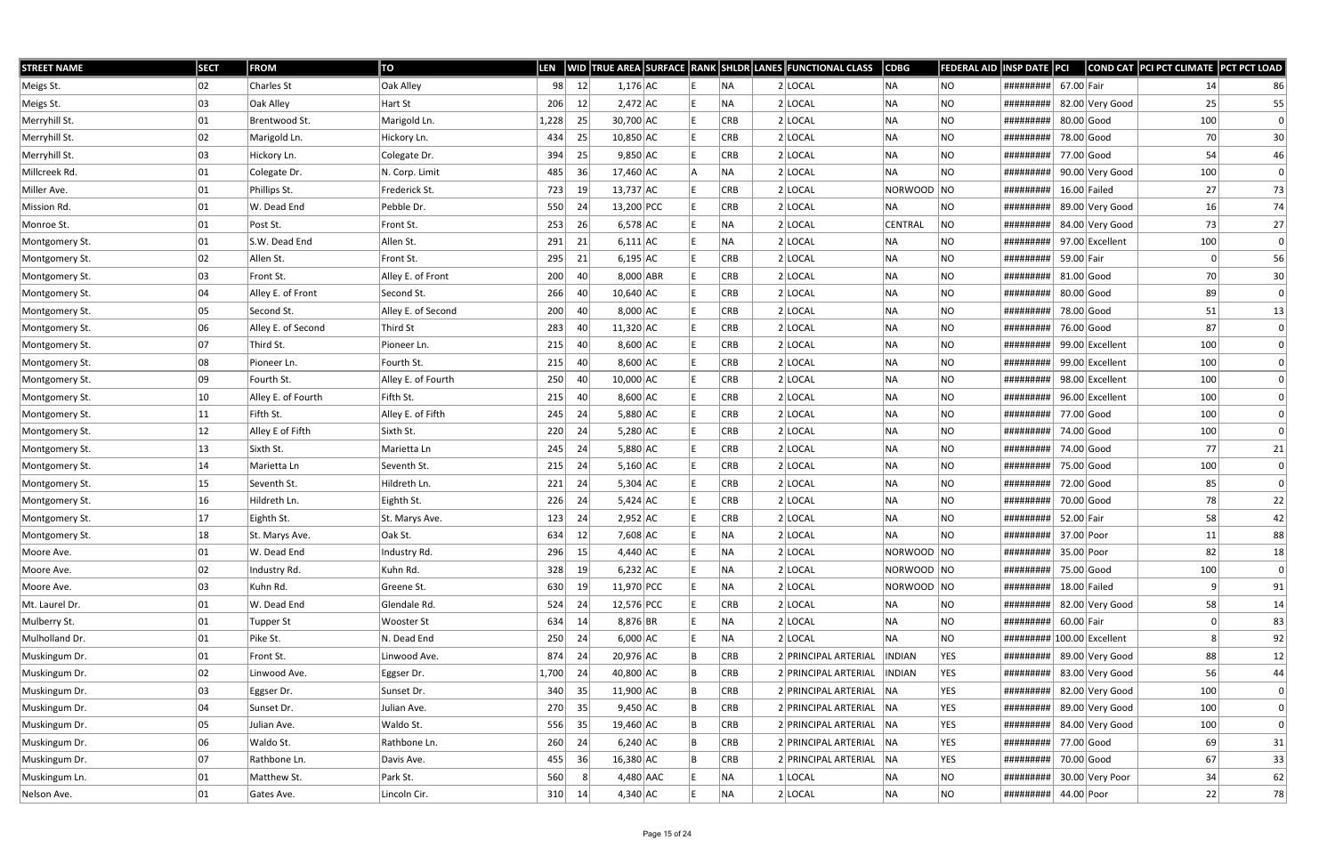| <b>STREET NAME</b> | <b>SECT</b> | <b>FROM</b>        | TO                 | LEN   |    |             |  |            | WID TRUE AREA SURFACE RANK SHLDR LANES FUNCTIONAL CLASS | <b>CDBG</b>    | FEDERAL AID | <b>INSP DATE PCI</b> |              |                      | COND CAT PCI PCT CLIMATE PCT PCT LOAD |              |
|--------------------|-------------|--------------------|--------------------|-------|----|-------------|--|------------|---------------------------------------------------------|----------------|-------------|----------------------|--------------|----------------------|---------------------------------------|--------------|
| Meigs St.          | 02          | Charles St         | Oak Alley          | 98    | 12 | $1,176$ AC  |  | NA.        | $2$ LOCAL                                               | NA             | NO          | #########            | 67.00 Fair   |                      | 14                                    | 86           |
| Meigs St.          | 03          | Oak Alley          | Hart St            | 206   | 12 | $2,472$ AC  |  | <b>NA</b>  | $2$ LOCAL                                               | NA             | <b>NO</b>   | #########            |              | 82.00 Very Good      | 25                                    | 55           |
| Merryhill St.      | 01          | Brentwood St.      | Marigold Ln.       | 1,228 | 25 | 30,700 AC   |  | <b>CRB</b> | $2$ LOCAL                                               | NA             | <b>NO</b>   | #########            | 80.00 Good   |                      | 100                                   | 0            |
| Merryhill St.      | 02          | Marigold Ln.       | Hickory Ln.        | 434   | 25 | $10,850$ AC |  | <b>CRB</b> | $2$ LOCAL                                               | NA             | <b>NO</b>   | #########            |              | 78.00 Good           | 70                                    | 30           |
| Merryhill St.      | 03          | Hickory Ln.        | Colegate Dr.       | 394   | 25 | $9,850$ AC  |  | <b>CRB</b> | 2 LOCAL                                                 | NA             | <b>NO</b>   | #########            | 77.00 Good   |                      | 54                                    | 46           |
| Millcreek Rd.      | 01          | Colegate Dr.       | N. Corp. Limit     | 485   | 36 | $17,460$ AC |  | NA.        | $2$ LOCAL                                               | NA             | <b>NO</b>   | #########            |              | 90.00 Very Good      | 100                                   | 0            |
| Miller Ave.        | 01          | Phillips St.       | Frederick St.      | 723   | 19 | 13,737 AC   |  | <b>CRB</b> | $2$ LOCAL                                               | NORWOOD NO     |             | #########            |              | $16.00$ Failed       | 27                                    | 73           |
| Mission Rd.        | 01          | W. Dead End        | Pebble Dr.         | 550   | 24 | 13,200 PCC  |  | <b>CRB</b> | 2 LOCAL                                                 | NA             | NO          | #########            |              | 89.00 Very Good      | 16                                    | 74           |
| Monroe St.         | 01          | Post St.           | Front St.          | 253   | 26 | $6,578$ AC  |  | <b>NA</b>  | 2 LOCAL                                                 | <b>CENTRAL</b> | NO          | #########            |              | 84.00 Very Good      | 73                                    | 27           |
| Montgomery St.     | 01          | S.W. Dead End      | Allen St.          | 291   | 21 | $6,111$ AC  |  | NA)        | $2$ LOCAL                                               | NA             | <b>NO</b>   | #########            |              | 97.00 Excellent      | 100                                   | 0            |
| Montgomery St.     | 02          | Allen St.          | Front St.          | 295   | 21 | $6,195$ AC  |  | <b>CRB</b> | 2 LOCAL                                                 | NA             | <b>NO</b>   | #########            | 59.00 Fair   |                      | $\Omega$                              | 56           |
| Montgomery St.     | 03          | Front St.          | Alley E. of Front  | 200   | 40 | $8,000$ ABR |  | <b>CRB</b> | $2$ LOCAL                                               | <b>NA</b>      | NO.         | #########            | $81.00$ Good |                      | 70                                    | 30           |
| Montgomery St.     | 04          | Alley E. of Front  | Second St.         | 266   | 40 | $10,640$ AC |  | <b>CRB</b> | $2$ LOCAL                                               | NA             | <b>NO</b>   | #########            | $80.00$ Good |                      | 89                                    | $\mathbf{0}$ |
| Montgomery St.     | 05          | Second St.         | Alley E. of Second | 200   | 40 | $8,000$ AC  |  | <b>CRB</b> | $2$ LOCAL                                               | NA             | <b>NO</b>   | #########            | 78.00 Good   |                      | 51                                    | 13           |
| Montgomery St.     | 06          | Alley E. of Second | Third St           | 283   | 40 | $11,320$ AC |  | <b>CRB</b> | 2 LOCAL                                                 | NA             | <b>NO</b>   | #########            |              | 76.00 Good           | 87                                    | $\mathbf{0}$ |
| Montgomery St.     | 07          | Third St.          | Pioneer Ln.        | 215   | 40 | $8,600$ AC  |  | <b>CRB</b> | 2 LOCAL                                                 | NA             | <b>NO</b>   | #########            |              | 99.00 Excellent      | 100                                   |              |
| Montgomery St.     | 08          | Pioneer Ln.        | Fourth St.         | 215   | 40 | $8,600$ AC  |  | <b>CRB</b> | $2$ LOCAL                                               | NA             | <b>NO</b>   | #########            |              | 99.00 Excellent      | 100                                   |              |
| Montgomery St.     | 09          | Fourth St.         | Alley E. of Fourth | 250   | 40 | $10,000$ AC |  | <b>CRB</b> | 2 LOCAL                                                 | NA             | NO.         | #########            |              | 98.00 Excellent      | 100                                   |              |
| Montgomery St.     | 10          | Alley E. of Fourth | Fifth St.          | 215   | 40 | $8,600$ AC  |  | <b>CRB</b> | 2 LOCAL                                                 | NA             | <b>NO</b>   | #########            |              | 96.00 Excellent      | 100                                   |              |
| Montgomery St.     | 11          | Fifth St.          | Alley E. of Fifth  | 245   | 24 | $5,880$ AC  |  | <b>CRB</b> | $2$ LOCAL                                               | NA             | <b>NO</b>   | #########            | 77.00 Good   |                      | 100                                   |              |
| Montgomery St.     | 12          | Alley E of Fifth   | Sixth St.          | 220   | 24 | $5,280$ AC  |  | <b>CRB</b> | 2 LOCAL                                                 | NA             | <b>NO</b>   | #########            | 74.00 Good   |                      | 100                                   |              |
| Montgomery St.     | 13          | Sixth St.          | Marietta Ln        | 245   | 24 | $5,880$ AC  |  | <b>CRB</b> | 2 LOCAL                                                 | NA             | <b>NO</b>   | #########            | 74.00 Good   |                      | 77                                    | 21           |
| Montgomery St.     | 14          | Marietta Ln        | Seventh St.        | 215   | 24 | $5,160$ AC  |  | <b>CRB</b> | 2 LOCAL                                                 | NA             | NO          | #########            | 75.00 Good   |                      | 100                                   | $\Omega$     |
| Montgomery St.     | 15          | Seventh St.        | Hildreth Ln.       | 221   | 24 | $5,304$ AC  |  | <b>CRB</b> | $2$ LOCAL                                               | NA             | <b>NO</b>   | #########            | 72.00 Good   |                      | 85                                    |              |
| Montgomery St.     | 16          | Hildreth Ln.       | Eighth St.         | 226   | 24 | $5,424$ AC  |  | <b>CRB</b> | $2$ LOCAL                                               | NA             | <b>NO</b>   | #########            | 70.00 Good   |                      | 78                                    | 22           |
| Montgomery St.     | 17          | Eighth St.         | St. Marys Ave.     | 123   | 24 | $2,952$ AC  |  | <b>CRB</b> | $2$ LOCAL                                               | NA             | NO          | #########            | 52.00 Fair   |                      | 58                                    | 42           |
| Montgomery St.     | 18          | St. Marys Ave.     | Oak St.            | 634   | 12 | $7,608$ AC  |  | NA         | $2$ LOCAL                                               | NA             | <b>NO</b>   | #########            | 37.00 Poor   |                      | 11                                    | 88           |
| Moore Ave.         | 01          | W. Dead End        | Industry Rd.       | 296   | 15 | $4,440$ AC  |  | NA)        | $2$ LOCAL                                               | NORWOOD NO     |             | #########            | 35.00 Poor   |                      | 82                                    | 18           |
| Moore Ave.         | 02          | Industry Rd.       | Kuhn Rd.           | 328   | 19 | $6,232$ AC  |  | NA)        | $2$ LOCAL                                               | NORWOOD NO     |             | #########            | 75.00 Good   |                      | 100                                   | 0            |
| Moore Ave.         | 03          | Kuhn Rd.           | Greene St.         | 630   | 19 | 11,970 PCC  |  | NA)        | $2$ LOCAL                                               | NORWOOD NO     |             | #########            |              | $18.00$ Failed       |                                       | 91           |
| Mt. Laurel Dr.     | 01          | W. Dead End        | Glendale Rd.       | 524   | 24 | 12,576 PCC  |  | <b>CRB</b> | $2$ LOCAL                                               | NA             | <b>NO</b>   | #########            |              | 82.00 Very Good      | 58                                    | 14           |
| Mulberry St.       | 01          | <b>Tupper St</b>   | <b>Wooster St</b>  | 634   | 14 | $8,876$ BR  |  | NA)        | $2$ LOCAL                                               | NA             | NO          | #########            | 60.00 Fair   |                      |                                       | 83           |
| Mulholland Dr.     | 01          | Pike St.           | N. Dead End        | 250   | 24 | $6,000$ AC  |  | NA)        | 2 LOCAL                                                 | NA             | <b>NO</b>   | #########            |              | $ 100.00 $ Excellent |                                       | 92           |
| Muskingum Dr.      | 01          | Front St.          | Linwood Ave.       | 874   | 24 | 20,976 AC   |  | CRB        | 2 PRINCIPAL ARTERIAL                                    | <b>INDIAN</b>  | <b>YES</b>  | #########            |              | 89.00 Very Good      | 88                                    | 12           |
| Muskingum Dr.      | 02          | Linwood Ave.       | Eggser Dr.         | 1,700 | 24 | 40,800 AC   |  | CRB        | 2 PRINCIPAL ARTERIAL  INDIAN                            |                | <b>YES</b>  | #########            |              | 83.00 Very Good      | 56                                    | 44           |
| Muskingum Dr.      | 03          | Eggser Dr.         | Sunset Dr.         | 340   | 35 | $11,900$ AC |  | <b>CRB</b> | 2 PRINCIPAL ARTERIAL NA                                 |                | <b>YES</b>  | #########            |              | 82.00 Very Good      | 100                                   | 0            |
| Muskingum Dr.      | 04          | Sunset Dr.         | Julian Ave.        | 270   | 35 | $9,450$ AC  |  | CRB        | 2 PRINCIPAL ARTERIAL NA                                 |                | <b>YES</b>  | #########            |              | 89.00 Very Good      | 100                                   | $\mathbf{0}$ |
| Muskingum Dr.      | 05          | Julian Ave.        | Waldo St.          | 556   | 35 | 19,460 AC   |  | CRB        | 2 PRINCIPAL ARTERIAL NA                                 |                | <b>YES</b>  | #########            |              | 84.00 Very Good      | 100                                   | 0            |
| Muskingum Dr.      | 06          | Waldo St.          | Rathbone Ln.       | 260   | 24 | $6,240$ AC  |  | <b>CRB</b> | 2 PRINCIPAL ARTERIAL NA                                 |                | <b>YES</b>  | #########            | 77.00 Good   |                      | 69                                    | 31           |
| Muskingum Dr.      | 07          | Rathbone Ln.       | Davis Ave.         | 455   | 36 | 16,380 AC   |  | CRB        | 2 PRINCIPAL ARTERIAL NA                                 |                | <b>YES</b>  | #########            | 70.00 Good   |                      | 67                                    | 33           |
| Muskingum Ln.      | 01          | Matthew St.        | Park St.           | 560   |    | 4,480 AAC   |  | NA         | $1 $ LOCAL                                              | NA             | NO          | #########            |              | 30.00 Very Poor      | 34                                    | 62           |
| Nelson Ave.        | 01          | Gates Ave.         | Lincoln Cir.       | 310   | 14 | $4,340$ AC  |  | NA         | $2$ LOCAL                                               | NA             | <b>NO</b>   | #########            | 44.00 Poor   |                      | 22                                    | 78           |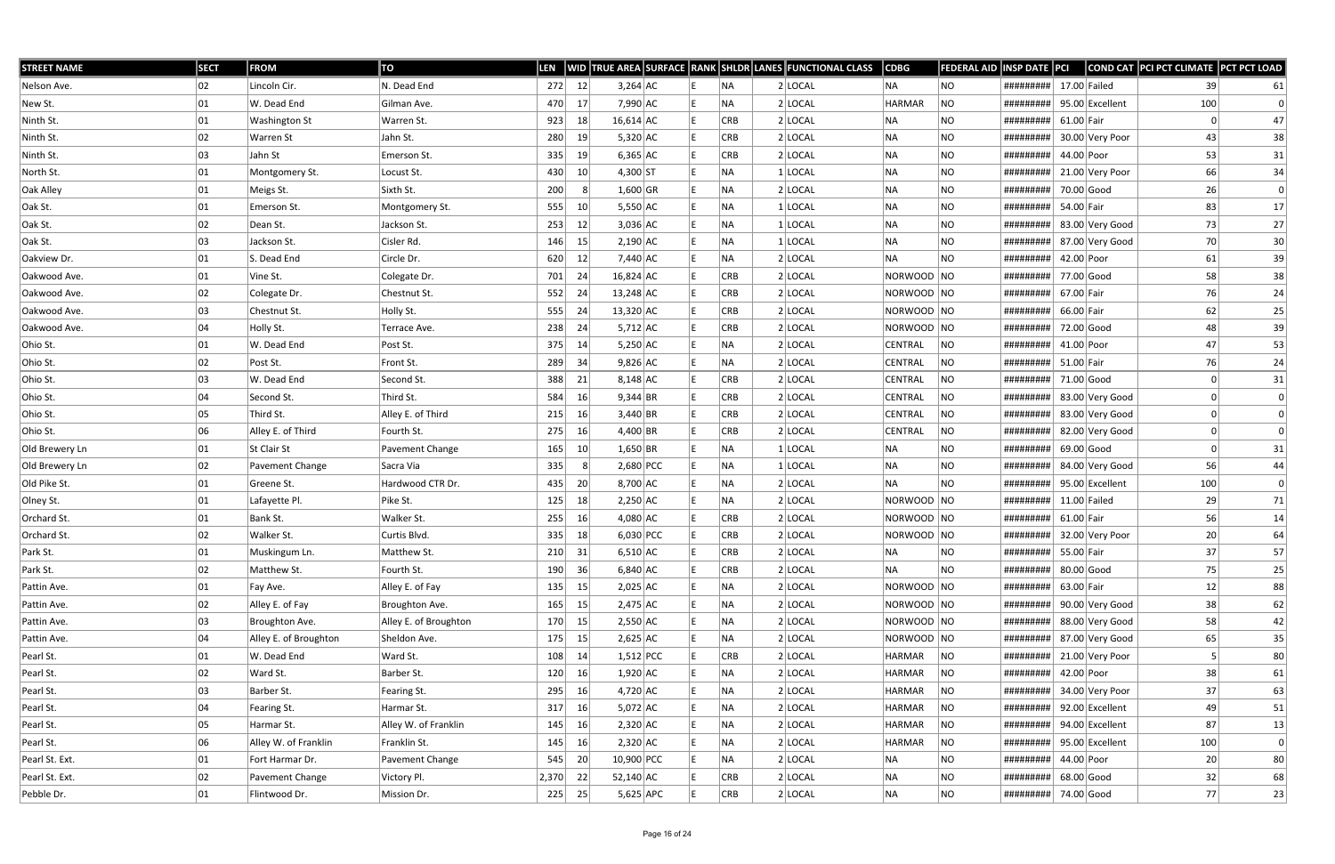| <b>STREET NAME</b> | <b>SECT</b> | <b>FROM</b>           | TO                    | LEN      |    |                    |  |            | WID TRUE AREA SURFACE RANK SHLDR LANES FUNCTIONAL CLASS | $\overline{\textsf{CDBG}}$ | <b>FEDERAL AID</b> | INSP DATE PCI             |                |                 | COND CAT PCI PCT CLIMATE PCT PCT LOAD |                 |
|--------------------|-------------|-----------------------|-----------------------|----------|----|--------------------|--|------------|---------------------------------------------------------|----------------------------|--------------------|---------------------------|----------------|-----------------|---------------------------------------|-----------------|
| Nelson Ave.        | 02          | Lincoln Cir.          | N. Dead End           | 272      | 12 | $3,264$ AC         |  | <b>NA</b>  | $2$ LOCAL                                               | <b>NA</b>                  | NO                 | #########                 | $17.00$ Failed |                 | 39                                    | 61              |
| New St.            | 01          | W. Dead End           | Gilman Ave.           | 470      | 17 | 7,990 AC           |  | ΝA         | $2$ LOCAL                                               | <b>HARMAR</b>              | <b>NO</b>          | #########                 |                | 95.00 Excellent | 100                                   | $\Omega$        |
| Ninth St.          | 01          | <b>Washington St</b>  | Warren St.            | 923      | 18 | $16,614$ AC        |  | <b>CRB</b> | $2$ LOCAL                                               | <b>NA</b>                  | NO.                | #########                 | 61.00 Fair     |                 |                                       | 47              |
| Ninth St.          | 02          | <b>Warren St</b>      | Jahn St.              | 280      | 19 | $5,320$ AC         |  | CRB        | $2$ LOCAL                                               | <b>NA</b>                  | <b>NO</b>          | #########                 |                | 30.00 Very Poor | 43                                    | 38              |
| Ninth St.          | 03          | Jahn St               | Emerson St.           | 335      | 19 | $6,365$ AC         |  | <b>CRB</b> | 2 LOCAL                                                 | <b>NA</b>                  | <b>NO</b>          | #########                 | 44.00 Poor     |                 | 53                                    | 31              |
| North St.          | 01          | Montgomery St.        | Locust St.            | 430      | 10 | $4,300$ ST         |  | ΝA         | $1$ LOCAL                                               | <b>NA</b>                  | NO.                | #########                 |                | 21.00 Very Poor | 66                                    | 34              |
| Oak Alley          | 01          | Meigs St.             | Sixth St.             | 200      | -8 | $1,600$ GR         |  | NA         | 2 LOCAL                                                 | <b>NA</b>                  | NO.                | #########                 | 70.00 Good     |                 | 26                                    | $\Omega$        |
| Oak St.            | 01          | Emerson St.           | Montgomery St.        | 555      | 10 | $5,550$ AC         |  | ΝA         | $1$ LOCAL                                               | <b>NA</b>                  | NO                 | #########                 | 54.00 Fair     |                 | 83                                    | 17              |
| Oak St.            | 02          | Dean St.              | Jackson St.           | 253      | 12 | $3,036$ AC         |  | ΝA         | 1 LOCAL                                                 | <b>NA</b>                  | <b>NO</b>          | #########                 |                | 83.00 Very Good | 73                                    | 27              |
| Oak St.            | 03          | Jackson St.           | Cisler Rd.            | 146      | 15 | $2,190$ AC         |  | <b>NA</b>  | 1 LOCAL                                                 | <b>NA</b>                  | NO.                | #########                 |                | 87.00 Very Good | 70                                    | 30 <sup>2</sup> |
| Oakview Dr.        | 01          | S. Dead End           | Circle Dr.            | 620      | 12 | 7,440 AC           |  | NA         | 2 LOCAL                                                 | <b>NA</b>                  | NO.                | #########                 | 42.00 Poor     |                 | 61                                    | 39              |
| Oakwood Ave.       | 01          | Vine St.              | Colegate Dr.          | 701      | 24 | $16,824$ AC        |  | <b>CRB</b> | $2$ LOCAL                                               | NORWOOD NO                 |                    | #########                 | 77.00 Good     |                 | 58                                    | 38              |
| Oakwood Ave.       | 02          | Colegate Dr.          | Chestnut St.          | 552      | 24 | $13,248$ AC        |  | <b>CRB</b> | $2$ LOCAL                                               | NORWOOD NO                 |                    | #########                 | 67.00 Fair     |                 | 76                                    | 24              |
| Oakwood Ave.       | 03          | Chestnut St.          | Holly St.             | 555      | 24 | 13,320 AC          |  | CRB        | $2$ LOCAL                                               | NORWOOD NO                 |                    | #########                 | 66.00 Fair     |                 | 62                                    | 25              |
| Oakwood Ave.       | 04          | Holly St.             | Terrace Ave.          | 238      | 24 | $5,712$ AC         |  | <b>CRB</b> | 2 LOCAL                                                 | NORWOOD NO                 |                    | #########                 | 72.00 Good     |                 | 48                                    | 39              |
| Ohio St.           | 01          | W. Dead End           | Post St.              | 375      | 14 | $5,250$ AC         |  | ΝA         | $2$ LOCAL                                               | CENTRAL                    | NO.                | #########                 | 41.00 Poor     |                 | 47                                    | 53              |
| Ohio St.           | 02          | Post St.              | Front St.             | 289      | 34 | $9,826$ AC         |  | ΝA         | $2$ LOCAL                                               | CENTRAL                    | NO                 | #########                 | 51.00 Fair     |                 | 76                                    | 24              |
| Ohio St.           | 03          | W. Dead End           | Second St.            | 388      | 21 | $8,148$ AC         |  | CRB        | 2 LOCAL                                                 | CENTRAL                    | NO                 | #########                 | 71.00 Good     |                 |                                       | 31              |
| Ohio St.           | 04          | Second St.            | Third St.             | 584      | 16 | 9,344 BR           |  | <b>CRB</b> | $2$ LOCAL                                               | <b>CENTRAL</b>             | NO                 | #########                 |                | 83.00 Very Good |                                       | $\Omega$        |
| Ohio St.           | 05          | Third St.             | Alley E. of Third     | 215      | 16 | $3,440$ BR         |  | CRB        | $2$ LOCAL                                               | CENTRAL                    | NO                 | #########                 |                | 83.00 Very Good |                                       | $\Omega$        |
| Ohio St.           | 06          | Alley E. of Third     | Fourth St.            | 275      | 16 | 4,400 BR           |  | <b>CRB</b> | 2 LOCAL                                                 | CENTRAL                    | NO                 | #########                 |                | 82.00 Very Good |                                       |                 |
| Old Brewery Ln     | 01          | St Clair St           | Pavement Change       | 165      | 10 | $1,650$ BR         |  | <b>NA</b>  | 1 LOCAL                                                 | <b>NA</b>                  | NO.                | #########                 | $69.00$ Good   |                 |                                       | 31              |
| Old Brewery Ln     | 02          | Pavement Change       | Sacra Via             | 335      | -8 | 2,680 PCC          |  | ΝA         | 1 LOCAL                                                 | <b>NA</b>                  | NO.                | #########                 |                | 84.00 Very Good | 56                                    | 44              |
| Old Pike St.       | 01          | Greene St.            | Hardwood CTR Dr.      | 435      | 20 | 8,700 AC           |  | <b>NA</b>  | $2$ LOCAL                                               | <b>NA</b>                  | NO                 | #########                 |                | 95.00 Excellent | 100                                   | $\Omega$        |
| Olney St.          | 01          | Lafayette Pl.         | Pike St.              | 125      | 18 | $2,250$ AC         |  | <b>NA</b>  | 2 LOCAL                                                 | NORWOOD NO                 |                    | #########                 | $11.00$ Failed |                 | 29                                    | 71              |
| Orchard St.        | 01          | Bank St.              | Walker St.            | 255      | 16 | $4,080$ AC         |  | <b>CRB</b> | 2 LOCAL                                                 | NORWOOD NO                 |                    | #########                 | $61.00$ Fair   |                 | 56                                    | 14              |
| Orchard St.        | 02          | Walker St.            | Curtis Blvd.          | 335      | 18 | $6,030$ PCC        |  | <b>CRB</b> | $2$ LOCAL                                               | NORWOOD NO                 |                    | #########                 |                | 32.00 Very Poor | 20                                    | 64              |
| Park St.           | 01          | Muskingum Ln.         | Matthew St.           | $210$ 31 |    | $6,510$ AC         |  | CRB        | $2$ LOCAL                                               | NA                         | NO                 | #########                 | 55.00 Fair     |                 | 37                                    | 57              |
| Park St.           | 02          | Matthew St.           | Fourth St.            | 190      | 36 | $6,840$ AC         |  | <b>CRB</b> | $2$ LOCAL                                               | <b>NA</b>                  | NO                 | #########                 | $80.00$ Good   |                 | 75                                    | 25              |
| Pattin Ave.        | 01          | Fay Ave.              | Alley E. of Fay       | 135      | 15 | $2,025$ $AC$       |  | NA         | $2$ LOCAL                                               | NORWOOD NO                 |                    | #########                 | 63.00 Fair     |                 | 12                                    | 88              |
| Pattin Ave.        | 02          | Alley E. of Fay       | Broughton Ave.        | 165      | 15 | $2,475$ AC         |  | <b>NA</b>  | 2 LOCAL                                                 | NORWOOD NO                 |                    | #########                 |                | 90.00 Very Good | 38                                    | 62              |
| Pattin Ave.        | 03          | Broughton Ave.        | Alley E. of Broughton | 170      | 15 | $2,550$ $AC$       |  | <b>NA</b>  | 2 LOCAL                                                 | NORWOOD NO                 |                    | ######### 88.00 Very Good |                |                 | 58                                    | 42              |
| Pattin Ave.        | 04          | Alley E. of Broughton | Sheldon Ave.          | 175      | 15 | $2,625$ $AC$       |  | <b>NA</b>  | $2$ LOCAL                                               | NORWOOD NO                 |                    | #########                 |                | 87.00 Very Good | 65                                    | 35              |
| Pearl St.          | 01          | W. Dead End           | Ward St.              | 108      | 14 | $1,512$ PCC        |  | CRB        | 2 LOCAL                                                 | HARMAR                     | NO                 | #########                 |                | 21.00 Very Poor | 5                                     | 80              |
| Pearl St.          | 02          | Ward St.              | Barber St.            | 120      | 16 | $1,920$ AC         |  | NA         | 2 LOCAL                                                 | HARMAR                     | NO                 | #########                 | 42.00 Poor     |                 | 38                                    | 61              |
| Pearl St.          | 03          | Barber St.            | Fearing St.           | 295      | 16 | 4,720 AC           |  | <b>NA</b>  | 2 LOCAL                                                 | HARMAR                     | NO                 | #########                 |                | 34.00 Very Poor | 37                                    | 63              |
| Pearl St.          | 04          | Fearing St.           | Harmar St.            | 317      | 16 | $5,072$ $\vert$ AC |  | NA         | $2$ LOCAL                                               | HARMAR                     | NO                 | #########                 |                | 92.00 Excellent | 49                                    | 51              |
| Pearl St.          | 05          | Harmar St.            | Alley W. of Franklin  | 145      | 16 | $2,320$ AC         |  | <b>NA</b>  | 2 LOCAL                                                 | HARMAR                     | NO                 | #########                 |                | 94.00 Excellent | 87                                    | 13              |
| Pearl St.          | 06          | Alley W. of Franklin  | Franklin St.          | 145      | 16 | $2,320$ AC         |  | <b>NA</b>  | $2$ LOCAL                                               | HARMAR                     | NO                 | #########                 |                | 95.00 Excellent | 100                                   | 0               |
| Pearl St. Ext.     | 01          | Fort Harmar Dr.       | Pavement Change       | 545      | 20 | 10,900 PCC         |  | NA         | 2 LOCAL                                                 | NA                         | NO                 | #########                 | 44.00 Poor     |                 | 20                                    | 80              |
| Pearl St. Ext.     | 02          | Pavement Change       | Victory Pl.           | 2,370    | 22 | 52,140 AC          |  | <b>CRB</b> | $2$ LOCAL                                               | <b>NA</b>                  | NO                 | #########                 | $68.00$ Good   |                 | 32                                    | 68              |
| Pebble Dr.         | 01          | Flintwood Dr.         | Mission Dr.           | 225      | 25 | $5,625$ APC        |  | <b>CRB</b> | $2$ LOCAL                                               | NA                         | NO                 | ########## 74.00 Good     |                |                 | 77                                    | 23              |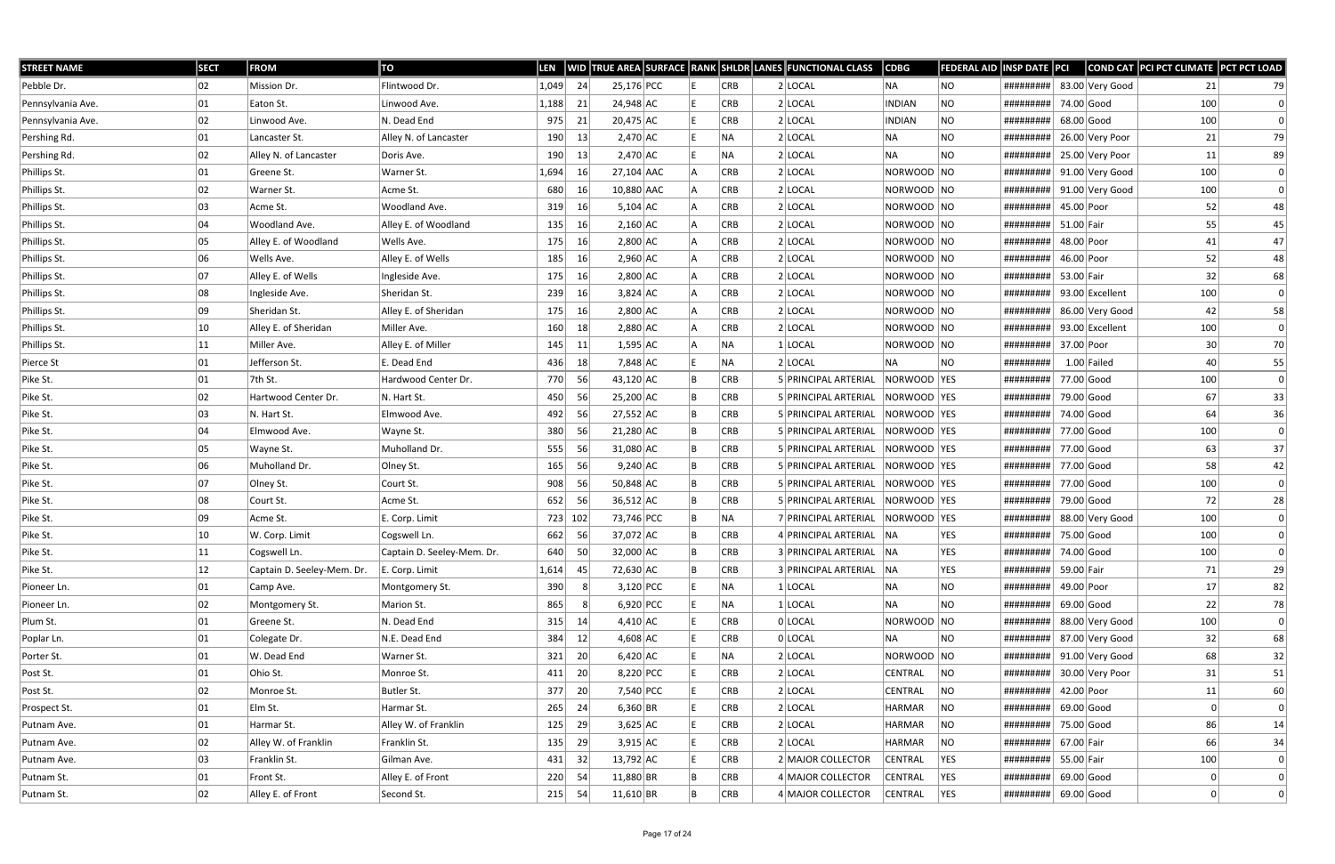| <b>STREET NAME</b> | <b>SECT</b>  | <b>FROM</b>                | TO                         | <b>LEN</b> |    |             |  |            | WID TRUE AREA SURFACE RANK SHLDR LANES FUNCTIONAL CLASS | $\vert$ CDBG   | <b>FEDERAL AID</b> | INSP DATE PCI         |              |                 | COND CAT PCI PCT CLIMATE PCT PCT LOAD |    |
|--------------------|--------------|----------------------------|----------------------------|------------|----|-------------|--|------------|---------------------------------------------------------|----------------|--------------------|-----------------------|--------------|-----------------|---------------------------------------|----|
| Pebble Dr.         | 02           | Mission Dr.                | Flintwood Dr.              | 1,049      | 24 | 25,176 PCC  |  | <b>CRB</b> | $2$ LOCAL                                               | NA             | NO                 | #########             |              | 83.00 Very Good | 21                                    | 79 |
| Pennsylvania Ave.  | 01           | Eaton St.                  | Linwood Ave.               | 1,188      | 21 | 24,948 AC   |  | <b>CRB</b> | 2 LOCAL                                                 | <b>INDIAN</b>  | <b>NO</b>          | #########             | 74.00 Good   |                 | 100                                   |    |
| Pennsylvania Ave.  | 02           | Linwood Ave.               | N. Dead End                | 975        | 21 | $20,475$ AC |  | <b>CRB</b> | $2$ LOCAL                                               | <b>INDIAN</b>  | <b>NO</b>          | #########             |              | 68.00 Good      | 100                                   | 0  |
| Pershing Rd.       | 01           | Lancaster St.              | Alley N. of Lancaster      | 190        | 13 | $2,470$ AC  |  | NA.        | 2 LOCAL                                                 | NA             | <b>NO</b>          | #########             |              | 26.00 Very Poor | 21                                    | 79 |
| Pershing Rd.       | 02           | Alley N. of Lancaster      | Doris Ave.                 | 190        | 13 | $2,470$ AC  |  | NA         | $2$ LOCAL                                               | NA             | <b>NO</b>          | #########             |              | 25.00 Very Poor | 11                                    | 89 |
| Phillips St.       | 01           | Greene St.                 | Warner St.                 | 1,694      | 16 | 27,104 AAC  |  | <b>CRB</b> | $2$ LOCAL                                               | NORWOOD NO     |                    | #########             |              | 91.00 Very Good | 100                                   | 0  |
| Phillips St.       | 02           | Warner St.                 | Acme St.                   | 680        | 16 | 10,880 AAC  |  | <b>CRB</b> | $2$ LOCAL                                               | NORWOOD NO     |                    | #########             |              | 91.00 Very Good | 100                                   | 0  |
| Phillips St.       | 03           | Acme St.                   | Woodland Ave.              | 319        | 16 | $5,104$ AC  |  | <b>CRB</b> | $2$ LOCAL                                               | NORWOOD NO     |                    | #########             | 45.00 Poor   |                 | 52                                    | 48 |
| Phillips St.       | 04           | Woodland Ave.              | Alley E. of Woodland       | 135        | 16 | $2,160$ AC  |  | <b>CRB</b> | 2 LOCAL                                                 | NORWOOD NO     |                    | #########             | 51.00 Fair   |                 | 55                                    | 45 |
| Phillips St.       | 05           | Alley E. of Woodland       | Wells Ave.                 | 175        | 16 | $2,800$ AC  |  | <b>CRB</b> | $2$ LOCAL                                               | NORWOOD  NO    |                    | #########             | 48.00 Poor   |                 | 41                                    | 47 |
| Phillips St.       | 06           | Wells Ave.                 | Alley E. of Wells          | 185        | 16 | $2,960$ AC  |  | <b>CRB</b> | $2$ LOCAL                                               | NORWOOD NO     |                    | #########             | 46.00 Poor   |                 | 52                                    | 48 |
| Phillips St.       | 07           | Alley E. of Wells          | Ingleside Ave.             | 175        | 16 | $2,800$ AC  |  | <b>CRB</b> | $2$ LOCAL                                               | NORWOOD NO     |                    | #########             | 53.00 Fair   |                 | 32                                    | 68 |
| Phillips St.       | 08           | Ingleside Ave.             | Sheridan St.               | 239        | 16 | $3,824$ AC  |  | <b>CRB</b> | $2$ LOCAL                                               | NORWOOD NO     |                    | #########             |              | 93.00 Excellent | 100                                   | 0  |
| Phillips St.       | 09           | Sheridan St.               | Alley E. of Sheridan       | 175        | 16 | $2,800$ AC  |  | <b>CRB</b> | $2$ LOCAL                                               | NORWOOD NO     |                    | #########             |              | 86.00 Very Good | 42                                    | 58 |
| Phillips St.       | $ 10\rangle$ | Alley E. of Sheridan       | Miller Ave.                | 160        | 18 | $2,880$ AC  |  | <b>CRB</b> | 2 LOCAL                                                 | NORWOOD NO     |                    | #########             |              | 93.00 Excellent | 100                                   | 0  |
| Phillips St.       | 11           | Miller Ave.                | Alley E. of Miller         | 145        | 11 | $1,595$ AC  |  | NA         | $1 $ LOCAL                                              | NORWOOD NO     |                    | #########             | 37.00 Poor   |                 | 30                                    | 70 |
| Pierce St          | 01           | Jefferson St.              | E. Dead End                | 436        | 18 | 7,848 AC    |  | NA.        | 2 LOCAL                                                 | NA             | NO                 | #########             |              | $1.00$ Failed   | 40                                    | 55 |
| Pike St.           | 01           | 7th St.                    | Hardwood Center Dr.        | 770        | 56 | $43,120$ AC |  | <b>CRB</b> | 5 PRINCIPAL ARTERIAL                                    | NORWOOD YES    |                    | #########             | 77.00 Good   |                 | 100                                   | 0  |
| Pike St.           | 02           | Hartwood Center Dr.        | N. Hart St.                | 450        | 56 | 25,200 AC   |  | <b>CRB</b> | 5 PRINCIPAL ARTERIAL                                    | NORWOOD YES    |                    | #########             | 79.00 Good   |                 | 67                                    | 33 |
| Pike St.           | 03           | N. Hart St.                | Elmwood Ave.               | 492        | 56 | 27,552 AC   |  | <b>CRB</b> | 5 PRINCIPAL ARTERIAL                                    | NORWOOD YES    |                    | #########             | 74.00 Good   |                 | 64                                    | 36 |
| Pike St.           | 04           | Elmwood Ave.               | Wayne St.                  | 380        | 56 | $21,280$ AC |  | <b>CRB</b> | 5 PRINCIPAL ARTERIAL                                    | NORWOOD YES    |                    | #########             | 77.00 Good   |                 | 100                                   | 0  |
| Pike St.           | 05           | Wayne St.                  | Muholland Dr.              | 555        | 56 | $31,080$ AC |  | <b>CRB</b> | 5 PRINCIPAL ARTERIAL                                    | NORWOOD YES    |                    | #########             | 77.00 Good   |                 | 63                                    | 37 |
| Pike St.           | 06           | Muholland Dr.              | Olney St.                  | 165        | 56 | $9,240$ AC  |  | <b>CRB</b> | 5 PRINCIPAL ARTERIAL                                    | NORWOOD  YES   |                    | #########             | 77.00 Good   |                 | 58                                    | 42 |
| Pike St.           | 07           | Olney St.                  | Court St.                  | 908        | 56 | 50,848 AC   |  | <b>CRB</b> | 5 PRINCIPAL ARTERIAL                                    | NORWOOD YES    |                    | #########             | 77.00 Good   |                 | 100                                   |    |
| Pike St.           | 08           | Court St.                  | Acme St.                   | 652        | 56 | $36,512$ AC |  | <b>CRB</b> | 5 PRINCIPAL ARTERIAL                                    | NORWOOD YES    |                    | #########             |              | 79.00 Good      | 72                                    | 28 |
| Pike St.           | 09           | Acme St.                   | E. Corp. Limit             | 723 102    |    | 73,746 PCC  |  | NA         | 7 PRINCIPAL ARTERIAL                                    | NORWOOD YES    |                    | #########             |              | 88.00 Very Good | 100                                   | 0  |
| Pike St.           | 10           | W. Corp. Limit             | Cogswell Ln.               | 662        | 56 | 37,072 AC   |  | <b>CRB</b> | 4 PRINCIPAL ARTERIAL NA                                 |                | YES                | #########             | 75.00 Good   |                 | 100                                   |    |
| Pike St.           | 11           | Cogswell Ln.               | Captain D. Seeley-Mem. Dr. | 640        | 50 | 32,000 AC   |  | CRB        | 3 PRINCIPAL ARTERIAL NA                                 |                | YES                | ######### 74.00 Good  |              |                 | 100                                   | 0  |
| Pike St.           | $ 12\rangle$ | Captain D. Seeley-Mem. Dr. | E. Corp. Limit             | 1,614      | 45 | 72,630 AC   |  | <b>CRB</b> | 3 PRINCIPAL ARTERIAL NA                                 |                | <b>YES</b>         | #########             | 59.00 Fair   |                 | 71                                    | 29 |
| Pioneer Ln.        | 01           | Camp Ave.                  | Montgomery St.             | 390        |    | $3,120$ PCC |  | NA         | 1 LOCAL                                                 | NA             | NO                 | #########             | 49.00 Poor   |                 | 17                                    | 82 |
| Pioneer Ln.        | 02           | Montgomery St.             | Marion St.                 | 865        |    | $6,920$ PCC |  | NA.        | $1$ LOCAL                                               | NA             | <b>NO</b>          | #########             |              | $69.00$ Good    | 22                                    | 78 |
| Plum St.           | 01           | Greene St.                 | N. Dead End                | 315        | 14 | $4,410$ AC  |  | <b>CRB</b> | 0 LOCAL                                                 | NORWOOD NO     |                    | #########             |              | 88.00 Very Good | 100                                   | 0  |
| Poplar Ln.         | 01           | Colegate Dr.               | N.E. Dead End              | 384        | 12 | $4,608$ AC  |  | <b>CRB</b> | 0 LOCAL                                                 | NA             | NO.                | #########             |              | 87.00 Very Good | 32                                    | 68 |
| Porter St.         | 01           | W. Dead End                | Warner St.                 | 321        | 20 | $6,420$ AC  |  | NA         | $2$ LOCAL                                               | NORWOOD NO     |                    | #########             |              | 91.00 Very Good | 68                                    | 32 |
| Post St.           | 01           | Ohio St.                   | Monroe St.                 | 411        | 20 | 8,220 PCC   |  | <b>CRB</b> | $2$ LOCAL                                               | CENTRAL        | NO                 | #########             |              | 30.00 Very Poor | 31                                    | 51 |
| Post St.           | 02           | Monroe St.                 | Butler St.                 | 377        | 20 | 7,540 PCC   |  | <b>CRB</b> | $2$ LOCAL                                               | CENTRAL        | NO                 | #########             | 42.00 Poor   |                 | 11                                    | 60 |
| Prospect St.       | 01           | Elm St.                    | Harmar St.                 | 265        | 24 | $6,360$ BR  |  | <b>CRB</b> | $2$ LOCAL                                               | HARMAR         | NO                 | #########             |              | $69.00$ Good    |                                       |    |
| Putnam Ave.        | 01           | Harmar St.                 | Alley W. of Franklin       | 125        | 29 | $3,625$ AC  |  | <b>CRB</b> | $2$ LOCAL                                               | HARMAR         | NO                 | #########             | 75.00 Good   |                 | 86                                    | 14 |
| Putnam Ave.        | 02           | Alley W. of Franklin       | Franklin St.               | 135        | 29 | $3,915$ AC  |  | <b>CRB</b> | 2 LOCAL                                                 | HARMAR         | NO                 | #########             | 67.00 Fair   |                 | 66                                    | 34 |
| Putnam Ave.        | 03           | Franklin St.               | Gilman Ave.                | 431        | 32 | 13,792 AC   |  | <b>CRB</b> | 2 MAJOR COLLECTOR                                       | <b>CENTRAL</b> | <b>YES</b>         | #########             | 55.00 Fair   |                 | 100                                   | 0  |
| Putnam St.         | 01           | Front St.                  | Alley E. of Front          | 220        | 54 | $11,880$ BR |  | <b>CRB</b> | 4 MAJOR COLLECTOR                                       | <b>CENTRAL</b> | YES                | #########             | $69.00$ Good |                 |                                       |    |
| Putnam St.         | 02           | Alley E. of Front          | Second St.                 | 215        | 54 | 11,610 BR   |  | CRB        | 4 MAJOR COLLECTOR                                       | CENTRAL        | YES                | ########## 69.00 Good |              |                 | 0                                     |    |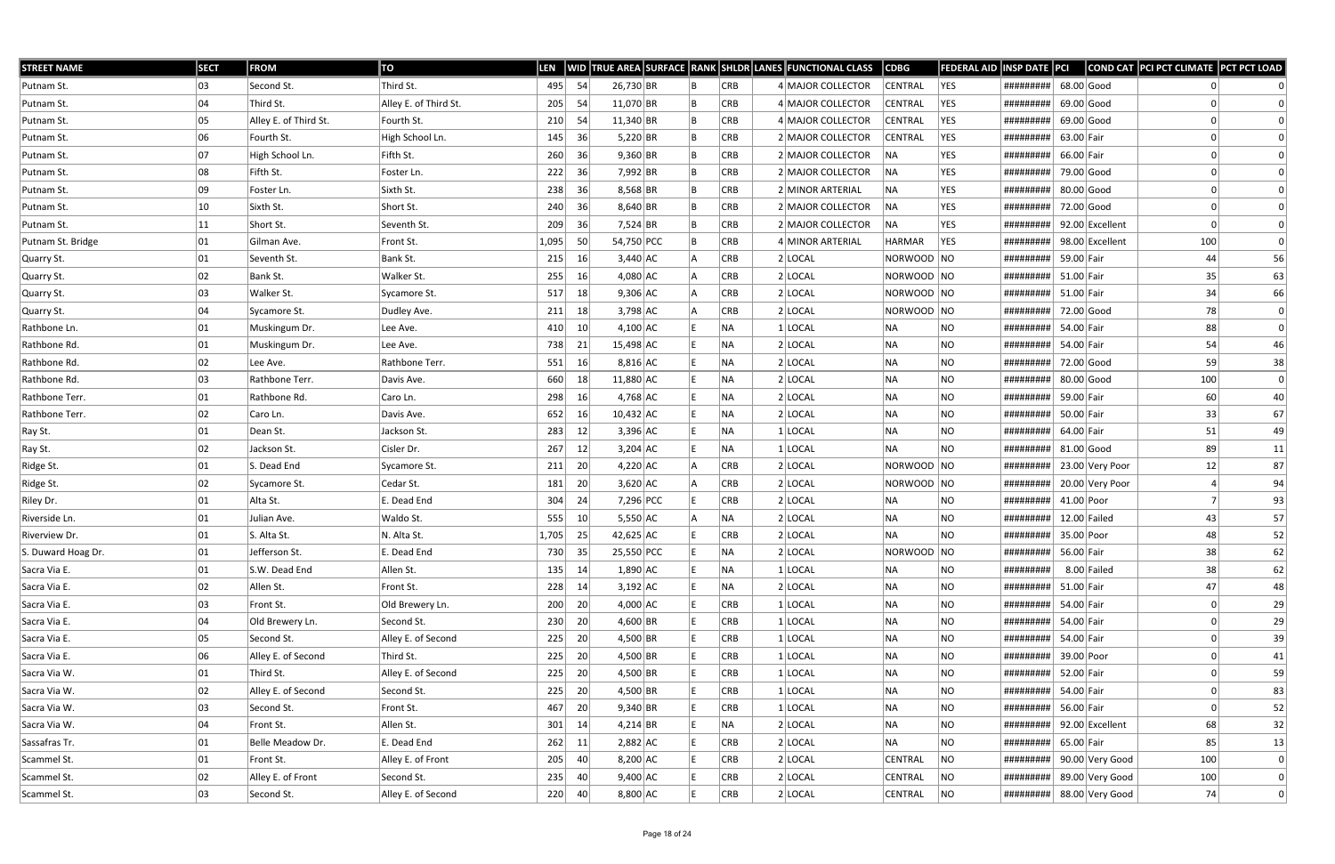| <b>STREET NAME</b> | <b>SECT</b> | <b>FROM</b>           | TO                    | <b>LEN</b> |                 |             |  |            | WID TRUE AREA SURFACE RANK SHLDR LANES FUNCTIONAL CLASS | <b>CDBG</b>    | <b>FEDERAL AID</b> | <b>INSP DATE PCI</b>      |              |                 | COND CAT PCI PCT CLIMATE PCT PCT LOAD |                  |
|--------------------|-------------|-----------------------|-----------------------|------------|-----------------|-------------|--|------------|---------------------------------------------------------|----------------|--------------------|---------------------------|--------------|-----------------|---------------------------------------|------------------|
| Putnam St.         | 03          | Second St.            | Third St.             | 495        | 54              | 26,730 BR   |  | CRB        | 4 MAJOR COLLECTOR                                       | <b>CENTRAL</b> | YES                | #########                 | $68.00$ Good |                 |                                       |                  |
| Putnam St.         | 04          | Third St.             | Alley E. of Third St. | 205        | 54              | $11,070$ BR |  | <b>CRB</b> | 4 MAJOR COLLECTOR                                       | <b>CENTRAL</b> | YES                | #########                 | $69.00$ Good |                 |                                       |                  |
| Putnam St.         | 05          | Alley E. of Third St. | Fourth St.            | 210        | 54              | $11,340$ BR |  | <b>CRB</b> | 4 MAJOR COLLECTOR                                       | <b>CENTRAL</b> | YES                | #########                 | $69.00$ Good |                 |                                       |                  |
| Putnam St.         | 06          | Fourth St.            | High School Ln.       | 145        | 36              | $5,220$ BR  |  | CRB        | 2 MAJOR COLLECTOR                                       | <b>CENTRAL</b> | YES                | #########                 | 63.00 Fair   |                 |                                       |                  |
| Putnam St.         | 07          | High School Ln.       | Fifth St.             | 260        | 36              | $9,360$ BR  |  | <b>CRB</b> | 2 MAJOR COLLECTOR                                       | NA             | YES                | #########                 | 66.00 Fair   |                 |                                       |                  |
| Putnam St.         | 08          | Fifth St.             | Foster Ln.            | 222        | 36              | $7,992$ BR  |  | <b>CRB</b> | 2 MAJOR COLLECTOR                                       | NA             | YES                | #########                 | 79.00 Good   |                 |                                       |                  |
| Putnam St.         | 09          | Foster Ln.            | Sixth St.             | 238        | 36              | $8,568$ BR  |  | CRB        | 2 MINOR ARTERIAL                                        | <b>NA</b>      | YES                | #########                 | 80.00 Good   |                 |                                       |                  |
| Putnam St.         | 10          | Sixth St.             | Short St.             | 240        | 36              | $8,640$ BR  |  | CRB        | 2 MAJOR COLLECTOR                                       | NA             | YES                | #########                 | 72.00 Good   |                 |                                       |                  |
| Putnam St.         | 11          | Short St.             | Seventh St.           | 209        | 36              | 7,524 BR    |  | CRB        | 2 MAJOR COLLECTOR                                       | INA.           | YES                | #########                 |              | 92.00 Excellent |                                       |                  |
| Putnam St. Bridge  | 01          | Gilman Ave.           | Front St.             | 1,095      | 50              | 54,750 PCC  |  | CRB        | 4 MINOR ARTERIAL                                        | <b>HARMAR</b>  | YES                | #########                 |              | 98.00 Excellent | 100                                   | $\Omega$         |
| Quarry St.         | 01          | Seventh St.           | Bank St.              | 215        | 16              | $3,440$ AC  |  | <b>CRB</b> | $2$ LOCAL                                               | NORWOOD NO     |                    | #########                 | 59.00 Fair   |                 | 44                                    | 56               |
| Quarry St.         | 02          | Bank St.              | Walker St.            | 255        | 16              | $4,080$ AC  |  | CRB        | $2$ LOCAL                                               | NORWOOD NO     |                    | #########                 | 51.00 Fair   |                 | 35                                    | 63               |
| Quarry St.         | 03          | Walker St.            | Sycamore St.          | 517        | 18              | $9,306$ AC  |  | CRB        | $2$ LOCAL                                               | NORWOOD NO     |                    | #########                 | 51.00 Fair   |                 | 34                                    | 66               |
| Quarry St.         | 04          | Sycamore St.          | Dudley Ave.           | 211        | 18              | $3,798$ AC  |  | <b>CRB</b> | $2$ LOCAL                                               | NORWOOD NO     |                    | #########                 | 72.00 Good   |                 | 78                                    | $\boldsymbol{0}$ |
| Rathbone Ln.       | 01          | Muskingum Dr.         | Lee Ave.              | 410        | 10              | $4,100$ AC  |  | NA         | $1 $ LOCAL                                              | <b>NA</b>      | NO.                | #########                 | 54.00 Fair   |                 | 88                                    | $\overline{0}$   |
| Rathbone Rd.       | 01          | Muskingum Dr.         | Lee Ave.              | 738        | 21              | 15,498 AC   |  | NA         | $2$ LOCAL                                               | <b>NA</b>      | NO.                | #########                 | 54.00 Fair   |                 | 54                                    | 46               |
| Rathbone Rd.       | 02          | Lee Ave.              | Rathbone Terr.        | 551        | 16              | $8,816$ AC  |  | NA         | $2$ LOCAL                                               | <b>NA</b>      | <b>NO</b>          | #########                 | 72.00 Good   |                 | 59                                    | 38               |
| Rathbone Rd.       | 03          | Rathbone Terr.        | Davis Ave.            | 660        | 18              | 11,880 AC   |  | NA         | $2$ LOCAL                                               | NA             | NO.                | #########                 | 80.00 Good   |                 | 100                                   | $\Omega$         |
| Rathbone Terr.     | 01          | Rathbone Rd.          | Caro Ln.              | 298        | 16              | $4,768$ AC  |  | NA)        | $2$ LOCAL                                               | <b>NA</b>      | NO.                | #########                 | 59.00 Fair   |                 | 60                                    | 40               |
| Rathbone Terr.     | 02          | Caro Ln.              | Davis Ave.            | 652        | 16              | $10,432$ AC |  | NA         | $2$ LOCAL                                               | <b>NA</b>      | <b>NO</b>          | #########                 | 50.00 Fair   |                 | 33                                    | 67               |
| Ray St.            | 01          | Dean St.              | Jackson St.           | 283        | 12              | $3,396$ AC  |  | NA         | 1 LOCAL                                                 | NA             | <b>NO</b>          | #########                 | 64.00 Fair   |                 | 51                                    | 49               |
| Ray St.            | 02          | Jackson St.           | Cisler Dr.            | 267        | 12              | $3,204$ AC  |  | NA         | $1$ LOCAL                                               | NA             | <b>NO</b>          | #########                 | $81.00$ Good |                 | 89                                    | 11               |
| Ridge St.          | 01          | S. Dead End           | Sycamore St.          | 211        | 20              | $4,220$ AC  |  | CRB        | $2$ LOCAL                                               | NORWOOD NO     |                    | #########                 |              | 23.00 Very Poor | 12                                    | 87               |
| Ridge St.          | 02          | Sycamore St.          | Cedar St.             | 181        | 20              | $3,620$ AC  |  | CRB        | $2$ LOCAL                                               | NORWOOD NO     |                    | #########                 |              | 20.00 Very Poor | 4                                     | 94               |
| Riley Dr.          | 01          | Alta St.              | E. Dead End           | 304        | 24              | 7,296 PCC   |  | <b>CRB</b> | $2$ LOCAL                                               | NA             | NO.                | #########                 | 41.00 Poor   |                 | $\overline{7}$                        | 93               |
| Riverside Ln.      | 01          | Julian Ave.           | Waldo St.             | 555        | 10 <sup>°</sup> | $5,550$ AC  |  | NA         | $2$ LOCAL                                               | <b>NA</b>      | <b>NO</b>          | #########                 |              | $12.00$ Failed  | 43                                    | 57               |
| Riverview Dr.      | 01          | S. Alta St.           | N. Alta St.           | 1,705      | 25              | $42,625$ AC |  | <b>CRB</b> | $2$ LOCAL                                               | <b>NA</b>      | <b>NO</b>          | ########## 35.00 Poor     |              |                 | 48                                    | 52               |
| S. Duward Hoag Dr. | 01          | Jefferson St.         | E. Dead End           | 730        | $-35$           | 25,550 PCC  |  | NA         | $2$ LOCAL                                               | NORWOOD NO     |                    | #########                 | 56.00 Fair   |                 | 38                                    | 62               |
| Sacra Via E.       | 01          | S.W. Dead End         | Allen St.             | $135$ 14   |                 | 1,890 AC    |  | NA         | $1$ LOCAL                                               | NA             | NO                 | #########                 |              | $8.00$ Failed   | 38                                    | 62               |
| Sacra Via E.       | 02          | Allen St.             | Front St.             | 228        | 14              | $3,192$ AC  |  | NA         | $2$ LOCAL                                               | <b>NA</b>      | <b>NO</b>          | #########                 | $51.00$ Fair |                 | 47                                    | 48               |
| Sacra Via E.       | 03          | Front St.             | Old Brewery Ln.       | 200        | 20              | $4,000$ AC  |  | CRB        | $1$ LOCAL                                               | <b>NA</b>      | <b>NO</b>          | #########                 | 54.00 Fair   |                 | 0                                     | 29               |
| Sacra Via E.       | 04          | Old Brewery Ln.       | Second St.            | 230        | 20              | 4,600 BR    |  | CRB        | $1$ LOCAL                                               | NA             | NO.                | #########                 | 54.00 Fair   |                 |                                       | 29               |
| Sacra Via E.       | 05          | Second St.            | Alley E. of Second    | 225        | 20              | $4,500$ BR  |  | CRB        | $1$ LOCAL                                               | NA             | NO.                | #########                 | 54.00 Fair   |                 |                                       | 39               |
| Sacra Via E.       | 06          | Alley E. of Second    | Third St.             | 225        | 20              | $4,500$ BR  |  | CRB        | $1$  LOCAL                                              | <b>NA</b>      | <b>NO</b>          | #########                 | 39.00 Poor   |                 |                                       | 41               |
| Sacra Via W.       | 01          | Third St.             | Alley E. of Second    | 225        | 20              | $4,500$ BR  |  | CRB        | $1$ LOCAL                                               | NA             | <b>NO</b>          | #########                 | 52.00 Fair   |                 | 0                                     | 59               |
| Sacra Via W.       | 02          | Alley E. of Second    | Second St.            | 225        | 20              | $4,500$ BR  |  | CRB        | $1$ LOCAL                                               | NA             | <b>NO</b>          | #########                 | 54.00 Fair   |                 |                                       | 83               |
| Sacra Via W.       | 03          | Second St.            | Front St.             | 467        | 20              | $9,340$ BR  |  | CRB        | $1$ LOCAL                                               | <b>NA</b>      | NO.                | #########                 | 56.00 Fair   |                 |                                       | 52               |
| Sacra Via W.       | 04          | Front St.             | Allen St.             | 301        | 14              | 4,214 BR    |  | NA         | 2 LOCAL                                                 | <b>NA</b>      | <b>NO</b>          | #########                 |              | 92.00 Excellent | 68                                    | 32               |
| Sassafras Tr.      | 01          | Belle Meadow Dr.      | E. Dead End           | 262        | 11              | $2,882$ AC  |  | CRB        | $2$ LOCAL                                               | NA             | <b>NO</b>          | #########                 | 65.00 Fair   |                 | 85                                    | 13               |
| Scammel St.        | 01          | Front St.             | Alley E. of Front     | 205        | 40              | $8,200$ AC  |  | CRB        | 2 LOCAL                                                 | CENTRAL        | NO                 | #########                 |              | 90.00 Very Good | 100                                   | $\Omega$         |
| Scammel St.        | 02          | Alley E. of Front     | Second St.            | 235        | 40              | $9,400$ AC  |  | CRB        | $2$ LOCAL                                               | CENTRAL        | NO                 | #########                 |              | 89.00 Very Good | 100                                   | $\Omega$         |
| Scammel St.        | 03          | Second St.            | Alley E. of Second    | 220        | 40              | 8,800 AC    |  | <b>CRB</b> | $2$ LOCAL                                               | CENTRAL        | NO                 | ######### 88.00 Very Good |              |                 | 74                                    | $\Omega$         |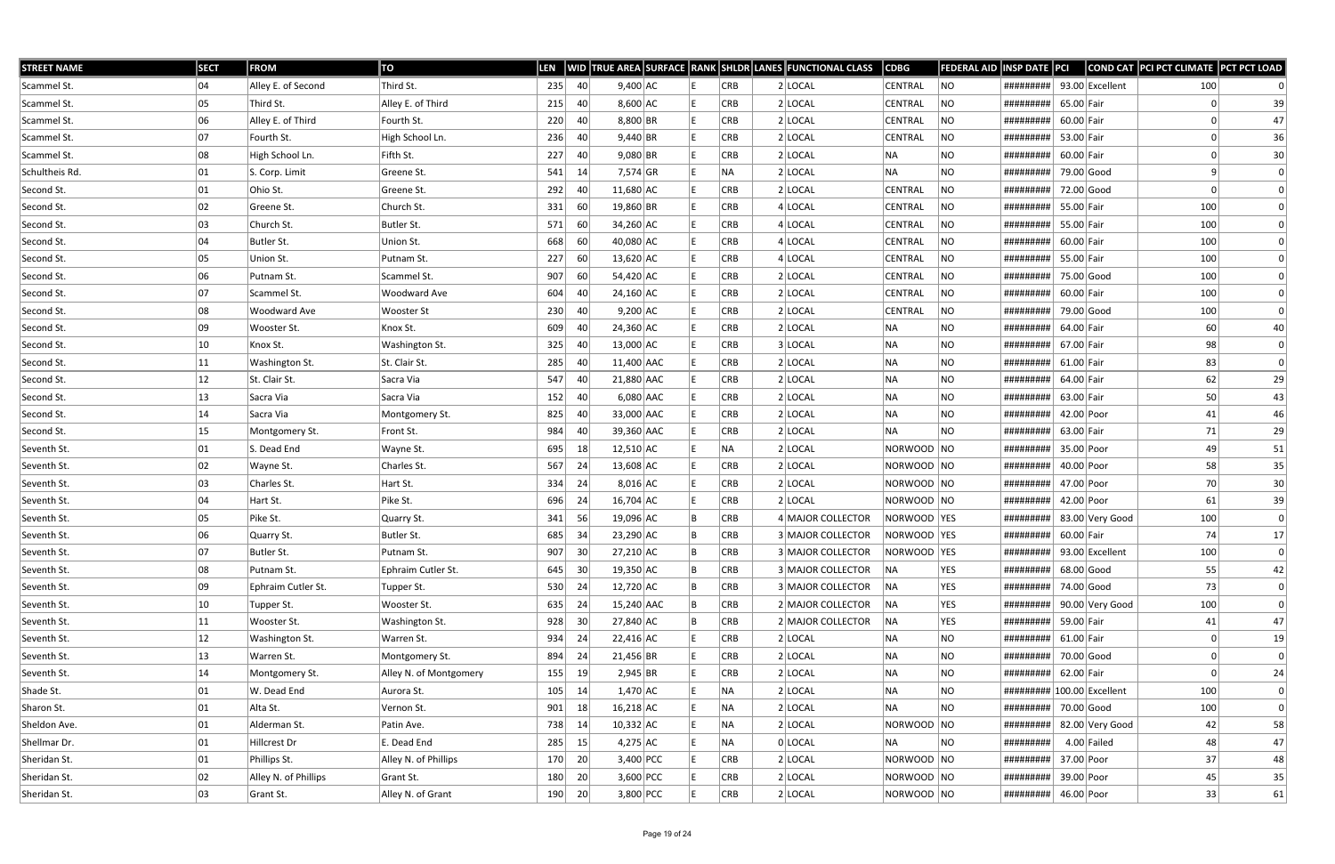| <b>STREET NAME</b> | <b>SECT</b>  | <b>FROM</b>          | TO                     | LEN |     |             |    |            | WID TRUE AREA SURFACE RANK SHLDR LANES FUNCTIONAL CLASS | <b>CDBG</b>    | <b>FEDERAL AID</b> | <b>INSP DATE PCI</b>       |              |                 | COND CAT PCI PCT CLIMATE PCT PCT LOAD |                |
|--------------------|--------------|----------------------|------------------------|-----|-----|-------------|----|------------|---------------------------------------------------------|----------------|--------------------|----------------------------|--------------|-----------------|---------------------------------------|----------------|
| Scammel St.        | 04           | Alley E. of Second   | Third St.              | 235 | 40  | $9,400$ AC  |    | <b>CRB</b> | $2$ LOCAL                                               | <b>CENTRAL</b> | NO                 | #########                  |              | 93.00 Excellent | 100                                   |                |
| Scammel St.        | 05           | Third St.            | Alley E. of Third      | 215 | 40  | $8,600$ AC  |    | <b>CRB</b> | $2$ LOCAL                                               | CENTRAL        | NO                 | #########                  | 65.00 Fair   |                 |                                       | 39             |
| Scammel St.        | 06           | Alley E. of Third    | Fourth St.             | 220 | 40  | $8,800$ BR  |    | <b>CRB</b> | $2$ LOCAL                                               | CENTRAL        | <b>NO</b>          | #########                  | 60.00 Fair   |                 |                                       | 47             |
| Scammel St.        | 07           | Fourth St.           | High School Ln.        | 236 | 40  | $9,440$ BR  |    | <b>CRB</b> | $2$ LOCAL                                               | CENTRAL        | NO.                | #########                  | 53.00 Fair   |                 |                                       | 36             |
| Scammel St.        | 08           | High School Ln.      | Fifth St.              | 227 | 40  | $9,080$ BR  |    | <b>CRB</b> | $2$ LOCAL                                               | NA             | <b>NO</b>          | #########                  | 60.00 Fair   |                 |                                       | 30             |
| Schultheis Rd.     | 01           | S. Corp. Limit       | Greene St.             | 541 | 14  | $7,574$ GR  |    | NA         | $2$ LOCAL                                               | NA             | <b>NO</b>          | #########                  | 79.00 Good   |                 |                                       | $\Omega$       |
| Second St.         | 01           | Ohio St.             | Greene St.             | 292 | 40  | $11,680$ AC |    | <b>CRB</b> | $2$ LOCAL                                               | CENTRAL        | NO.                | #########                  | 72.00 Good   |                 | 0                                     | $\Omega$       |
| Second St.         | 02           | Greene St.           | Church St.             | 331 | 60  | 19,860 BR   |    | <b>CRB</b> | 4 LOCAL                                                 | CENTRAL        | <b>NO</b>          | #########                  | 55.00 Fair   |                 | 100                                   |                |
| Second St.         | 03           | Church St.           | Butler St.             | 571 | 60  | $34,260$ AC |    | <b>CRB</b> | 4 LOCAL                                                 | CENTRAL        | NO                 | #########                  | 55.00 Fair   |                 | 100                                   | $\Omega$       |
| Second St.         | 04           | Butler St.           | Union St.              | 668 | 60  | 40,080 AC   |    | <b>CRB</b> | $4$ LOCAL                                               | CENTRAL        | NO                 | #########                  | 60.00 Fair   |                 | 100                                   |                |
| Second St.         | 05           | Union St.            | Putnam St.             | 227 | 60  | $13,620$ AC |    | <b>CRB</b> | $4$ LOCAL                                               | <b>CENTRAL</b> | <b>NO</b>          | #########                  | 55.00 Fair   |                 | 100                                   |                |
| Second St.         | 06           | Putnam St.           | Scammel St.            | 907 | 60  | 54,420 AC   |    | <b>CRB</b> | $2$ LOCAL                                               | CENTRAL        | <b>NO</b>          | #########                  | 75.00 Good   |                 | 100                                   | $\Omega$       |
| Second St.         | 07           | Scammel St.          | Woodward Ave           | 604 | 40  | $24,160$ AC |    | <b>CRB</b> | $2$ LOCAL                                               | CENTRAL        | NO                 | #########                  | 60.00 Fair   |                 | 100                                   | $\Omega$       |
| Second St.         | 08           | Woodward Ave         | <b>Wooster St</b>      | 230 | 40  | $9,200$ AC  |    | <b>CRB</b> | $2$ LOCAL                                               | CENTRAL        | NO                 | #########                  | 79.00 Good   |                 | 100                                   | $\Omega$       |
| Second St.         | 09           | Wooster St.          | Knox St.               | 609 | 40  | $24,360$ AC |    | <b>CRB</b> | $2$ LOCAL                                               | NA             | <b>NO</b>          | #########                  | 64.00 Fair   |                 | 60                                    | 40             |
| Second St.         | 10           | Knox St.             | Washington St.         | 325 | 40  | 13,000 AC   |    | <b>CRB</b> | 3 LOCAL                                                 | NA             | <b>NO</b>          | #########                  | 67.00 Fair   |                 | 98                                    | $\Omega$       |
| Second St.         | $ 11\rangle$ | Washington St.       | St. Clair St.          | 285 | 40  | 11,400 AAC  |    | <b>CRB</b> | $2$ LOCAL                                               | ∣NA            | <b>NO</b>          | #########                  | 61.00 Fair   |                 | 83                                    | $\Omega$       |
| Second St.         | 12           | St. Clair St.        | Sacra Via              | 547 | 40  | 21,880 AAC  |    | <b>CRB</b> | $2$ LOCAL                                               | NA             | <b>NO</b>          | #########                  | 64.00 Fair   |                 | 62                                    | 29             |
| Second St.         | 13           | Sacra Via            | Sacra Via              | 152 | 40  | $6,080$ AAC |    | <b>CRB</b> | $2$ LOCAL                                               | NA             | <b>NO</b>          | #########                  | 63.00 Fair   |                 | 50                                    | 43             |
| Second St.         | 14           | Sacra Via            | Montgomery St.         | 825 | 40  | 33,000 AAC  |    | <b>CRB</b> | $2$ LOCAL                                               | NA             | <b>NO</b>          | #########                  | 42.00 Poor   |                 | 41                                    | 46             |
| Second St.         | 15           | Montgomery St.       | Front St.              | 984 | 40  | 39,360 AAC  |    | <b>CRB</b> | $2$ LOCAL                                               | NA.            | NO                 | #########                  | 63.00 Fair   |                 | 71                                    | 29             |
| Seventh St.        | 01           | S. Dead End          | Wayne St.              | 695 | 18  | $12,510$ AC |    | NA         | $2$ LOCAL                                               | NORWOOD NO     |                    | #########                  | 35.00 Poor   |                 | 49                                    | 51             |
| Seventh St.        | 02           | Wayne St.            | Charles St.            | 567 | 24  | 13,608 AC   |    | <b>CRB</b> | $2$ LOCAL                                               | NORWOOD NO     |                    | #########                  | 40.00 Poor   |                 | 58                                    | 35             |
| Seventh St.        | 03           | Charles St.          | Hart St.               | 334 | 24  | $8,016$ AC  |    | <b>CRB</b> | $2$ LOCAL                                               | NORWOOD NO     |                    | #########                  | 47.00 Poor   |                 | 70                                    | 30             |
| Seventh St.        | 04           | Hart St.             | Pike St.               | 696 | 24  | $16,704$ AC |    | CRB        | $2$ LOCAL                                               | NORWOOD NO     |                    | #########                  | 42.00 Poor   |                 | 61                                    | 39             |
| Seventh St.        | 05           | Pike St.             | Quarry St.             | 341 | 56  | 19,096 AC   |    | <b>CRB</b> | 4 MAJOR COLLECTOR                                       | NORWOOD YES    |                    | #########                  |              | 83.00 Very Good | 100                                   | $\overline{0}$ |
| Seventh St.        | 06           | Quarry St.           | Butler St.             | 685 | -34 | $23,290$ AC |    | <b>CRB</b> | 3 MAJOR COLLECTOR                                       | NORWOOD YES    |                    | #########                  | 60.00 Fair   |                 | 74                                    | 17             |
| Seventh St.        | 07           | Butler St.           | Putnam St.             | 907 | 30  | 27,210 AC   | ΙB | CRB        | 3 MAJOR COLLECTOR                                       | NORWOOD YES    |                    | ######### 93.00 Excellent  |              |                 | 100                                   | $\Omega$       |
| Seventh St.        | 08           | Putnam St.           | Ephraim Cutler St.     | 645 | 30  | 19,350 AC   |    | <b>CRB</b> | 3 MAJOR COLLECTOR                                       | NA             | YES                | #########                  | $68.00$ Good |                 | 55                                    | 42             |
| Seventh St.        | 09           | Ephraim Cutler St.   | Tupper St.             | 530 | 24  | $12,720$ AC |    | <b>CRB</b> | 3 MAJOR COLLECTOR                                       | NA             | YES                | #########                  | 74.00 Good   |                 | 73                                    | $\Omega$       |
| Seventh St.        | 10           | Tupper St.           | Wooster St.            | 635 | 24  | 15,240 AAC  |    | <b>CRB</b> | 2 MAJOR COLLECTOR                                       | NA             | YES                | #########                  |              | 90.00 Very Good | 100                                   | $\overline{0}$ |
| Seventh St.        | $ 11\rangle$ | Wooster St.          | Washington St.         | 928 | 30  | 27,840 AC   |    | <b>CRB</b> | 2 MAJOR COLLECTOR                                       | NA             | YES                | #########                  | 59.00 Fair   |                 | 41                                    | 47             |
| Seventh St.        | 12           | Washington St.       | Warren St.             | 934 | 24  | $22,416$ AC |    | <b>CRB</b> | 2 LOCAL                                                 | NA             | <b>NO</b>          | #########                  | $61.00$ Fair |                 |                                       | 19             |
| Seventh St.        | 13           | Warren St.           | Montgomery St.         | 894 | 24  | 21,456 BR   |    | <b>CRB</b> | 2 LOCAL                                                 | NA             | <b>NO</b>          | #########                  | 70.00 Good   |                 |                                       | $\Omega$       |
| Seventh St.        | 14           | Montgomery St.       | Alley N. of Montgomery | 155 | 19  | $2,945$ BR  |    | CRB        | 2 LOCAL                                                 | NA             | <b>NO</b>          | #########                  | 62.00 Fair   |                 | 0                                     | 24             |
| Shade St.          | 01           | W. Dead End          | Aurora St.             | 105 | 14  | $1,470$ AC  |    | NA         | $2$ LOCAL                                               | NA             | <b>NO</b>          | ######### 100.00 Excellent |              |                 | 100                                   | 0              |
| Sharon St.         | 01           | Alta St.             | Vernon St.             | 901 | 18  | $16,218$ AC |    | NA         | $2$ LOCAL                                               | NA             | NO                 | #########                  | 70.00 Good   |                 | 100                                   | $\overline{0}$ |
| Sheldon Ave.       | 01           | Alderman St.         | Patin Ave.             | 738 | 14  | $10,332$ AC |    | NA         | 2 LOCAL                                                 | NORWOOD NO     |                    | #########                  |              | 82.00 Very Good | 42                                    | 58             |
| Shellmar Dr.       | 01           | Hillcrest Dr         | E. Dead End            | 285 | 15  | $4,275$ AC  |    | NA         | $0$ LOCAL                                               | NA             | <b>NO</b>          | #########                  |              | $4.00$ Failed   | 48                                    | 47             |
| Sheridan St.       | 01           | Phillips St.         | Alley N. of Phillips   | 170 | 20  | 3,400 PCC   |    | <b>CRB</b> | $2$ LOCAL                                               | NORWOOD NO     |                    | #########                  | 37.00 Poor   |                 | 37                                    | 48             |
| Sheridan St.       | 02           | Alley N. of Phillips | Grant St.              | 180 | 20  | $3,600$ PCC |    | <b>CRB</b> | $2$ LOCAL                                               | NORWOOD NO     |                    | #########                  | 39.00 Poor   |                 | 45                                    | 35             |
| Sheridan St.       | 03           | Grant St.            | Alley N. of Grant      | 190 | 20  | $3,800$ PCC |    | CRB        | $2$ LOCAL                                               | NORWOOD  NO    |                    | #########                  | 46.00 Poor   |                 | 33                                    | 61             |
|                    |              |                      |                        |     |     |             |    |            |                                                         |                |                    |                            |              |                 |                                       |                |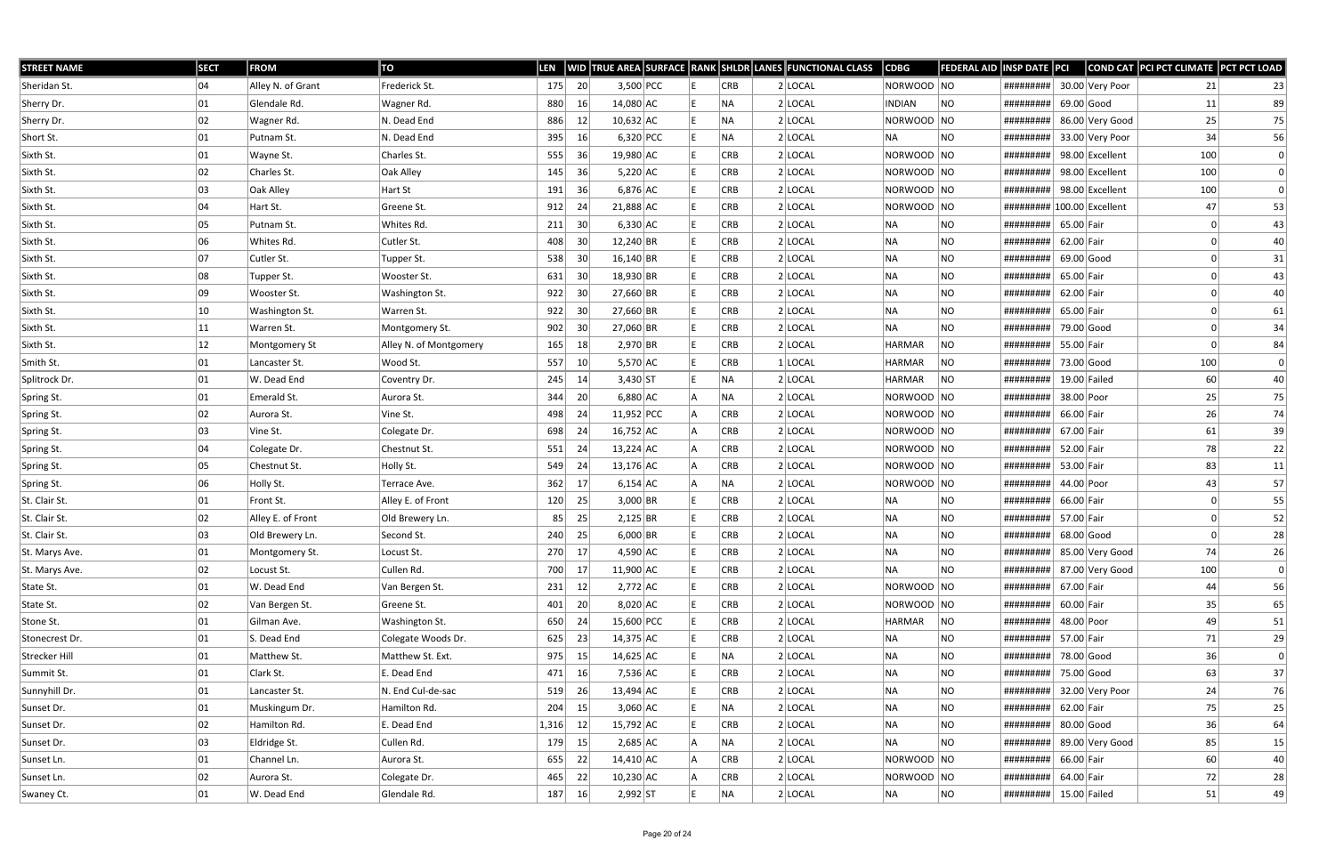| <b>STREET NAME</b> | <b>SECT</b> | <b>FROM</b>       | TO                     | LEN   |                 |              |  |            | WID TRUE AREA SURFACE RANK SHLDR LANES FUNCTIONAL CLASS | $\vert$ CDBG  | <b>FEDERAL AID INSP DATE PCI</b> |                            |              |                  | COND CAT PCI PCT CLIMATE PCT PCT LOAD |    |
|--------------------|-------------|-------------------|------------------------|-------|-----------------|--------------|--|------------|---------------------------------------------------------|---------------|----------------------------------|----------------------------|--------------|------------------|---------------------------------------|----|
| Sheridan St.       | 04          | Alley N. of Grant | Frederick St.          | 175   | 20              | 3,500 PCC    |  | CRB        | $2$ LOCAL                                               | NORWOOD NO    |                                  | #########                  |              | 30.00 Very Poor  | 21                                    | 23 |
| Sherry Dr.         | 01          | Glendale Rd.      | Wagner Rd.             | 880   | 16              | 14,080 AC    |  | NA         | $2$ LOCAL                                               | <b>INDIAN</b> | NO                               | #########                  |              | $69.00$ Good     | 11                                    | 89 |
| Sherry Dr.         | 02          | Wagner Rd.        | N. Dead End            | 886   | 12              | $10,632$ AC  |  | NA         | $2$ LOCAL                                               | NORWOOD NO    |                                  | #########                  |              | 86.00 Very Good  | 25                                    | 75 |
| Short St.          | 01          | Putnam St.        | N. Dead End            | 395   | 16              | $6,320$ PCC  |  | NA.        | $2$ LOCAL                                               | ∣NA           | NO.                              | #########                  |              | 33.00 Very Poor  | 34                                    | 56 |
| Sixth St.          | 01          | Wayne St.         | Charles St.            | 555   | 36              | 19,980 AC    |  | <b>CRB</b> | 2 LOCAL                                                 | NORWOOD NO    |                                  | #########                  |              | 98.00 Excellent  | 100                                   | 0  |
| Sixth St.          | 02          | Charles St.       | Oak Alley              | 145   | 36              | $5,220$ AC   |  | CRB        | $2$ LOCAL                                               | NORWOOD NO    |                                  | #########                  |              | 98.00 Excellent  | 100                                   | 0  |
| Sixth St.          | 03          | Oak Alley         | Hart St                | 191   | 36              | $6,876$ AC   |  | CRB        | $2$ LOCAL                                               | NORWOOD  NO   |                                  | #########                  |              | 98.00 Excellent  | 100                                   | 0  |
| Sixth St.          | 04          | Hart St.          | Greene St.             | 912   | 24              | 21,888 AC    |  | <b>CRB</b> | $2$ LOCAL                                               | NORWOOD NO    |                                  | #########                  |              | 100.00 Excellent | 47                                    | 53 |
| Sixth St.          | 05          | Putnam St.        | Whites Rd.             | 211   | 30              | $6,330$ AC   |  | CRB        | $2$ LOCAL                                               | NA            | <b>NO</b>                        | #########                  | 65.00 Fair   |                  |                                       | 43 |
| Sixth St.          | 06          | Whites Rd.        | Cutler St.             | 408   | 30              | $12,240$ BR  |  | CRB        | $2$ LOCAL                                               | NA            | <b>NO</b>                        | #########                  | 62.00 Fair   |                  |                                       | 40 |
| Sixth St.          | 07          | Cutler St.        | Tupper St.             | 538   | 30              | $16,140$ BR  |  | CRB        | $2$ LOCAL                                               | NA            | <b>NO</b>                        | #########                  |              | $69.00$ Good     |                                       | 31 |
| Sixth St.          | 08          | Tupper St.        | Wooster St.            | 631   | 30              | 18,930 BR    |  | CRB        | 2 LOCAL                                                 | NA            | <b>NO</b>                        | #########                  | 65.00 Fair   |                  |                                       | 43 |
| Sixth St.          | 09          | Wooster St.       | Washington St.         | 922   | 30              | 27,660 BR    |  | CRB        | $2$ LOCAL                                               | NA            | NO.                              | #########                  | 62.00 Fair   |                  |                                       | 40 |
| Sixth St.          | 10          | Washington St.    | Warren St.             | 922   | 30              | $27,660$ BR  |  | CRB        | 2 LOCAL                                                 | NA            | <b>NO</b>                        | #########                  | 65.00 Fair   |                  |                                       | 61 |
| Sixth St.          | 11          | Warren St.        | Montgomery St.         | 902   | 30              | 27,060 BR    |  | CRB        | $2$ LOCAL                                               | NA.           | <b>NO</b>                        | #########                  |              | 79.00 Good       |                                       | 34 |
| Sixth St.          | 12          | Montgomery St     | Alley N. of Montgomery | 165   | 18              | $2,970$ BR   |  | <b>CRB</b> | $2$ LOCAL                                               | HARMAR        | NO                               | #########                  | 55.00 Fair   |                  |                                       | 84 |
| Smith St.          | 01          | Lancaster St.     | Wood St.               | 557   | 10 <sup>°</sup> | $5,570$ AC   |  | CRB        | $1$ LOCAL                                               | HARMAR        | <b>NO</b>                        | #########                  |              | 73.00 Good       | 100                                   | 0  |
| Splitrock Dr.      | 01          | W. Dead End       | Coventry Dr.           | 245   | 14              | $3,430$ ST   |  | NA         | $2$ LOCAL                                               | HARMAR        | NO                               | #########                  |              | $19.00$ Failed   | 60                                    | 40 |
| Spring St.         | 01          | Emerald St.       | Aurora St.             | 344   | 20              | $6,880$ AC   |  | NA)        | 2 LOCAL                                                 | NORWOOD NO    |                                  | #########                  | 38.00 Poor   |                  | 25                                    | 75 |
| Spring St.         | 02          | Aurora St.        | Vine St.               | 498   | 24              | 11,952 PCC   |  | CRB        | $2$ LOCAL                                               | NORWOOD NO    |                                  | #########                  | 66.00 Fair   |                  | 26                                    | 74 |
| Spring St.         | 03          | Vine St.          | Colegate Dr.           | 698   | -24             | $16,752$ AC  |  | CRB        | $2$ LOCAL                                               | NORWOOD  NO   |                                  | #########                  | 67.00 Fair   |                  | 61                                    | 39 |
| Spring St.         | 04          | Colegate Dr.      | Chestnut St.           | 551   | 24              | $13,224$ AC  |  | <b>CRB</b> | $2$ LOCAL                                               | NORWOOD NO    |                                  | #########                  | 52.00 Fair   |                  | 78                                    | 22 |
| Spring St.         | 05          | Chestnut St.      | Holly St.              | 549   | 24              | $13,176$ AC  |  | CRB        | $2$ LOCAL                                               | NORWOOD NO    |                                  | #########                  | 53.00 Fair   |                  | 83                                    | 11 |
| Spring St.         | 06          | Holly St.         | Terrace Ave.           | 362   | 17              | $6,154$ AC   |  | NA.        | $2$ LOCAL                                               | NORWOOD NO    |                                  | #########                  | 44.00 Poor   |                  | 43                                    | 57 |
| St. Clair St.      | 01          | Front St.         | Alley E. of Front      | 120   | 25              | $3,000$ BR   |  | <b>CRB</b> | $2$ LOCAL                                               | NA            | NO                               | #########                  | 66.00 Fair   |                  |                                       | 55 |
| St. Clair St.      | 02          | Alley E. of Front | Old Brewery Ln.        | 85    | 25              | $2,125$ BR   |  | CRB        | $2$ LOCAL                                               | NA            | NO.                              | #########                  | 57.00 Fair   |                  |                                       | 52 |
| St. Clair St.      | 03          | Old Brewery Ln.   | Second St.             | 240   | 25              | $6,000$ BR   |  | CRB        | $2$ LOCAL                                               | NA            | NO.                              | ######### 68.00 Good       |              |                  |                                       | 28 |
| St. Marys Ave.     | 01          | Montgomery St.    | Locust St.             |       | $270$ 17        | $4,590$ AC   |  | CRB        | $2$ LOCAL                                               | NA            | NO                               | ########## 85.00 Very Good |              |                  | 74                                    | 26 |
| St. Marys Ave.     | 02          | Locust St.        | Cullen Rd.             |       | 700 17          | $11,900$ AC  |  | <b>CRB</b> | $2$ LOCAL                                               | NA            | NO.                              | #########                  |              | 87.00 Very Good  | 100                                   | 0  |
| State St.          | 01          | W. Dead End       | Van Bergen St.         | 231   | 12              | $2,772$ AC   |  | CRB        | $2$ LOCAL                                               | NORWOOD NO    |                                  | #########                  | 67.00 Fair   |                  | 44                                    | 56 |
| State St.          | 02          | Van Bergen St.    | Greene St.             | 401   | 20              | $8,020$ AC   |  | <b>CRB</b> | $2$ LOCAL                                               | NORWOOD NO    |                                  | #########                  | $60.00$ Fair |                  | 35                                    | 65 |
| Stone St.          | 01          | Gilman Ave.       | Washington St.         |       | $650$ 24        | 15,600 PCC   |  | <b>CRB</b> | 2 LOCAL                                                 | HARMAR        | NO                               | #########                  | 48.00 Poor   |                  | 49                                    | 51 |
| Stonecrest Dr.     | 01          | S. Dead End       | Colegate Woods Dr.     | 625   | 23              | 14,375 AC    |  | CRB        | $2$ LOCAL                                               | NA            | <b>NO</b>                        | #########                  | 57.00 Fair   |                  | 71                                    | 29 |
| Strecker Hill      | 01          | Matthew St.       | Matthew St. Ext.       | 975   | 15              | 14,625 AC    |  | NA         | $2$ LOCAL                                               | NA            | <b>NO</b>                        | #########                  |              | 78.00 Good       | 36                                    | 0  |
| Summit St.         | 01          | Clark St.         | E. Dead End            |       | $471$ 16        | 7,536 AC     |  | CRB        | 2 LOCAL                                                 | NA            | NO.                              | #########                  | 75.00 Good   |                  | 63                                    | 37 |
| Sunnyhill Dr.      | 01          | Lancaster St.     | N. End Cul-de-sac      | 519   | 26              | $13,494$ AC  |  | CRB        | $2$ LOCAL                                               | NA            | <b>NO</b>                        | #########                  |              | 32.00 Very Poor  | 24                                    | 76 |
| Sunset Dr.         | 01          | Muskingum Dr.     | Hamilton Rd.           | 204   | 15              | $3,060$ $AC$ |  | NA.        | 2 LOCAL                                                 | NA            | <b>NO</b>                        | #########                  | 62.00 Fair   |                  | 75                                    | 25 |
| Sunset Dr.         | 02          | Hamilton Rd.      | E. Dead End            | 1,316 | 12              | 15,792 AC    |  | <b>CRB</b> | 2 LOCAL                                                 | NA            | <b>NO</b>                        | #########                  |              | $80.00$ Good     | 36                                    | 64 |
| Sunset Dr.         | 03          | Eldridge St.      | Cullen Rd.             | 179   | 15              | $2,685$ AC   |  | NA         | $2$ LOCAL                                               | NA            | <b>NO</b>                        | #########                  |              | 89.00 Very Good  | 85                                    | 15 |
| Sunset Ln.         | 01          | Channel Ln.       | Aurora St.             | 655   | 22              | $14,410$ AC  |  | <b>CRB</b> | $2$ LOCAL                                               | NORWOOD NO    |                                  | #########                  | 66.00 Fair   |                  | 60                                    | 40 |
|                    |             |                   |                        |       |                 |              |  |            |                                                         |               |                                  |                            |              |                  |                                       |    |
| Sunset Ln.         | 02          | Aurora St.        | Colegate Dr.           | 465   | 22              | $10,230$ AC  |  | CRB        | 2 LOCAL                                                 | NORWOOD NO    |                                  | #########                  | 64.00 Fair   |                  | 72                                    | 28 |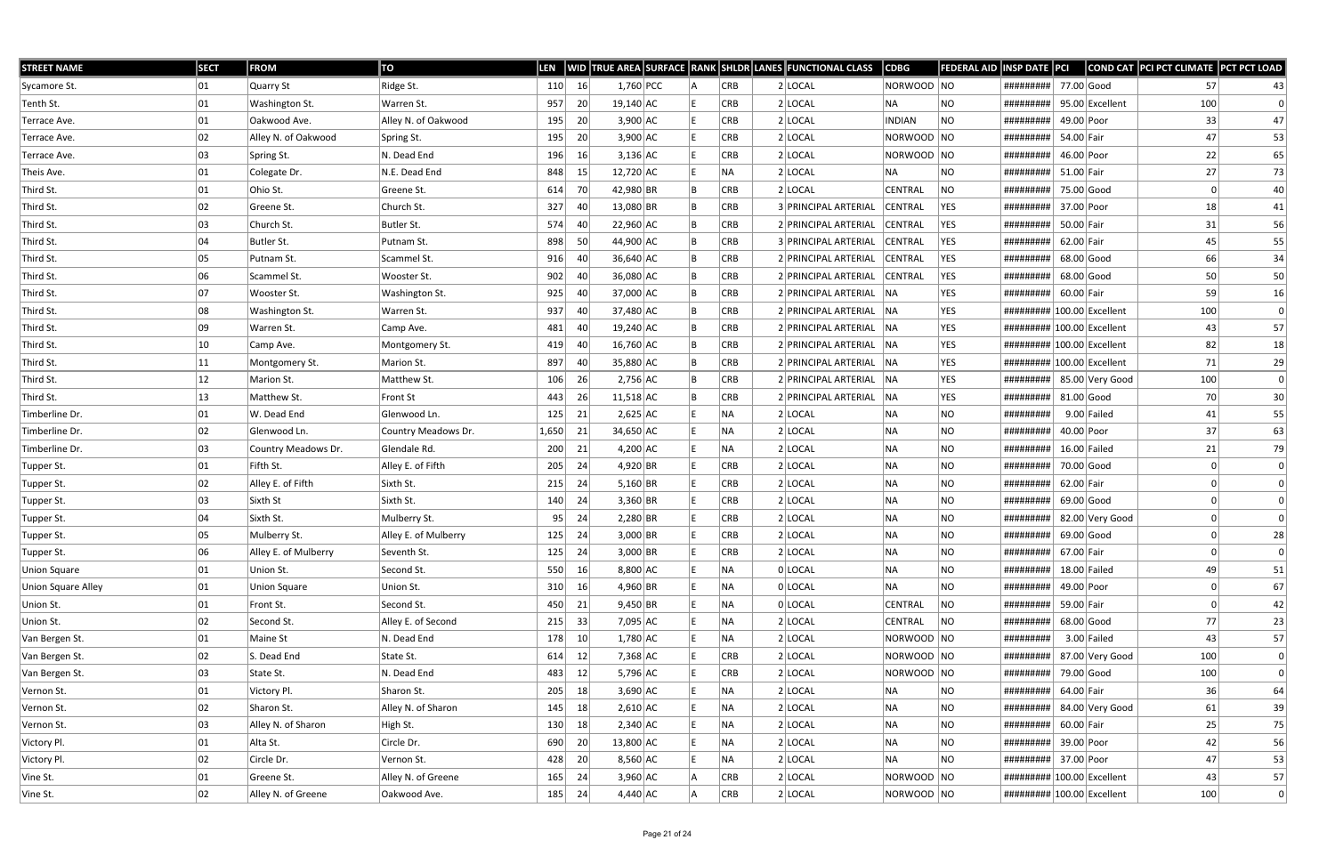| <b>STREET NAME</b>        | <b>SECT</b>  | <b>FROM</b>          | TO                   | <b>LEN</b> |      |             |  |            | WID TRUE AREA SURFACE RANK SHLDR LANES FUNCTIONAL CLASS | <b>CDBG</b>    | <b>FEDERAL AID</b> | <b>INSP DATE PCI</b>        |              |                 | COND CAT PCI PCT CLIMATE PCT PCT LOAD |           |
|---------------------------|--------------|----------------------|----------------------|------------|------|-------------|--|------------|---------------------------------------------------------|----------------|--------------------|-----------------------------|--------------|-----------------|---------------------------------------|-----------|
| Sycamore St.              | 01           | Quarry St            | Ridge St.            | 110        | 16   | $1,760$ PCC |  | <b>CRB</b> | $2$ LOCAL                                               | NORWOOD NO     |                    | #########                   | 77.00 Good   |                 | 57                                    | 43        |
| Tenth St.                 | 01           | Washington St.       | Warren St.           | 957        | 20   | $19,140$ AC |  | <b>CRB</b> | $2$ LOCAL                                               | NA             | NO                 | #########                   |              | 95.00 Excellent | 100                                   |           |
| Terrace Ave.              | 01           | Oakwood Ave.         | Alley N. of Oakwood  | 195        | 20   | $3,900$ AC  |  | <b>CRB</b> | $2$ LOCAL                                               | <b>INDIAN</b>  | <b>NO</b>          | #########                   | 49.00 Poor   |                 | 33                                    | 47        |
| Terrace Ave.              | 02           | Alley N. of Oakwood  | Spring St.           | 195        | 20   | $3,900$ AC  |  | <b>CRB</b> | 2 LOCAL                                                 | NORWOOD NO     |                    | #########                   | 54.00 Fair   |                 | 47                                    | 53        |
| Terrace Ave.              | 03           | Spring St.           | N. Dead End          | 196        | 16   | $3,136$ AC  |  | <b>CRB</b> | $2$ LOCAL                                               | NORWOOD NO     |                    | #########                   | 46.00 Poor   |                 | 22                                    | 65        |
| Theis Ave.                | 01           | Colegate Dr.         | N.E. Dead End        | 848        | 15   | $12,720$ AC |  | NA         | $2$ LOCAL                                               | NA.            | NO                 | #########                   | 51.00 Fair   |                 | 27                                    | 73        |
| Third St.                 | 01           | Ohio St.             | Greene St.           | 614        | 70 I | 42,980 BR   |  | <b>CRB</b> | 2 LOCAL                                                 | <b>CENTRAL</b> | NO                 | #########                   | 75.00 Good   |                 | 0                                     | 40        |
| Third St.                 | 02           | Greene St.           | Church St.           | 327        | 40   | 13,080 BR   |  | <b>CRB</b> | 3 PRINCIPAL ARTERIAL                                    | <b>CENTRAL</b> | <b>YES</b>         | #########                   | 37.00 Poor   |                 | 18                                    | 41        |
| Third St.                 | 03           | Church St.           | Butler St.           | 574        | 40   | $22,960$ AC |  | <b>CRB</b> | 2 PRINCIPAL ARTERIAL                                    | <b>CENTRAL</b> | YES                | #########                   | 50.00 Fair   |                 | 31                                    | 56        |
| Third St.                 | 04           | Butler St.           | Putnam St.           | 898        | 50   | 44,900 AC   |  | <b>CRB</b> | 3 PRINCIPAL ARTERIAL                                    | <b>CENTRAL</b> | YES                | #########                   | 62.00 Fair   |                 | 45                                    | 55        |
| Third St.                 | 05           | Putnam St.           | Scammel St.          | 916        | 40   | 36,640 AC   |  | <b>CRB</b> | 2 PRINCIPAL ARTERIAL                                    | <b>CENTRAL</b> | YES                | #########                   | $68.00$ Good |                 | 66                                    | 34        |
| Third St.                 | 06           | Scammel St.          | Wooster St.          | 902        | 40   | 36,080 AC   |  | <b>CRB</b> | 2 PRINCIPAL ARTERIAL                                    | <b>CENTRAL</b> | YES                | #########                   | $68.00$ Good |                 | 50                                    | 50        |
| Third St.                 | 07           | Wooster St.          | Washington St.       | 925        | 40   | 37,000 AC   |  | <b>CRB</b> | 2 PRINCIPAL ARTERIAL NA                                 |                | <b>YES</b>         | #########                   | 60.00 Fair   |                 | 59                                    | 16        |
| Third St.                 | 08           | Washington St.       | Warren St.           | 937        | 40   | 37,480 AC   |  | <b>CRB</b> | 2 PRINCIPAL ARTERIAL NA                                 |                | <b>YES</b>         | ######### 100.00 Excellent  |              |                 | 100                                   | $\pmb{0}$ |
| Third St.                 | 09           | Warren St.           | Camp Ave.            | 481        | 40   | $19,240$ AC |  | <b>CRB</b> | 2 PRINCIPAL ARTERIAL NA                                 |                | <b>YES</b>         | ########## 100.00 Excellent |              |                 | 43                                    | 57        |
| Third St.                 | 10           | Camp Ave.            | Montgomery St.       | 419        | 40   | 16,760 AC   |  | <b>CRB</b> | 2 PRINCIPAL ARTERIAL NA                                 |                | YES                | ######### 100.00 Excellent  |              |                 | 82                                    | 18        |
| Third St.                 | 11           | Montgomery St.       | Marion St.           | 897        | 40   | 35,880 AC   |  | <b>CRB</b> | 2 PRINCIPAL ARTERIAL NA                                 |                | YES                | ######### 100.00 Excellent  |              |                 | 71                                    | 29        |
| Third St.                 | $ 12\rangle$ | Marion St.           | Matthew St.          | 106        | 26   | $2,756$ AC  |  | <b>CRB</b> | 2 PRINCIPAL ARTERIAL NA                                 |                | <b>YES</b>         | ########## 85.00 Very Good  |              |                 | 100                                   | 0         |
| Third St.                 | 13           | Matthew St.          | Front St             | 443        | 26   | $11,518$ AC |  | <b>CRB</b> | 2 PRINCIPAL ARTERIAL                                    | NA             | YES                | #########                   | $81.00$ Good |                 | 70                                    | 30        |
| Timberline Dr.            | 01           | W. Dead End          | Glenwood Ln.         | 125        | 21   | $2,625$ AC  |  | NA         | $2$ LOCAL                                               | NA             | NO                 | #########                   |              | $9.00$ Failed   | 41                                    | 55        |
| Timberline Dr.            | 02           | Glenwood Ln.         | Country Meadows Dr.  | 1,650      | 21   | 34,650 AC   |  | NA         | $2$ LOCAL                                               | NA             | <b>NO</b>          | #########                   | 40.00 Poor   |                 | 37                                    | 63        |
| Timberline Dr.            | 03           | Country Meadows Dr.  | Glendale Rd.         | 200        | 21   | $4,200$ AC  |  | NA         | $2$ LOCAL                                               | NA             | <b>NO</b>          | #########                   |              | $16.00$ Failed  | 21                                    | 79        |
| Tupper St.                | 01           | Fifth St.            | Alley E. of Fifth    | 205        | 24   | 4,920 BR    |  | <b>CRB</b> | $2$ LOCAL                                               | NA             | NO.                | #########                   | 70.00 Good   |                 |                                       |           |
| Tupper St.                | 02           | Alley E. of Fifth    | Sixth St.            | 215        | 24   | $5,160$ BR  |  | <b>CRB</b> | $2$ LOCAL                                               | NA             | NO.                | #########                   | 62.00 Fair   |                 |                                       |           |
| Tupper St.                | 03           | Sixth St             | Sixth St.            | 140        | 24   | $3,360$ BR  |  | <b>CRB</b> | $2$ LOCAL                                               | NA             | NO.                | #########                   | $69.00$ Good |                 |                                       |           |
| Tupper St.                | 04           | Sixth St.            | Mulberry St.         | 95         | 24   | $2,280$ BR  |  | <b>CRB</b> | $2$ LOCAL                                               | NA             | NO                 | #########                   |              | 82.00 Very Good |                                       |           |
| Tupper St.                | 05           | Mulberry St.         | Alley E. of Mulberry | 125        | -24  | $3,000$ BR  |  | <b>CRB</b> | $2$ LOCAL                                               | NA             | NO.                | #########                   | $69.00$ Good |                 |                                       | 28        |
| Tupper St.                | 06           | Alley E. of Mulberry | Seventh St.          | 125        | 24   | $3,000$ BR  |  | <b>CRB</b> | $2$ LOCAL                                               | NA             | NO                 | ######### 67.00 Fair        |              |                 | 0                                     | 0         |
| <b>Union Square</b>       | 01           | Union St.            | Second St.           | 550        | 16   | $8,800$ AC  |  | NA         | 0 LOCAL                                                 | NA             | NO                 | #########                   |              | $18.00$ Failed  | 49                                    | 51        |
| <b>Union Square Alley</b> | 01           | <b>Union Square</b>  | Union St.            | 310        | 16   | $4,960$ BR  |  | NA         | 0 LOCAL                                                 | NA             | <b>NO</b>          | #########                   | 49.00 Poor   |                 |                                       | 67        |
| Union St.                 | 01           | Front St.            | Second St.           | 450        | 21   | $9,450$ BR  |  | NA.        | 0 LOCAL                                                 | <b>CENTRAL</b> | NO                 | #########                   | 59.00 Fair   |                 |                                       | 42        |
| Union St.                 | 02           | Second St.           | Alley E. of Second   | 215        | 33   | 7,095 AC    |  | NA.        | $2$ LOCAL                                               | CENTRAL        | NO                 | #########                   |              | 68.00 Good      | 77                                    | 23        |
| Van Bergen St.            | 01           | Maine St             | N. Dead End          | 178        | 10   | $1,780$ AC  |  | NA         | $2$ LOCAL                                               | NORWOOD NO     |                    | #########                   |              | $3.00$ Failed   | 43                                    | 57        |
| Van Bergen St.            | 02           | S. Dead End          | State St.            | 614        | 12   | $7,368$ AC  |  | CRB        | $2$ LOCAL                                               | NORWOOD NO     |                    | #########                   |              | 87.00 Very Good | 100                                   | 0         |
| Van Bergen St.            | 03           | State St.            | N. Dead End          | 483        | 12   | $5,796$ AC  |  | <b>CRB</b> | $2$ LOCAL                                               | NORWOOD NO     |                    | #########                   | 79.00 Good   |                 | 100                                   | 0         |
| Vernon St.                | 01           | Victory Pl.          | Sharon St.           | 205        | 18   | $3,690$ AC  |  | NA         | $2$ LOCAL                                               | NA             | NO                 | #########                   | 64.00 Fair   |                 | 36                                    | 64        |
| Vernon St.                | 02           | Sharon St.           | Alley N. of Sharon   | 145        | 18   | $2,610$ AC  |  | NA.        | $2$ LOCAL                                               | NA             | <b>NO</b>          | #########                   |              | 84.00 Very Good | 61                                    | 39        |
| Vernon St.                | 03           | Alley N. of Sharon   | High St.             | 130        | 18   | $2,340$ AC  |  | NA.        | $2$ LOCAL                                               | NA             | <b>NO</b>          | #########                   | $60.00$ Fair |                 | 25                                    | 75        |
| Victory Pl.               | 01           | Alta St.             | Circle Dr.           | 690        | 20   | 13,800 AC   |  | NA         | $2$ LOCAL                                               | NA             | NO.                | #########                   | 39.00 Poor   |                 | 42                                    | 56        |
| Victory Pl.               | 02           | Circle Dr.           | Vernon St.           | 428        | 20   | $8,560$ AC  |  | NA         | $2$ LOCAL                                               | NA             | NO                 | #########                   | 37.00 Poor   |                 | 47                                    | 53        |
| Vine St.                  | 01           | Greene St.           | Alley N. of Greene   | 165        | 24   | $3,960$ AC  |  | <b>CRB</b> | $2$ LOCAL                                               | NORWOOD NO     |                    | ######### 100.00 Excellent  |              |                 | 43                                    | 57        |
| Vine St.                  | 02           | Alley N. of Greene   | Oakwood Ave.         | 185        | 24   | 4,440 AC    |  | CRB        | $2$ LOCAL                                               | NORWOOD NO     |                    | ######### 100.00 Excellent  |              |                 | 100                                   | 0         |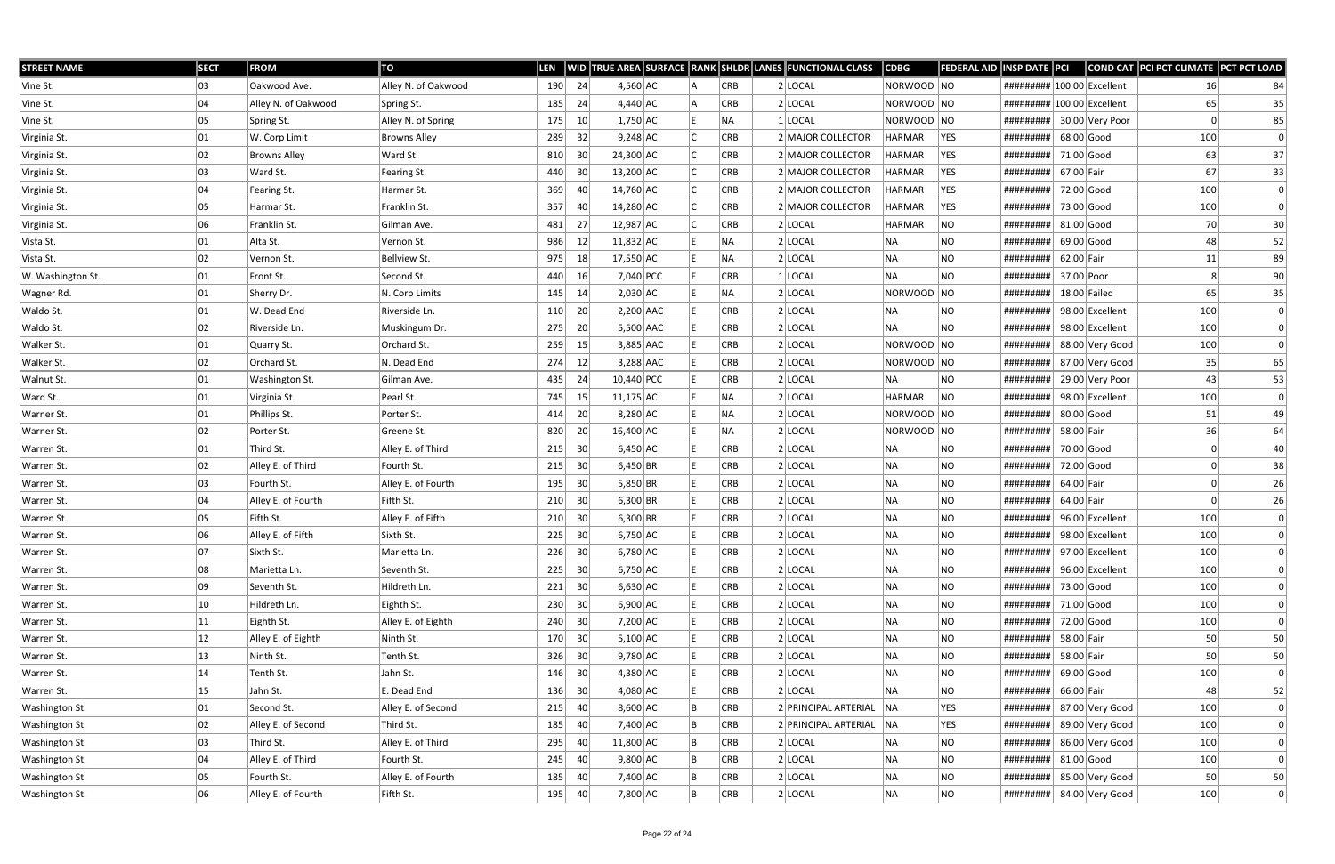| <b>STREET NAME</b> | <b>SECT</b>  | <b>FROM</b>         | TO                  | <b>LEN</b> |                 |             |  |            | WID TRUE AREA SURFACE RANK SHLDR LANES FUNCTIONAL CLASS | <b>CDBG</b>   | <b>FEDERAL AID</b> | INSP DATE PCI                                                                                                                                                                                                                                                                                                                                                                                                                                                                                  |              |                 | COND CAT PCI PCT CLIMATE PCT PCT LOAD |              |
|--------------------|--------------|---------------------|---------------------|------------|-----------------|-------------|--|------------|---------------------------------------------------------|---------------|--------------------|------------------------------------------------------------------------------------------------------------------------------------------------------------------------------------------------------------------------------------------------------------------------------------------------------------------------------------------------------------------------------------------------------------------------------------------------------------------------------------------------|--------------|-----------------|---------------------------------------|--------------|
| Vine St.           | 03           | Oakwood Ave.        | Alley N. of Oakwood | 190        | 24              | $4,560$ AC  |  | <b>CRB</b> | $2$ LOCAL                                               | NORWOOD NO    |                    | ######### 100.00 Excellent                                                                                                                                                                                                                                                                                                                                                                                                                                                                     |              |                 | 16                                    | 84           |
| Vine St.           | 04           | Alley N. of Oakwood | Spring St.          | 185        | 24              | $4,440$ AC  |  | <b>CRB</b> | $2$ LOCAL                                               | NORWOOD NO    |                    | ######### 100.00 Excellent                                                                                                                                                                                                                                                                                                                                                                                                                                                                     |              |                 | 65                                    | 35           |
| Vine St.           | 05           | Spring St.          | Alley N. of Spring  | 175        | 10 <sup>°</sup> | $1,750$ AC  |  | NA         | $1$ LOCAL                                               | NORWOOD NO    |                    | #########                                                                                                                                                                                                                                                                                                                                                                                                                                                                                      |              | 30.00 Very Poor |                                       | 85           |
| Virginia St.       | 01           | W. Corp Limit       | <b>Browns Alley</b> | 289        | 32              | $9,248$ AC  |  | <b>CRB</b> | 2 MAJOR COLLECTOR                                       | HARMAR        | YES                | #########                                                                                                                                                                                                                                                                                                                                                                                                                                                                                      | $68.00$ Good |                 | 100                                   | 0            |
| Virginia St.       | 02           | <b>Browns Alley</b> | Ward St.            | 810        | 30              | 24,300 AC   |  | <b>CRB</b> | 2 MAJOR COLLECTOR                                       | <b>HARMAR</b> | <b>YES</b>         | #########                                                                                                                                                                                                                                                                                                                                                                                                                                                                                      | 71.00 Good   |                 | 63                                    | 37           |
| Virginia St.       | 03           | Ward St.            | Fearing St.         | 440        | 30              | $13,200$ AC |  | <b>CRB</b> | 2 MAJOR COLLECTOR                                       | <b>HARMAR</b> | YES                | #########                                                                                                                                                                                                                                                                                                                                                                                                                                                                                      | 67.00 Fair   |                 | 67                                    | 33           |
| Virginia St.       | 04           | Fearing St.         | Harmar St.          | 369        | 40              | 14,760 AC   |  | <b>CRB</b> | 2 MAJOR COLLECTOR                                       | <b>HARMAR</b> | YES                | #########                                                                                                                                                                                                                                                                                                                                                                                                                                                                                      | 72.00 Good   |                 | 100                                   | 0            |
| Virginia St.       | 05           | Harmar St.          | Franklin St.        | 357        | 40              | 14,280 AC   |  | <b>CRB</b> | 2 MAJOR COLLECTOR                                       | <b>HARMAR</b> | <b>YES</b>         | #########                                                                                                                                                                                                                                                                                                                                                                                                                                                                                      | 73.00 Good   |                 | 100                                   | 0            |
| Virginia St.       | 06           | Franklin St.        | Gilman Ave.         | 481        | 27              | $12,987$ AC |  | <b>CRB</b> | 2 LOCAL                                                 | <b>HARMAR</b> | NO                 | #########                                                                                                                                                                                                                                                                                                                                                                                                                                                                                      |              | $81.00$ Good    | 70                                    | 30           |
| Vista St.          | 01           | Alta St.            | Vernon St.          | 986        | 12              | $11,832$ AC |  | NA         | $2$ LOCAL                                               | NA            | <b>NO</b>          | #########                                                                                                                                                                                                                                                                                                                                                                                                                                                                                      |              | $69.00$ Good    | 48                                    | 52           |
| Vista St.          | 02           | Vernon St.          | Bellview St.        | 975        | 18              | 17,550 AC   |  | NA.        | $2$ LOCAL                                               | NA            | <b>NO</b>          | #########                                                                                                                                                                                                                                                                                                                                                                                                                                                                                      | 62.00 Fair   |                 | 11                                    | 89           |
| W. Washington St.  | 01           | Front St.           | Second St.          | 440        | 16              | 7,040 PCC   |  | <b>CRB</b> | $1$ LOCAL                                               | NA            | <b>NO</b>          | #########                                                                                                                                                                                                                                                                                                                                                                                                                                                                                      | 37.00 Poor   |                 |                                       | 90           |
| Wagner Rd.         | 01           | Sherry Dr.          | N. Corp Limits      | 145        | 14              | $2,030$ AC  |  | NA         | $2$ LOCAL                                               | NORWOOD NO    |                    | #########                                                                                                                                                                                                                                                                                                                                                                                                                                                                                      |              | $18.00$ Failed  | 65                                    | 35           |
| Waldo St.          | 01           | W. Dead End         | Riverside Ln.       | 110        | 20              | $2,200$ AAC |  | <b>CRB</b> | $2$ LOCAL                                               | NA            | <b>NO</b>          | #########                                                                                                                                                                                                                                                                                                                                                                                                                                                                                      |              | 98.00 Excellent | 100                                   | 0            |
| Waldo St.          | 02           | Riverside Ln.       | Muskingum Dr.       | 275        | 20              | 5,500 AAC   |  | <b>CRB</b> | 2 LOCAL                                                 | <b>NA</b>     | <b>NO</b>          | #########                                                                                                                                                                                                                                                                                                                                                                                                                                                                                      |              | 98.00 Excellent | 100                                   | 0            |
| Walker St.         | 01           | Quarry St.          | Orchard St.         | 259        | 15              | 3,885 AAC   |  | CRB        | 2 LOCAL                                                 | NORWOOD NO    |                    | #########                                                                                                                                                                                                                                                                                                                                                                                                                                                                                      |              | 88.00 Very Good | 100                                   | 0            |
| Walker St.         | 02           | Orchard St.         | N. Dead End         | 274        | 12              | $3,288$ AAC |  | <b>CRB</b> | $2$ LOCAL                                               | NORWOOD NO    |                    | #########                                                                                                                                                                                                                                                                                                                                                                                                                                                                                      |              | 87.00 Very Good | 35                                    | 65           |
| Walnut St.         | 01           | Washington St.      | Gilman Ave.         | 435        | -24             | 10,440 PCC  |  | <b>CRB</b> | $2$ LOCAL                                               | NA            | NO                 | #########                                                                                                                                                                                                                                                                                                                                                                                                                                                                                      |              | 29.00 Very Poor | 43                                    | 53           |
| Ward St.           | 01           | Virginia St.        | Pearl St.           | 745        | 15              | $11,175$ AC |  | <b>NA</b>  | 2 LOCAL                                                 | <b>HARMAR</b> | <b>NO</b>          | #########                                                                                                                                                                                                                                                                                                                                                                                                                                                                                      |              | 98.00 Excellent | 100                                   | 0            |
| Warner St.         | 01           | Phillips St.        | Porter St.          | 414        | 20              | $8,280$ AC  |  | NA         | $2$ LOCAL                                               | NORWOOD NO    |                    | #########                                                                                                                                                                                                                                                                                                                                                                                                                                                                                      |              | 80.00 Good      | 51                                    | 49           |
| Warner St.         | 02           | Porter St.          | Greene St.          | 820        | 20              | 16,400 AC   |  | NA         | $2$ LOCAL                                               | NORWOOD NO    |                    | #########                                                                                                                                                                                                                                                                                                                                                                                                                                                                                      | 58.00 Fair   |                 | 36                                    | 64           |
| Warren St.         | 01           | Third St.           | Alley E. of Third   | 215        | 30              | $6,450$ AC  |  | <b>CRB</b> | $2$ LOCAL                                               | NA            | NO                 | #########                                                                                                                                                                                                                                                                                                                                                                                                                                                                                      |              | 70.00 Good      |                                       | 40           |
| Warren St.         | 02           | Alley E. of Third   | Fourth St.          | 215        | 30              | $6,450$ BR  |  | <b>CRB</b> | $2$ LOCAL                                               | NA            | NO.                | #########                                                                                                                                                                                                                                                                                                                                                                                                                                                                                      |              | 72.00 Good      |                                       | 38           |
| Warren St.         | 03           | Fourth St.          | Alley E. of Fourth  | 195        | 30              | $5,850$ BR  |  | <b>CRB</b> | $2$ LOCAL                                               | NA            | NO.                | #########                                                                                                                                                                                                                                                                                                                                                                                                                                                                                      | 64.00 Fair   |                 |                                       | 26           |
| Warren St.         | 04           | Alley E. of Fourth  | Fifth St.           | 210        | 30              | $6,300$ BR  |  | CRB        | $2$ LOCAL                                               | NA            | <b>NO</b>          | #########                                                                                                                                                                                                                                                                                                                                                                                                                                                                                      | 64.00 Fair   |                 | O                                     | 26           |
| Warren St.         | 05           | Fifth St.           | Alley E. of Fifth   | 210        | 30              | $6,300$ BR  |  | <b>CRB</b> | $2$ LOCAL                                               | NA            | <b>NO</b>          | #########                                                                                                                                                                                                                                                                                                                                                                                                                                                                                      |              | 96.00 Excellent | 100                                   | 0            |
| Warren St.         | 06           | Alley E. of Fifth   | Sixth St.           | 225        | 30              | $6,750$ AC  |  | <b>CRB</b> | $2$ LOCAL                                               | NA            | NO.                | #########                                                                                                                                                                                                                                                                                                                                                                                                                                                                                      |              | 98.00 Excellent | 100                                   |              |
| Warren St.         | 07           | Sixth St.           | Marietta Ln.        | 226        | 30              | $6,780$ AC  |  | <b>CRB</b> | $2$ LOCAL                                               | NA            | <b>NO</b>          | $\left  \frac{\text{H}}{\text{H}} \frac{\text{H}}{\text{H}} \frac{\text{H}}{\text{H}} \frac{\text{H}}{\text{H}} \frac{\text{H}}{\text{H}} \frac{\text{H}}{\text{H}} \frac{\text{H}}{\text{H}} \frac{\text{H}}{\text{H}} \frac{\text{H}}{\text{H}} \frac{\text{H}}{\text{H}} \frac{\text{H}}{\text{H}} \frac{\text{H}}{\text{H}} \frac{\text{H}}{\text{H}} \frac{\text{H}}{\text{H}} \frac{\text{H}}{\text{H}} \frac{\text{H}}{\text{H}} \frac{\text{H}}{\text{H}} \frac{\text{H}}{\text{H}} \$ |              |                 | 100                                   |              |
| Warren St.         | 08           | Marietta Ln.        | Seventh St.         | 225        | 30              | $6,750$ AC  |  | <b>CRB</b> | $2$ LOCAL                                               | NA            | NO                 | #########                                                                                                                                                                                                                                                                                                                                                                                                                                                                                      |              | 96.00 Excellent | 100                                   |              |
| Warren St.         | 09           | Seventh St.         | Hildreth Ln.        | 221        | 30              | $6,630$ AC  |  | <b>CRB</b> | $2$ LOCAL                                               | NA            | <b>NO</b>          | #########                                                                                                                                                                                                                                                                                                                                                                                                                                                                                      | 73.00 Good   |                 | 100                                   |              |
| Warren St.         | 10           | Hildreth Ln.        | Eighth St.          | 230        | 30              | $6,900$ AC  |  | <b>CRB</b> | $2$ LOCAL                                               | NA            | <b>NO</b>          | #########                                                                                                                                                                                                                                                                                                                                                                                                                                                                                      |              | 71.00 Good      | 100                                   | 0            |
| Warren St.         | $ 11\rangle$ | Eighth St.          | Alley E. of Eighth  | 240        | 30              | 7,200 AC    |  | <b>CRB</b> | $2$ LOCAL                                               | NA            | NO                 | #########                                                                                                                                                                                                                                                                                                                                                                                                                                                                                      |              | 72.00 Good      | 100                                   | 0            |
| Warren St.         | $ 12\rangle$ | Alley E. of Eighth  | Ninth St.           | 170        | 30              | $5,100$ AC  |  | <b>CRB</b> | $2$ LOCAL                                               | NA            | <b>NO</b>          | #########                                                                                                                                                                                                                                                                                                                                                                                                                                                                                      | 58.00 Fair   |                 | 50                                    | 50           |
| Warren St.         | 13           | Ninth St.           | Tenth St.           | 326        | 30              | $9,780$ AC  |  | CRB        | $2$ LOCAL                                               | NA            | <b>NO</b>          | #########                                                                                                                                                                                                                                                                                                                                                                                                                                                                                      | 58.00 Fair   |                 | 50                                    | 50           |
| Warren St.         | 14           | Tenth St.           | Jahn St.            | 146        | 30              | $4,380$ AC  |  | <b>CRB</b> | $2$ LOCAL                                               | NA            | <b>NO</b>          | #########                                                                                                                                                                                                                                                                                                                                                                                                                                                                                      |              | $69.00$ Good    | 100                                   | 0            |
| Warren St.         | 15           | Jahn St.            | E. Dead End         | 136        | 30              | $4,080$ AC  |  | <b>CRB</b> | $2$ LOCAL                                               | NA            | <b>NO</b>          | #########                                                                                                                                                                                                                                                                                                                                                                                                                                                                                      | 66.00 Fair   |                 | 48                                    | 52           |
| Washington St.     | 01           | Second St.          | Alley E. of Second  | 215        | 40              | $8,600$ AC  |  | <b>CRB</b> | 2 PRINCIPAL ARTERIAL NA                                 |               | <b>YES</b>         | #########                                                                                                                                                                                                                                                                                                                                                                                                                                                                                      |              | 87.00 Very Good | 100                                   | 0            |
| Washington St.     | 02           | Alley E. of Second  | Third St.           | 185        | 40              | 7,400 AC    |  | <b>CRB</b> | 2 PRINCIPAL ARTERIAL NA                                 |               | YES                | #########                                                                                                                                                                                                                                                                                                                                                                                                                                                                                      |              | 89.00 Very Good | 100                                   | 0            |
| Washington St.     | 03           | Third St.           | Alley E. of Third   | 295        | 40              | 11,800 AC   |  | <b>CRB</b> | $2$ LOCAL                                               | NA            | <b>NO</b>          | #########                                                                                                                                                                                                                                                                                                                                                                                                                                                                                      |              | 86.00 Very Good | 100                                   | 0            |
| Washington St.     | 04           | Alley E. of Third   | Fourth St.          | 245        | 40              | $9,800$ AC  |  | <b>CRB</b> | $2$ LOCAL                                               | NA            | NO                 | #########                                                                                                                                                                                                                                                                                                                                                                                                                                                                                      |              | $81.00$ Good    | 100                                   | $\mathbf{0}$ |
| Washington St.     | 05           | Fourth St.          | Alley E. of Fourth  | 185        | 40              | 7,400 AC    |  | <b>CRB</b> | $2$ LOCAL                                               | NA            | NO                 | #########                                                                                                                                                                                                                                                                                                                                                                                                                                                                                      |              | 85.00 Very Good | 50                                    | 50           |
| Washington St.     | 06           | Alley E. of Fourth  | Fifth St.           | 195        | 40              | 7,800 AC    |  | CRB        | $2$ LOCAL                                               | NA            | <b>NO</b>          | #########                                                                                                                                                                                                                                                                                                                                                                                                                                                                                      |              | 84.00 Very Good | 100                                   | 0            |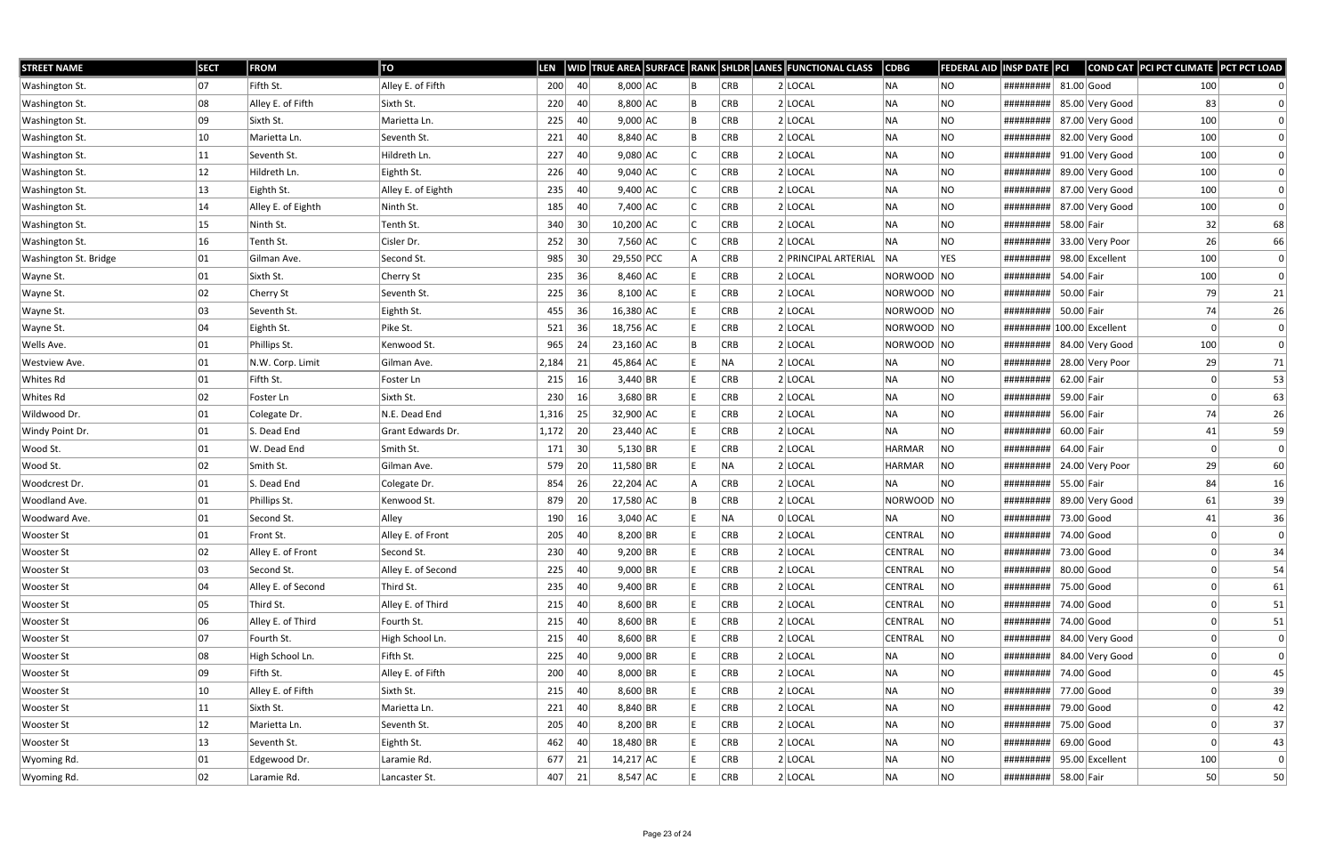| <b>STREET NAME</b>    | <b>SECT</b>  | <b>FROM</b>        | TO                 | LEN      |                 |             |            | WID TRUE AREA SURFACE RANK SHLDR LANES FUNCTIONAL CLASS | <b>CDBG</b>   | FEDERAL AID | <b>INSP DATE PCI</b>       |              |                 | COND CAT PCI PCT CLIMATE PCT PCT LOAD |                |
|-----------------------|--------------|--------------------|--------------------|----------|-----------------|-------------|------------|---------------------------------------------------------|---------------|-------------|----------------------------|--------------|-----------------|---------------------------------------|----------------|
| Washington St.        | 07           | Fifth St.          | Alley E. of Fifth  | 200      | 40              | $8,000$ AC  | CRB        | 2 LOCAL                                                 | NA)           | NO          | #########                  | $81.00$ Good |                 | 100                                   |                |
| Washington St.        | 08           | Alley E. of Fifth  | Sixth St.          | 220      | 40              | 8,800 AC    | CRB        | $2$ LOCAL                                               | <b>NA</b>     | NO          | #########                  |              | 85.00 Very Good | 83                                    |                |
| Washington St.        | 09           | Sixth St.          | Marietta Ln.       | 225      | 40              | $9,000$ AC  | CRB        | $2$ LOCAL                                               | NA)           | NO.         | #########                  |              | 87.00 Very Good | 100                                   |                |
| Washington St.        | 10           | Marietta Ln.       | Seventh St.        | 221      | 40              | 8,840 AC    | CRB        | $2$ LOCAL                                               | <b>NA</b>     | NO          | #########                  |              | 82.00 Very Good | 100                                   | $\Omega$       |
| Washington St.        | 11           | Seventh St.        | Hildreth Ln.       | 227      | 40              | $9,080$ AC  | <b>CRB</b> | $2$ LOCAL                                               | <b>NA</b>     | NO          | #########                  |              | 91.00 Very Good | 100                                   |                |
| Washington St.        | 12           | Hildreth Ln.       | Eighth St.         | 226      | 40              | $9,040$ AC  | CRB        | $2$ LOCAL                                               | <b>NA</b>     | NO.         | #########                  |              | 89.00 Very Good | 100                                   |                |
| Washington St.        | 13           | Eighth St.         | Alley E. of Eighth | 235      | 40              | $9,400$ AC  | CRB        | $2$ LOCAL                                               | <b>NA</b>     | NO          | #########                  |              | 87.00 Very Good | 100                                   | $\Omega$       |
| Washington St.        | 14           | Alley E. of Eighth | Ninth St.          | 185      | 40              | 7,400 AC    | CRB        | $2$ LOCAL                                               | <b>NA</b>     | NO          | #########                  |              | 87.00 Very Good | 100                                   | $\Omega$       |
| Washington St.        | 15           | Ninth St.          | Tenth St.          | 340      | 30 <sup>°</sup> | $10,200$ AC | CRB        | $2$ LOCAL                                               | <b>NA</b>     | NO.         | #########                  | 58.00 Fair   |                 | 32                                    | 68             |
| Washington St.        | 16           | Tenth St.          | Cisler Dr.         | 252      | 30 <sup>°</sup> | 7,560 AC    | CRB        | $2$ LOCAL                                               | <b>NA</b>     | NO          | #########                  |              | 33.00 Very Poor | 26                                    | 66             |
| Washington St. Bridge | 01           | Gilman Ave.        | Second St.         | 985      | 30 <sup>°</sup> | 29,550 PCC  | CRB        | 2 PRINCIPAL ARTERIAL                                    | NA            | <b>YES</b>  | #########                  |              | 98.00 Excellent | 100                                   | $\Omega$       |
| Wayne St.             | 01           | Sixth St.          | Cherry St          | 235      | 36              | $8,460$ AC  | CRB        | 2 LOCAL                                                 | NORWOOD NO    |             | #########                  | 54.00 Fair   |                 | 100                                   | $\Omega$       |
| Wayne St.             | 02           | <b>Cherry St</b>   | Seventh St.        | 225      | 36              | $8,100$ AC  | CRB        | $2$ LOCAL                                               | NORWOOD NO    |             | #########                  | 50.00 Fair   |                 | 79                                    | 21             |
| Wayne St.             | 03           | Seventh St.        | Eighth St.         | 455      | 36              | $16,380$ AC | <b>CRB</b> | $2$ LOCAL                                               | NORWOOD NO    |             | #########                  | 50.00 Fair   |                 | 74                                    | 26             |
| Wayne St.             | 04           | Eighth St.         | Pike St.           | 521      | 36              | 18,756 AC   | CRB        | 2 LOCAL                                                 | NORWOOD NO    |             | ######### 100.00 Excellent |              |                 |                                       | $\Omega$       |
| Wells Ave.            | 01           | Phillips St.       | Kenwood St.        | 965      | 24              | $23,160$ AC | <b>CRB</b> | $2$ LOCAL                                               | NORWOOD NO    |             | #########                  |              | 84.00 Very Good | 100                                   | $\Omega$       |
| <b>Westview Ave.</b>  | 01           | N.W. Corp. Limit   | Gilman Ave.        | 2,184    | 21              | 45,864 AC   | ∣NA        | $2$ LOCAL                                               | NA            | NO          | #########                  |              | 28.00 Very Poor | 29                                    | 71             |
| Whites Rd             | 01           | Fifth St.          | Foster Ln          | 215      | 16              | $3,440$ BR  | CRB        | $2$ LOCAL                                               | NA            | NO          | #########                  | 62.00 Fair   |                 |                                       | 53             |
| Whites Rd             | 02           | Foster Ln          | Sixth St.          | 230      | 16              | $3,680$ BR  | <b>CRB</b> | $2$ LOCAL                                               | <b>NA</b>     | NO.         | #########                  | 59.00 Fair   |                 |                                       | 63             |
| Wildwood Dr.          | 01           | Colegate Dr.       | N.E. Dead End      | 1,316    | 25              | 32,900 AC   | <b>CRB</b> | 2 LOCAL                                                 | <b>NA</b>     | NO.         | #########                  | 56.00 Fair   |                 | 74                                    | 26             |
| Windy Point Dr.       | 01           | S. Dead End        | Grant Edwards Dr.  | 1,172    | 20              | 23,440 AC   | CRB        | $2$ LOCAL                                               | <b>NA</b>     | NO          | #########                  | 60.00 Fair   |                 | 41                                    | 59             |
| Wood St.              | 01           | W. Dead End        | Smith St.          | 171      | 30              | $5,130$ BR  | CRB        | $2$ LOCAL                                               | <b>HARMAR</b> | NO          | #########                  | 64.00 Fair   |                 | $\Omega$                              | $\overline{0}$ |
| Wood St.              | 02           | Smith St.          | Gilman Ave.        | 579      | 20              | $11,580$ BR | <b>NA</b>  | $2$ LOCAL                                               | <b>HARMAR</b> | NO          | #########                  |              | 24.00 Very Poor | 29                                    | 60             |
| Woodcrest Dr.         | 01           | S. Dead End        | Colegate Dr.       | 854      | 26              | $22,204$ AC | CRB        | $2$ LOCAL                                               | <b>NA</b>     | NO.         | #########                  | 55.00 Fair   |                 | 84                                    | 16             |
| <b>Woodland Ave.</b>  | 01           | Phillips St.       | Kenwood St.        | 879      | 20              | 17,580 AC   | CRB        | 2 LOCAL                                                 | NORWOOD NO    |             | #########                  |              | 89.00 Very Good | 61                                    | 39             |
| Woodward Ave.         | 01           | Second St.         | Alley              | 190      | 16              | $3,040$ AC  | NA         | 0 LOCAL                                                 | <b>NA</b>     | NO          | #########                  |              | 73.00 Good      | 41                                    | 36             |
| <b>Wooster St</b>     | 01           | Front St.          | Alley E. of Front  | 205      | 40              | $8,200$ BR  | <b>CRB</b> | $2$ LOCAL                                               | CENTRAL       | NO.         | #########                  | 74.00 Good   |                 |                                       | $\Omega$       |
| <b>Wooster St</b>     | 02           | Alley E. of Front  | Second St.         | 230   40 |                 | $9,200$ BR  | <b>CRB</b> | $2$ LOCAL                                               | CENTRAL       | NO          | ######### 73.00 Good       |              |                 |                                       | 34             |
| Wooster St            | 03           | Second St.         | Alley E. of Second | 225      | 40              | $9,000$ BR  | <b>CRB</b> | $2$ LOCAL                                               | CENTRAL       | NO          | #########                  | $80.00$ Good |                 |                                       | 54             |
| Wooster St            | 04           | Alley E. of Second | Third St.          | 235      | 40              | $9,400$ BR  | CRB        | 2 LOCAL                                                 | CENTRAL       | NO          | #########                  |              | 75.00 Good      |                                       | 61             |
| <b>Wooster St</b>     | 05           | Third St.          | Alley E. of Third  | 215      | 40              | $8,600$ BR  | <b>CRB</b> | 2 LOCAL                                                 | CENTRAL       | NO          | #########                  |              | 74.00 Good      |                                       | 51             |
| Wooster St            | 06           | Alley E. of Third  | Fourth St.         | 215      | 40              | $8,600$ BR  | CRB        | 2 LOCAL                                                 | CENTRAL       | NO          | #########                  | 74.00 Good   |                 |                                       | 51             |
| Wooster St            | 07           | Fourth St.         | High School Ln.    | 215      | 40              | $8,600$ BR  | CRB        | 2 LOCAL                                                 | CENTRAL       | NO          | #########                  |              | 84.00 Very Good |                                       | $\Omega$       |
| Wooster St            | 08           | High School Ln.    | Fifth St.          | 225      | 40              | $9,000$ BR  | CRB        | 2 LOCAL                                                 | <b>NA</b>     | NO.         | #########                  |              | 84.00 Very Good |                                       | $\Omega$       |
| Wooster St            | 09           | Fifth St.          | Alley E. of Fifth  | 200      | 40              | $8,000$ BR  | <b>CRB</b> | $2$ LOCAL                                               | NA            | NO          | ########## 74.00 Good      |              |                 |                                       | 45             |
| Wooster St            | $ 10\rangle$ | Alley E. of Fifth  | Sixth St.          | 215      | 40              | $8,600$ BR  | CRB        | 2 LOCAL                                                 | NA            | NO.         | #########                  |              | 77.00 Good      |                                       | 39             |
| Wooster St            | 11           | Sixth St.          | Marietta Ln.       | 221      | 40              | $8,840$ BR  | CRB        | 2 LOCAL                                                 | NA            | NO.         | #########                  |              | 79.00 Good      |                                       | 42             |
| Wooster St            | 12           | Marietta Ln.       | Seventh St.        | 205      | 40              | $8,200$ BR  | <b>CRB</b> | $2$ LOCAL                                               | NA            | NO          | #########                  |              | 75.00 Good      |                                       | 37             |
| Wooster St            | $ 13\rangle$ | Seventh St.        | Eighth St.         | 462      | 40              | 18,480 BR   | <b>CRB</b> | $2$ LOCAL                                               | NA)           | NO.         | #########                  |              | $69.00$ Good    | 0                                     | 43             |
| Wyoming Rd.           | 01           | Edgewood Dr.       | Laramie Rd.        | $677$ 21 |                 | 14,217 AC   | <b>CRB</b> | 2 LOCAL                                                 | NA            | NO.         | #########                  |              | 95.00 Excellent | 100                                   | $\Omega$       |
| Wyoming Rd.           | 02           | Laramie Rd.        | Lancaster St.      | $407$ 21 |                 | $8,547$ AC  | <b>CRB</b> | $2$ LOCAL                                               | NA            | NO          | ######### 58.00 Fair       |              |                 | 50                                    | 50             |